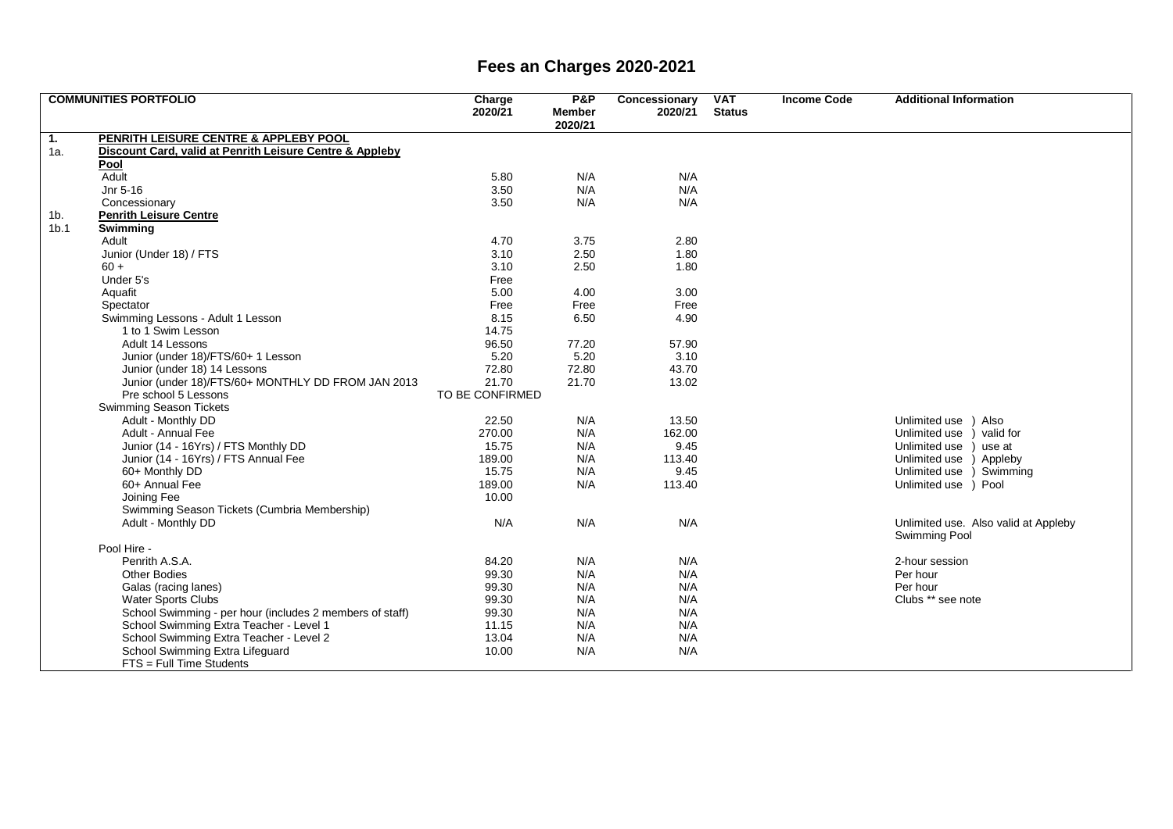## **Fees an Charges 2020-2021**

| <b>COMMUNITIES PORTFOLIO</b> |                                                          | Charge<br>2020/21 | <b>P&amp;P</b><br><b>Member</b><br>2020/21 | Concessionary<br>2020/21 | <b>VAT</b><br><b>Status</b> | <b>Income Code</b> | <b>Additional Information</b>        |
|------------------------------|----------------------------------------------------------|-------------------|--------------------------------------------|--------------------------|-----------------------------|--------------------|--------------------------------------|
| 1.                           | PENRITH LEISURE CENTRE & APPLEBY POOL                    |                   |                                            |                          |                             |                    |                                      |
| 1a.                          | Discount Card, valid at Penrith Leisure Centre & Appleby |                   |                                            |                          |                             |                    |                                      |
|                              | Pool                                                     |                   |                                            |                          |                             |                    |                                      |
|                              | Adult                                                    | 5.80              | N/A                                        | N/A                      |                             |                    |                                      |
|                              | Jnr 5-16                                                 | 3.50              | N/A                                        | N/A                      |                             |                    |                                      |
|                              | Concessionary                                            | 3.50              | N/A                                        | N/A                      |                             |                    |                                      |
| 1b.                          | <b>Penrith Leisure Centre</b>                            |                   |                                            |                          |                             |                    |                                      |
| 1 <sub>b.1</sub>             | Swimming                                                 |                   |                                            |                          |                             |                    |                                      |
|                              | Adult                                                    | 4.70              | 3.75                                       | 2.80                     |                             |                    |                                      |
|                              | Junior (Under 18) / FTS                                  | 3.10              | 2.50                                       | 1.80                     |                             |                    |                                      |
|                              | $60 +$                                                   | 3.10              | 2.50                                       | 1.80                     |                             |                    |                                      |
|                              | Under 5's                                                | Free              |                                            |                          |                             |                    |                                      |
|                              | Aquafit                                                  | 5.00              | 4.00                                       | 3.00                     |                             |                    |                                      |
|                              | Spectator                                                | Free              | Free                                       | Free                     |                             |                    |                                      |
|                              | Swimming Lessons - Adult 1 Lesson                        | 8.15              | 6.50                                       | 4.90                     |                             |                    |                                      |
|                              | 1 to 1 Swim Lesson                                       | 14.75             |                                            |                          |                             |                    |                                      |
|                              | Adult 14 Lessons                                         | 96.50             | 77.20                                      | 57.90                    |                             |                    |                                      |
|                              | Junior (under 18)/FTS/60+ 1 Lesson                       | 5.20              | 5.20                                       | 3.10                     |                             |                    |                                      |
|                              | Junior (under 18) 14 Lessons                             | 72.80             | 72.80                                      | 43.70                    |                             |                    |                                      |
|                              | Junior (under 18)/FTS/60+ MONTHLY DD FROM JAN 2013       | 21.70             | 21.70                                      | 13.02                    |                             |                    |                                      |
|                              | Pre school 5 Lessons                                     | TO BE CONFIRMED   |                                            |                          |                             |                    |                                      |
|                              | <b>Swimming Season Tickets</b>                           |                   |                                            |                          |                             |                    |                                      |
|                              | Adult - Monthly DD                                       | 22.50             | N/A                                        | 13.50                    |                             |                    | Unlimited use )<br>Also              |
|                              | Adult - Annual Fee                                       | 270.00            | N/A                                        | 162.00                   |                             |                    | valid for<br>Unlimited use           |
|                              | Junior (14 - 16Yrs) / FTS Monthly DD                     | 15.75             | N/A                                        | 9.45                     |                             |                    | Unlimited use )<br>use at            |
|                              | Junior (14 - 16Yrs) / FTS Annual Fee                     | 189.00            | N/A                                        | 113.40                   |                             |                    | Unlimited use )<br>Appleby           |
|                              | 60+ Monthly DD                                           | 15.75             | N/A                                        | 9.45                     |                             |                    | Unlimited use<br>Swimming            |
|                              | 60+ Annual Fee                                           | 189.00            | N/A                                        | 113.40                   |                             |                    | Unlimited use ) Pool                 |
|                              | Joining Fee                                              | 10.00             |                                            |                          |                             |                    |                                      |
|                              | Swimming Season Tickets (Cumbria Membership)             |                   |                                            |                          |                             |                    |                                      |
|                              | Adult - Monthly DD                                       | N/A               | N/A                                        | N/A                      |                             |                    | Unlimited use. Also valid at Appleby |
|                              |                                                          |                   |                                            |                          |                             |                    | Swimming Pool                        |
|                              | Pool Hire -                                              |                   |                                            |                          |                             |                    |                                      |
|                              | Penrith A.S.A.                                           | 84.20             | N/A                                        | N/A                      |                             |                    | 2-hour session                       |
|                              | <b>Other Bodies</b>                                      | 99.30             | N/A                                        | N/A                      |                             |                    | Per hour                             |
|                              | Galas (racing lanes)                                     | 99.30             | N/A                                        | N/A                      |                             |                    | Per hour                             |
|                              | Water Sports Clubs                                       | 99.30             | N/A                                        | N/A                      |                             |                    | Clubs ** see note                    |
|                              | School Swimming - per hour (includes 2 members of staff) | 99.30             | N/A                                        | N/A                      |                             |                    |                                      |
|                              | School Swimming Extra Teacher - Level 1                  | 11.15             | N/A                                        | N/A                      |                             |                    |                                      |
|                              | School Swimming Extra Teacher - Level 2                  | 13.04             | N/A                                        | N/A                      |                             |                    |                                      |
|                              | School Swimming Extra Lifeguard                          | 10.00             | N/A                                        | N/A                      |                             |                    |                                      |
|                              | FTS = Full Time Students                                 |                   |                                            |                          |                             |                    |                                      |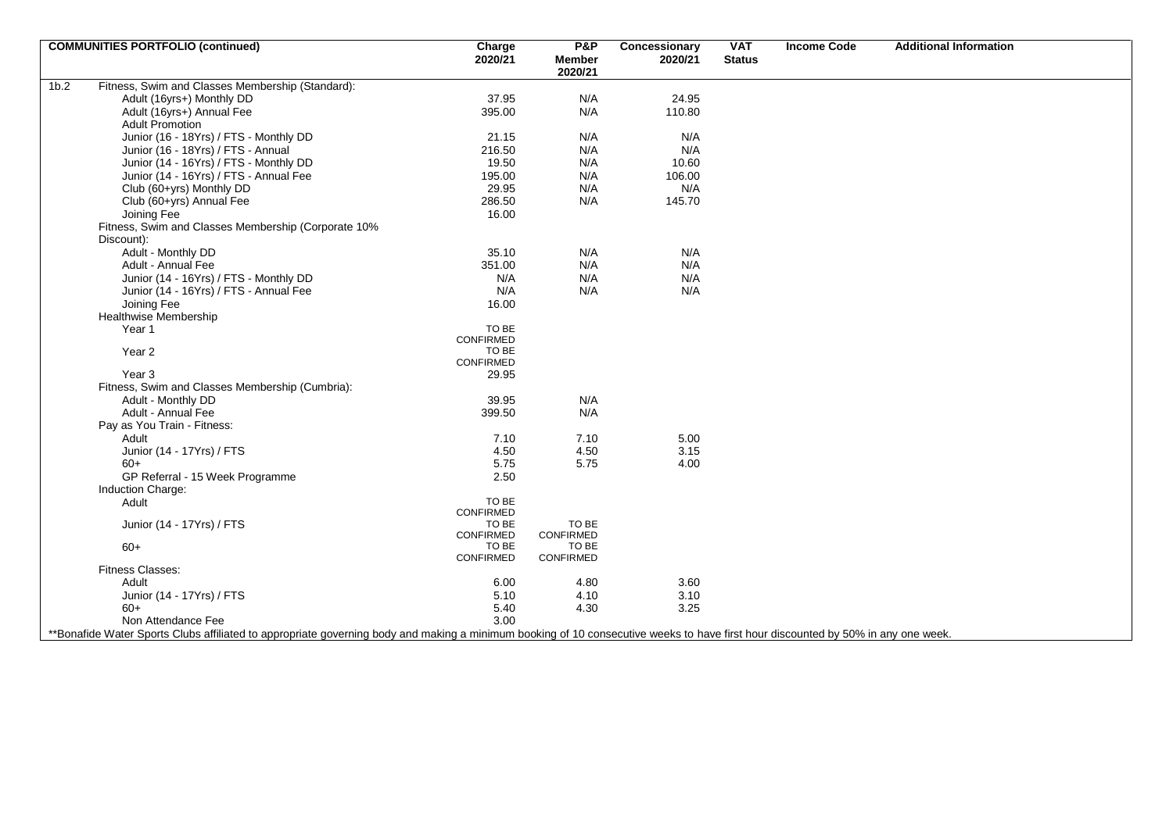|                    | <b>COMMUNITIES PORTFOLIO (continued)</b>                                                                                                                                          |                           | P&P              | Concessionary | <b>VAT</b>    | <b>Income Code</b> | <b>Additional Information</b> |
|--------------------|-----------------------------------------------------------------------------------------------------------------------------------------------------------------------------------|---------------------------|------------------|---------------|---------------|--------------------|-------------------------------|
|                    |                                                                                                                                                                                   | Charge<br>2020/21         | <b>Member</b>    | 2020/21       | <b>Status</b> |                    |                               |
|                    |                                                                                                                                                                                   |                           | 2020/21          |               |               |                    |                               |
| $\overline{1}$ b.2 | Fitness, Swim and Classes Membership (Standard):                                                                                                                                  |                           |                  |               |               |                    |                               |
|                    | Adult (16yrs+) Monthly DD                                                                                                                                                         | 37.95                     | N/A              | 24.95         |               |                    |                               |
|                    | Adult (16yrs+) Annual Fee                                                                                                                                                         | 395.00                    | N/A              | 110.80        |               |                    |                               |
|                    | <b>Adult Promotion</b>                                                                                                                                                            |                           |                  |               |               |                    |                               |
|                    | Junior (16 - 18Yrs) / FTS - Monthly DD                                                                                                                                            | 21.15                     | N/A              | N/A           |               |                    |                               |
|                    | Junior (16 - 18Yrs) / FTS - Annual                                                                                                                                                | 216.50                    | N/A              | N/A           |               |                    |                               |
|                    | Junior (14 - 16Yrs) / FTS - Monthly DD                                                                                                                                            | 19.50                     | N/A              | 10.60         |               |                    |                               |
|                    | Junior (14 - 16Yrs) / FTS - Annual Fee                                                                                                                                            | 195.00                    | N/A              | 106.00        |               |                    |                               |
|                    | Club (60+yrs) Monthly DD                                                                                                                                                          | 29.95                     | N/A              | N/A           |               |                    |                               |
|                    | Club (60+yrs) Annual Fee                                                                                                                                                          | 286.50                    | N/A              | 145.70        |               |                    |                               |
|                    |                                                                                                                                                                                   |                           |                  |               |               |                    |                               |
|                    | Joining Fee                                                                                                                                                                       | 16.00                     |                  |               |               |                    |                               |
|                    | Fitness, Swim and Classes Membership (Corporate 10%                                                                                                                               |                           |                  |               |               |                    |                               |
|                    | Discount):                                                                                                                                                                        |                           |                  |               |               |                    |                               |
|                    | Adult - Monthly DD                                                                                                                                                                | 35.10                     | N/A              | N/A           |               |                    |                               |
|                    | Adult - Annual Fee                                                                                                                                                                | 351.00                    | N/A              | N/A           |               |                    |                               |
|                    | Junior (14 - 16Yrs) / FTS - Monthly DD                                                                                                                                            | N/A                       | N/A              | N/A           |               |                    |                               |
|                    | Junior (14 - 16Yrs) / FTS - Annual Fee                                                                                                                                            | N/A                       | N/A              | N/A           |               |                    |                               |
|                    | Joining Fee                                                                                                                                                                       | 16.00                     |                  |               |               |                    |                               |
|                    | Healthwise Membership                                                                                                                                                             |                           |                  |               |               |                    |                               |
|                    | Year 1                                                                                                                                                                            | TO BE                     |                  |               |               |                    |                               |
|                    |                                                                                                                                                                                   | CONFIRMED                 |                  |               |               |                    |                               |
|                    | Year <sub>2</sub>                                                                                                                                                                 | TO BE<br>CONFIRMED        |                  |               |               |                    |                               |
|                    | Year <sub>3</sub>                                                                                                                                                                 | 29.95                     |                  |               |               |                    |                               |
|                    | Fitness, Swim and Classes Membership (Cumbria):                                                                                                                                   |                           |                  |               |               |                    |                               |
|                    | Adult - Monthly DD                                                                                                                                                                | 39.95                     | N/A              |               |               |                    |                               |
|                    | Adult - Annual Fee                                                                                                                                                                | 399.50                    | N/A              |               |               |                    |                               |
|                    |                                                                                                                                                                                   |                           |                  |               |               |                    |                               |
|                    | Pay as You Train - Fitness:                                                                                                                                                       | 7.10                      | 7.10             | 5.00          |               |                    |                               |
|                    | Adult                                                                                                                                                                             |                           |                  |               |               |                    |                               |
|                    | Junior (14 - 17Yrs) / FTS                                                                                                                                                         | 4.50                      | 4.50             | 3.15          |               |                    |                               |
|                    | $60+$                                                                                                                                                                             | 5.75                      | 5.75             | 4.00          |               |                    |                               |
|                    | GP Referral - 15 Week Programme                                                                                                                                                   | 2.50                      |                  |               |               |                    |                               |
|                    | Induction Charge:                                                                                                                                                                 |                           |                  |               |               |                    |                               |
|                    | Adult                                                                                                                                                                             | TO BE                     |                  |               |               |                    |                               |
|                    |                                                                                                                                                                                   | <b>CONFIRMED</b><br>TO BE | TO BE            |               |               |                    |                               |
|                    | Junior (14 - 17Yrs) / FTS                                                                                                                                                         | CONFIRMED                 | <b>CONFIRMED</b> |               |               |                    |                               |
|                    | $60+$                                                                                                                                                                             | TO BE                     | TO BE            |               |               |                    |                               |
|                    |                                                                                                                                                                                   | <b>CONFIRMED</b>          | <b>CONFIRMED</b> |               |               |                    |                               |
|                    | <b>Fitness Classes:</b>                                                                                                                                                           |                           |                  |               |               |                    |                               |
|                    | Adult                                                                                                                                                                             | 6.00                      | 4.80             | 3.60          |               |                    |                               |
|                    |                                                                                                                                                                                   |                           |                  |               |               |                    |                               |
|                    |                                                                                                                                                                                   |                           |                  |               |               |                    |                               |
|                    |                                                                                                                                                                                   |                           |                  |               |               |                    |                               |
|                    | **Bonafide Water Sports Clubs affiliated to appropriate governing body and making a minimum booking of 10 consecutive weeks to have first hour discounted by 50% in any one week. |                           |                  |               |               |                    |                               |
|                    | Junior (14 - 17Yrs) / FTS<br>$60+$<br>Non Attendance Fee                                                                                                                          | 5.10<br>5.40<br>3.00      | 4.10<br>4.30     | 3.10<br>3.25  |               |                    |                               |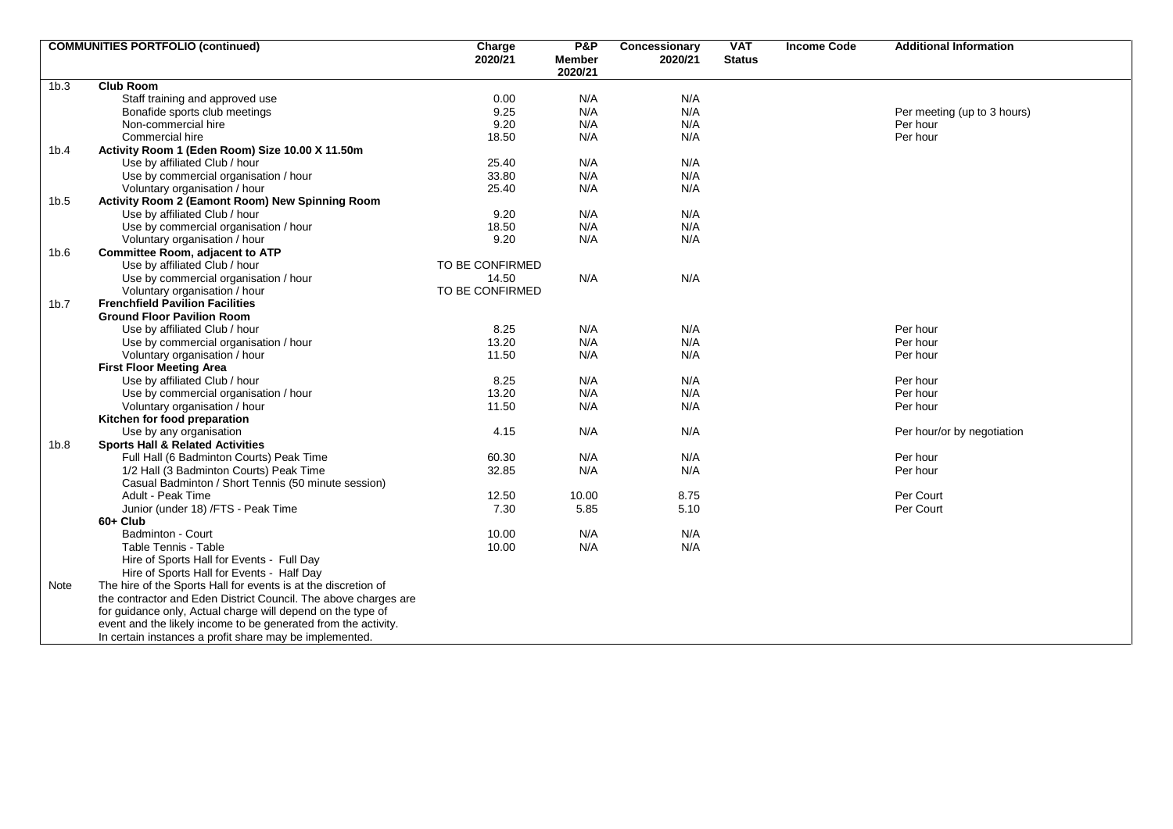|                  | <b>COMMUNITIES PORTFOLIO (continued)</b>                        |                   | <b>P&amp;P</b> | Concessionary | <b>VAT</b>    | <b>Income Code</b> | <b>Additional Information</b> |
|------------------|-----------------------------------------------------------------|-------------------|----------------|---------------|---------------|--------------------|-------------------------------|
|                  |                                                                 | Charge<br>2020/21 | <b>Member</b>  | 2020/21       | <b>Status</b> |                    |                               |
|                  |                                                                 |                   | 2020/21        |               |               |                    |                               |
| 1 <sub>b.3</sub> | <b>Club Room</b>                                                |                   |                |               |               |                    |                               |
|                  | Staff training and approved use                                 | 0.00              | N/A            | N/A           |               |                    |                               |
|                  | Bonafide sports club meetings                                   | 9.25              | N/A            | N/A           |               |                    | Per meeting (up to 3 hours)   |
|                  | Non-commercial hire                                             | 9.20              | N/A            | N/A           |               |                    | Per hour                      |
|                  | Commercial hire                                                 | 18.50             | N/A            | N/A           |               |                    | Per hour                      |
| 1 <sub>b.4</sub> | Activity Room 1 (Eden Room) Size 10.00 X 11.50m                 |                   |                |               |               |                    |                               |
|                  | Use by affiliated Club / hour                                   | 25.40             | N/A            | N/A           |               |                    |                               |
|                  | Use by commercial organisation / hour                           | 33.80             | N/A            | N/A           |               |                    |                               |
|                  | Voluntary organisation / hour                                   | 25.40             | N/A            | N/A           |               |                    |                               |
| 1b.5             | Activity Room 2 (Eamont Room) New Spinning Room                 |                   |                |               |               |                    |                               |
|                  | Use by affiliated Club / hour                                   | 9.20              | N/A            | N/A           |               |                    |                               |
|                  | Use by commercial organisation / hour                           | 18.50             | N/A            | N/A           |               |                    |                               |
|                  | Voluntary organisation / hour                                   | 9.20              | N/A            | N/A           |               |                    |                               |
| 1 <sub>b.6</sub> | Committee Room, adjacent to ATP                                 |                   |                |               |               |                    |                               |
|                  | Use by affiliated Club / hour                                   | TO BE CONFIRMED   |                |               |               |                    |                               |
|                  | Use by commercial organisation / hour                           | 14.50             | N/A            | N/A           |               |                    |                               |
|                  | Voluntary organisation / hour                                   | TO BE CONFIRMED   |                |               |               |                    |                               |
|                  | <b>Frenchfield Pavilion Facilities</b>                          |                   |                |               |               |                    |                               |
| 1 <sub>b.7</sub> |                                                                 |                   |                |               |               |                    |                               |
|                  | <b>Ground Floor Pavilion Room</b>                               |                   | N/A            |               |               |                    | Per hour                      |
|                  | Use by affiliated Club / hour                                   | 8.25              |                | N/A           |               |                    |                               |
|                  | Use by commercial organisation / hour                           | 13.20             | N/A            | N/A           |               |                    | Per hour                      |
|                  | Voluntary organisation / hour                                   | 11.50             | N/A            | N/A           |               |                    | Per hour                      |
|                  | <b>First Floor Meeting Area</b>                                 |                   |                |               |               |                    |                               |
|                  | Use by affiliated Club / hour                                   | 8.25              | N/A            | N/A           |               |                    | Per hour                      |
|                  | Use by commercial organisation / hour                           | 13.20             | N/A            | N/A           |               |                    | Per hour                      |
|                  | Voluntary organisation / hour                                   | 11.50             | N/A            | N/A           |               |                    | Per hour                      |
|                  | Kitchen for food preparation                                    |                   |                |               |               |                    |                               |
|                  | Use by any organisation                                         | 4.15              | N/A            | N/A           |               |                    | Per hour/or by negotiation    |
| 1b.8             | <b>Sports Hall &amp; Related Activities</b>                     |                   |                |               |               |                    |                               |
|                  | Full Hall (6 Badminton Courts) Peak Time                        | 60.30             | N/A            | N/A           |               |                    | Per hour                      |
|                  | 1/2 Hall (3 Badminton Courts) Peak Time                         | 32.85             | N/A            | N/A           |               |                    | Per hour                      |
|                  | Casual Badminton / Short Tennis (50 minute session)             |                   |                |               |               |                    |                               |
|                  | Adult - Peak Time                                               | 12.50             | 10.00          | 8.75          |               |                    | Per Court                     |
|                  | Junior (under 18) / FTS - Peak Time                             | 7.30              | 5.85           | 5.10          |               |                    | Per Court                     |
|                  | 60+ Club                                                        |                   |                |               |               |                    |                               |
|                  | Badminton - Court                                               | 10.00             | N/A            | N/A           |               |                    |                               |
|                  | Table Tennis - Table                                            | 10.00             | N/A            | N/A           |               |                    |                               |
|                  | Hire of Sports Hall for Events - Full Day                       |                   |                |               |               |                    |                               |
|                  | Hire of Sports Hall for Events - Half Day                       |                   |                |               |               |                    |                               |
| Note             | The hire of the Sports Hall for events is at the discretion of  |                   |                |               |               |                    |                               |
|                  | the contractor and Eden District Council. The above charges are |                   |                |               |               |                    |                               |
|                  | for guidance only, Actual charge will depend on the type of     |                   |                |               |               |                    |                               |
|                  | event and the likely income to be generated from the activity.  |                   |                |               |               |                    |                               |
|                  | In certain instances a profit share may be implemented.         |                   |                |               |               |                    |                               |
|                  |                                                                 |                   |                |               |               |                    |                               |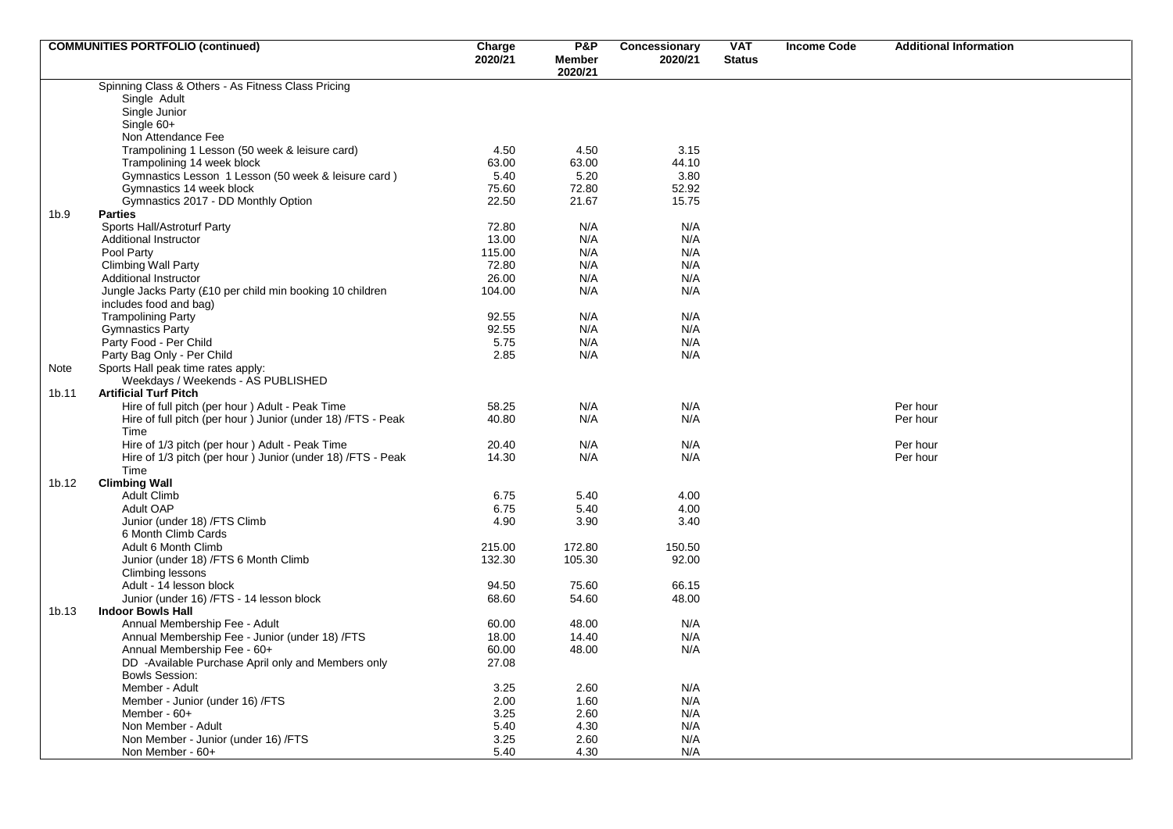|                  | <b>COMMUNITIES PORTFOLIO (continued)</b>                     | Charge<br>2020/21 | <b>P&amp;P</b><br>Member | Concessionary<br>2020/21 | <b>VAT</b><br><b>Status</b> | <b>Income Code</b> | <b>Additional Information</b> |
|------------------|--------------------------------------------------------------|-------------------|--------------------------|--------------------------|-----------------------------|--------------------|-------------------------------|
|                  |                                                              |                   | 2020/21                  |                          |                             |                    |                               |
|                  | Spinning Class & Others - As Fitness Class Pricing           |                   |                          |                          |                             |                    |                               |
|                  | Single Adult                                                 |                   |                          |                          |                             |                    |                               |
|                  | Single Junior                                                |                   |                          |                          |                             |                    |                               |
|                  | Single 60+                                                   |                   |                          |                          |                             |                    |                               |
|                  | Non Attendance Fee                                           |                   |                          |                          |                             |                    |                               |
|                  | Trampolining 1 Lesson (50 week & leisure card)               | 4.50              | 4.50                     | 3.15                     |                             |                    |                               |
|                  | Trampolining 14 week block                                   | 63.00             | 63.00                    | 44.10                    |                             |                    |                               |
|                  | Gymnastics Lesson 1 Lesson (50 week & leisure card)          | 5.40              | 5.20                     | 3.80                     |                             |                    |                               |
|                  | Gymnastics 14 week block                                     | 75.60             | 72.80                    | 52.92                    |                             |                    |                               |
|                  | Gymnastics 2017 - DD Monthly Option                          | 22.50             | 21.67                    | 15.75                    |                             |                    |                               |
| 1 <sub>b.9</sub> | <b>Parties</b>                                               |                   |                          |                          |                             |                    |                               |
|                  | Sports Hall/Astroturf Party                                  | 72.80             | N/A                      | N/A                      |                             |                    |                               |
|                  | Additional Instructor                                        | 13.00             | N/A                      | N/A                      |                             |                    |                               |
|                  | Pool Party                                                   | 115.00            | N/A                      | N/A                      |                             |                    |                               |
|                  | <b>Climbing Wall Party</b>                                   | 72.80             | N/A                      | N/A                      |                             |                    |                               |
|                  | Additional Instructor                                        | 26.00             | N/A                      | N/A                      |                             |                    |                               |
|                  | Jungle Jacks Party (£10 per child min booking 10 children    | 104.00            | N/A                      | N/A                      |                             |                    |                               |
|                  | includes food and bag)                                       |                   |                          |                          |                             |                    |                               |
|                  | <b>Trampolining Party</b>                                    | 92.55             | N/A                      | N/A                      |                             |                    |                               |
|                  | <b>Gymnastics Party</b>                                      | 92.55             | N/A                      | N/A                      |                             |                    |                               |
|                  | Party Food - Per Child                                       | 5.75              | N/A                      | N/A                      |                             |                    |                               |
|                  | Party Bag Only - Per Child                                   | 2.85              | N/A                      | N/A                      |                             |                    |                               |
| Note             | Sports Hall peak time rates apply:                           |                   |                          |                          |                             |                    |                               |
|                  | Weekdays / Weekends - AS PUBLISHED                           |                   |                          |                          |                             |                    |                               |
| 1b.11            | <b>Artificial Turf Pitch</b>                                 |                   |                          |                          |                             |                    |                               |
|                  | Hire of full pitch (per hour) Adult - Peak Time              | 58.25             | N/A                      | N/A                      |                             |                    | Per hour                      |
|                  | Hire of full pitch (per hour) Junior (under 18) / FTS - Peak | 40.80             | N/A                      | N/A                      |                             |                    | Per hour                      |
|                  | Time                                                         |                   |                          |                          |                             |                    |                               |
|                  | Hire of 1/3 pitch (per hour ) Adult - Peak Time              | 20.40             | N/A                      | N/A                      |                             |                    | Per hour                      |
|                  | Hire of 1/3 pitch (per hour) Junior (under 18) / FTS - Peak  | 14.30             | N/A                      | N/A                      |                             |                    | Per hour                      |
|                  | Time                                                         |                   |                          |                          |                             |                    |                               |
| 1b.12            | <b>Climbing Wall</b>                                         |                   |                          |                          |                             |                    |                               |
|                  | <b>Adult Climb</b>                                           | 6.75              | 5.40                     | 4.00                     |                             |                    |                               |
|                  | <b>Adult OAP</b>                                             | 6.75              | 5.40                     | 4.00                     |                             |                    |                               |
|                  | Junior (under 18) / FTS Climb                                | 4.90              | 3.90                     | 3.40                     |                             |                    |                               |
|                  | 6 Month Climb Cards                                          |                   |                          |                          |                             |                    |                               |
|                  | Adult 6 Month Climb                                          | 215.00            | 172.80                   | 150.50                   |                             |                    |                               |
|                  | Junior (under 18) / FTS 6 Month Climb                        | 132.30            | 105.30                   | 92.00                    |                             |                    |                               |
|                  | Climbing lessons                                             |                   |                          |                          |                             |                    |                               |
|                  | Adult - 14 lesson block                                      | 94.50             | 75.60                    | 66.15                    |                             |                    |                               |
|                  | Junior (under 16) /FTS - 14 lesson block                     | 68.60             | 54.60                    | 48.00                    |                             |                    |                               |
| 1b.13            | <b>Indoor Bowls Hall</b>                                     |                   |                          |                          |                             |                    |                               |
|                  | Annual Membership Fee - Adult                                | 60.00             | 48.00                    | N/A                      |                             |                    |                               |
|                  | Annual Membership Fee - Junior (under 18) /FTS               | 18.00             | 14.40                    | N/A                      |                             |                    |                               |
|                  | Annual Membership Fee - 60+                                  | 60.00             | 48.00                    | N/A                      |                             |                    |                               |
|                  | DD -Available Purchase April only and Members only           | 27.08             |                          |                          |                             |                    |                               |
|                  | <b>Bowls Session:</b>                                        |                   |                          |                          |                             |                    |                               |
|                  | Member - Adult                                               | 3.25              | 2.60                     | N/A                      |                             |                    |                               |
|                  | Member - Junior (under 16) / FTS                             | 2.00              | 1.60                     | N/A                      |                             |                    |                               |
|                  | Member - 60+                                                 | 3.25              | 2.60                     | N/A                      |                             |                    |                               |
|                  | Non Member - Adult                                           | 5.40              | 4.30                     | N/A                      |                             |                    |                               |
|                  | Non Member - Junior (under 16) /FTS                          | 3.25              | 2.60                     | N/A                      |                             |                    |                               |
|                  | Non Member - 60+                                             | 5.40              | 4.30                     | N/A                      |                             |                    |                               |
|                  |                                                              |                   |                          |                          |                             |                    |                               |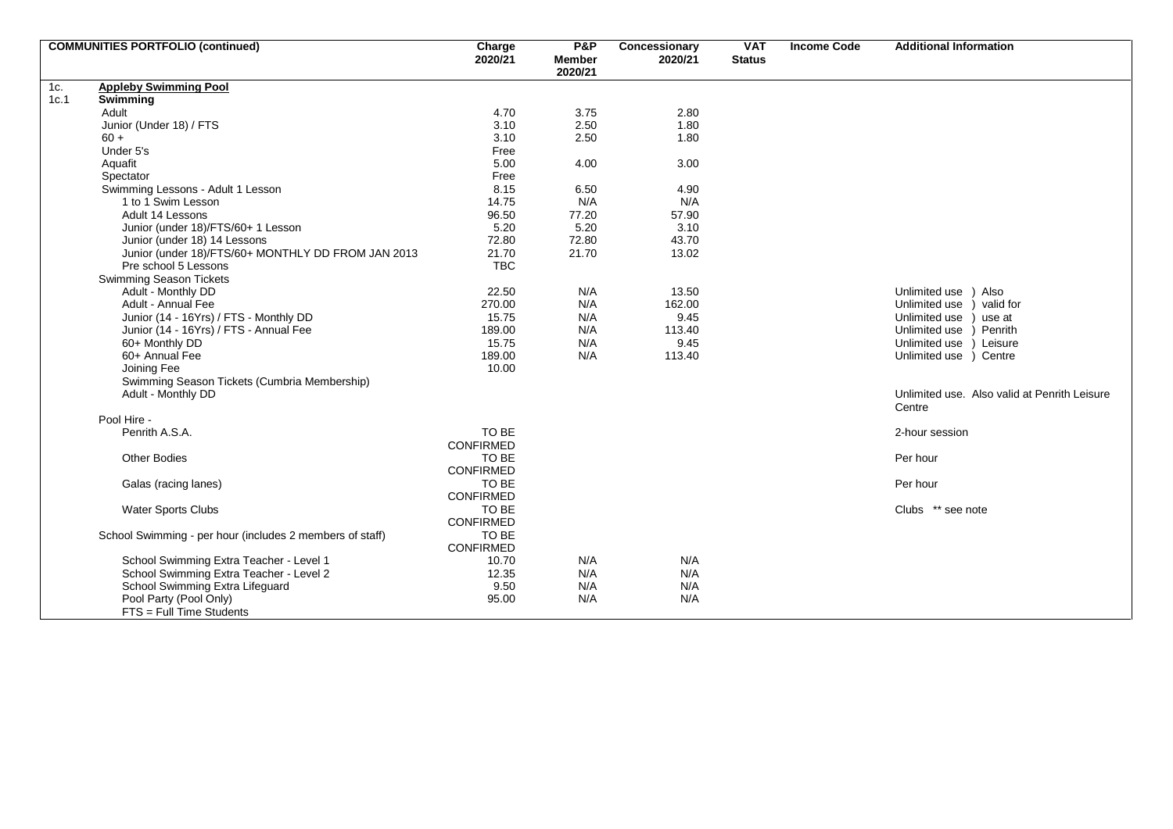|      | <b>COMMUNITIES PORTFOLIO (continued)</b>                 | Charge           | <b>P&amp;P</b> | Concessionary | <b>VAT</b>    | <b>Income Code</b> | <b>Additional Information</b>                |
|------|----------------------------------------------------------|------------------|----------------|---------------|---------------|--------------------|----------------------------------------------|
|      |                                                          | 2020/21          | <b>Member</b>  | 2020/21       | <b>Status</b> |                    |                                              |
|      |                                                          |                  | 2020/21        |               |               |                    |                                              |
| 1c.  | <b>Appleby Swimming Pool</b>                             |                  |                |               |               |                    |                                              |
| 1c.1 | <b>Swimming</b>                                          |                  |                |               |               |                    |                                              |
|      | Adult                                                    | 4.70             | 3.75           | 2.80          |               |                    |                                              |
|      | Junior (Under 18) / FTS                                  | 3.10             | 2.50           | 1.80          |               |                    |                                              |
|      | $60 +$                                                   | 3.10             | 2.50           | 1.80          |               |                    |                                              |
|      | Under 5's                                                | Free             |                |               |               |                    |                                              |
|      | Aquafit                                                  | 5.00             | 4.00           | 3.00          |               |                    |                                              |
|      | Spectator                                                | Free             |                |               |               |                    |                                              |
|      | Swimming Lessons - Adult 1 Lesson                        | 8.15             | 6.50           | 4.90          |               |                    |                                              |
|      | 1 to 1 Swim Lesson                                       | 14.75            | N/A            | N/A           |               |                    |                                              |
|      | Adult 14 Lessons                                         | 96.50            | 77.20          | 57.90         |               |                    |                                              |
|      | Junior (under 18)/FTS/60+ 1 Lesson                       | 5.20             | 5.20           | 3.10          |               |                    |                                              |
|      | Junior (under 18) 14 Lessons                             | 72.80            | 72.80          | 43.70         |               |                    |                                              |
|      | Junior (under 18)/FTS/60+ MONTHLY DD FROM JAN 2013       | 21.70            | 21.70          | 13.02         |               |                    |                                              |
|      | Pre school 5 Lessons                                     | <b>TBC</b>       |                |               |               |                    |                                              |
|      | <b>Swimming Season Tickets</b>                           |                  |                |               |               |                    |                                              |
|      | Adult - Monthly DD                                       | 22.50            | N/A            | 13.50         |               |                    | Unlimited use<br>Also                        |
|      | Adult - Annual Fee                                       | 270.00           | N/A            | 162.00        |               |                    | valid for<br>Unlimited use                   |
|      | Junior (14 - 16Yrs) / FTS - Monthly DD                   | 15.75            | N/A            | 9.45          |               |                    | Unlimited use<br>use at                      |
|      | Junior (14 - 16Yrs) / FTS - Annual Fee                   | 189.00           | N/A            | 113.40        |               |                    | Unlimited use<br>Penrith                     |
|      | 60+ Monthly DD                                           | 15.75            | N/A            | 9.45          |               |                    | Unlimited use<br>Leisure                     |
|      | 60+ Annual Fee                                           | 189.00           | N/A            | 113.40        |               |                    | Unlimited use )<br>Centre                    |
|      | Joining Fee                                              | 10.00            |                |               |               |                    |                                              |
|      | Swimming Season Tickets (Cumbria Membership)             |                  |                |               |               |                    |                                              |
|      | Adult - Monthly DD                                       |                  |                |               |               |                    | Unlimited use. Also valid at Penrith Leisure |
|      |                                                          |                  |                |               |               |                    | Centre                                       |
|      | Pool Hire -                                              |                  |                |               |               |                    |                                              |
|      | Penrith A.S.A.                                           | TO BE            |                |               |               |                    | 2-hour session                               |
|      |                                                          | <b>CONFIRMED</b> |                |               |               |                    |                                              |
|      | <b>Other Bodies</b>                                      | TO BE            |                |               |               |                    | Per hour                                     |
|      |                                                          | <b>CONFIRMED</b> |                |               |               |                    |                                              |
|      | Galas (racing lanes)                                     | TO BE            |                |               |               |                    | Per hour                                     |
|      |                                                          | <b>CONFIRMED</b> |                |               |               |                    |                                              |
|      | Water Sports Clubs                                       | TO BE            |                |               |               |                    | Clubs ** see note                            |
|      |                                                          | <b>CONFIRMED</b> |                |               |               |                    |                                              |
|      | School Swimming - per hour (includes 2 members of staff) | TO BE            |                |               |               |                    |                                              |
|      |                                                          | <b>CONFIRMED</b> |                |               |               |                    |                                              |
|      | School Swimming Extra Teacher - Level 1                  | 10.70            | N/A            | N/A           |               |                    |                                              |
|      | School Swimming Extra Teacher - Level 2                  | 12.35            | N/A            | N/A           |               |                    |                                              |
|      | School Swimming Extra Lifeguard                          | 9.50             | N/A            | N/A           |               |                    |                                              |
|      | Pool Party (Pool Only)                                   | 95.00            | N/A            | N/A           |               |                    |                                              |
|      | FTS = Full Time Students                                 |                  |                |               |               |                    |                                              |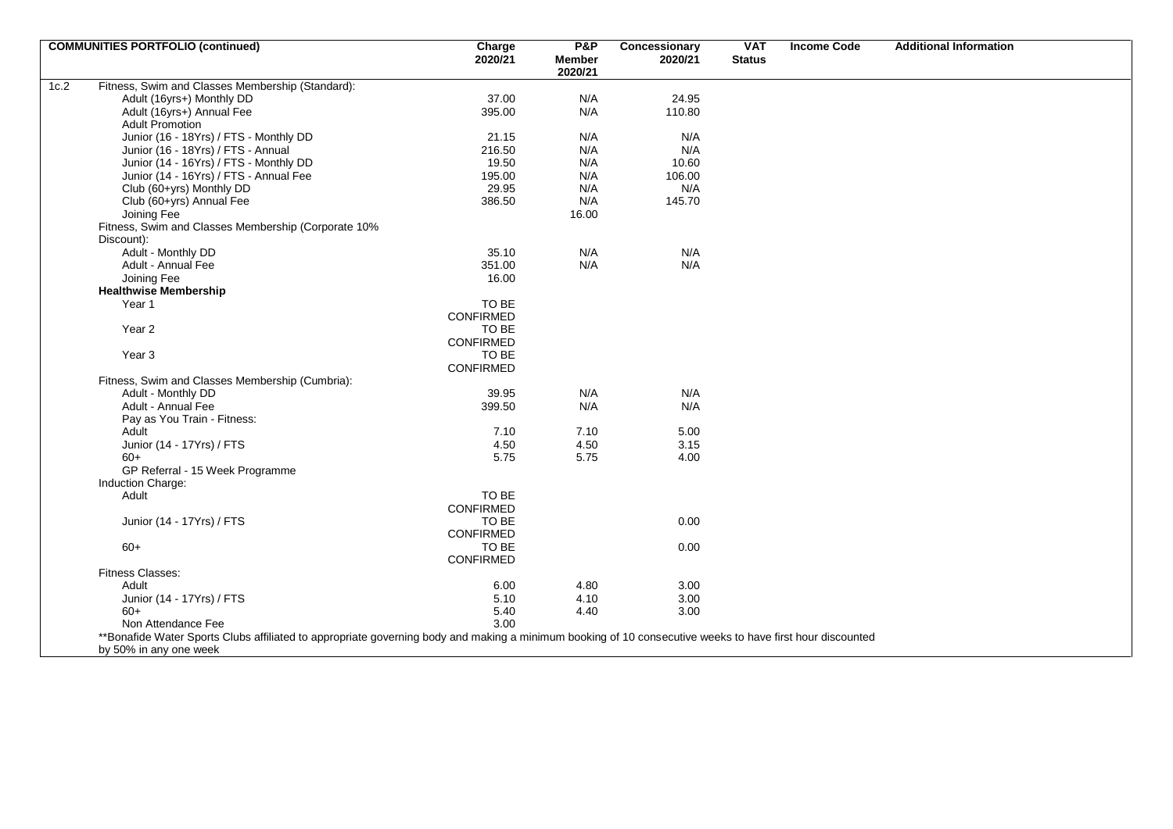| <b>COMMUNITIES PORTFOLIO (continued)</b>                                                                                                                                            | Charge           | P&P                      | Concessionary | <b>VAT</b>    | <b>Income Code</b> | <b>Additional Information</b> |
|-------------------------------------------------------------------------------------------------------------------------------------------------------------------------------------|------------------|--------------------------|---------------|---------------|--------------------|-------------------------------|
|                                                                                                                                                                                     | 2020/21          | <b>Member</b><br>2020/21 | 2020/21       | <b>Status</b> |                    |                               |
| Fitness, Swim and Classes Membership (Standard):                                                                                                                                    |                  |                          |               |               |                    |                               |
| Adult (16yrs+) Monthly DD                                                                                                                                                           | 37.00            | N/A                      | 24.95         |               |                    |                               |
| Adult (16yrs+) Annual Fee                                                                                                                                                           | 395.00           | N/A                      | 110.80        |               |                    |                               |
| <b>Adult Promotion</b>                                                                                                                                                              |                  |                          |               |               |                    |                               |
| Junior (16 - 18Yrs) / FTS - Monthly DD                                                                                                                                              | 21.15            | N/A                      | N/A           |               |                    |                               |
| Junior (16 - 18Yrs) / FTS - Annual                                                                                                                                                  | 216.50           | N/A                      | N/A           |               |                    |                               |
| Junior (14 - 16Yrs) / FTS - Monthly DD                                                                                                                                              | 19.50            | N/A                      | 10.60         |               |                    |                               |
| Junior (14 - 16Yrs) / FTS - Annual Fee                                                                                                                                              | 195.00           | N/A                      | 106.00        |               |                    |                               |
| Club (60+yrs) Monthly DD                                                                                                                                                            | 29.95            | N/A                      | N/A           |               |                    |                               |
| Club (60+yrs) Annual Fee                                                                                                                                                            | 386.50           | N/A                      | 145.70        |               |                    |                               |
| Joining Fee                                                                                                                                                                         |                  | 16.00                    |               |               |                    |                               |
| Fitness, Swim and Classes Membership (Corporate 10%<br>Discount):                                                                                                                   |                  |                          |               |               |                    |                               |
| Adult - Monthly DD                                                                                                                                                                  | 35.10            | N/A                      | N/A           |               |                    |                               |
| Adult - Annual Fee                                                                                                                                                                  | 351.00           | N/A                      | N/A           |               |                    |                               |
| Joining Fee                                                                                                                                                                         | 16.00            |                          |               |               |                    |                               |
| <b>Healthwise Membership</b>                                                                                                                                                        |                  |                          |               |               |                    |                               |
| Year 1                                                                                                                                                                              | TO BE            |                          |               |               |                    |                               |
|                                                                                                                                                                                     | CONFIRMED        |                          |               |               |                    |                               |
| Year <sub>2</sub>                                                                                                                                                                   | TO BE            |                          |               |               |                    |                               |
|                                                                                                                                                                                     | CONFIRMED        |                          |               |               |                    |                               |
| Year <sub>3</sub>                                                                                                                                                                   | TO BE            |                          |               |               |                    |                               |
|                                                                                                                                                                                     | CONFIRMED        |                          |               |               |                    |                               |
| Fitness, Swim and Classes Membership (Cumbria):                                                                                                                                     |                  |                          |               |               |                    |                               |
| Adult - Monthly DD                                                                                                                                                                  | 39.95            | N/A                      | N/A           |               |                    |                               |
| Adult - Annual Fee                                                                                                                                                                  | 399.50           | N/A                      | N/A           |               |                    |                               |
| Pay as You Train - Fitness:                                                                                                                                                         |                  |                          |               |               |                    |                               |
| Adult                                                                                                                                                                               | 7.10             | 7.10                     | 5.00          |               |                    |                               |
| Junior (14 - 17Yrs) / FTS                                                                                                                                                           | 4.50             | 4.50                     | 3.15          |               |                    |                               |
| $60+$                                                                                                                                                                               | 5.75             | 5.75                     | 4.00          |               |                    |                               |
| GP Referral - 15 Week Programme                                                                                                                                                     |                  |                          |               |               |                    |                               |
| Induction Charge:                                                                                                                                                                   |                  |                          |               |               |                    |                               |
| Adult                                                                                                                                                                               | TO BE            |                          |               |               |                    |                               |
|                                                                                                                                                                                     | <b>CONFIRMED</b> |                          |               |               |                    |                               |
| Junior (14 - 17Yrs) / FTS                                                                                                                                                           | TO BE            |                          | 0.00          |               |                    |                               |
|                                                                                                                                                                                     | CONFIRMED        |                          |               |               |                    |                               |
| $60+$                                                                                                                                                                               | TO BE            |                          | 0.00          |               |                    |                               |
|                                                                                                                                                                                     | CONFIRMED        |                          |               |               |                    |                               |
| Fitness Classes:                                                                                                                                                                    |                  |                          |               |               |                    |                               |
| Adult                                                                                                                                                                               | 6.00             | 4.80                     | 3.00          |               |                    |                               |
| Junior (14 - 17Yrs) / FTS                                                                                                                                                           | 5.10             | 4.10                     | 3.00          |               |                    |                               |
| $60+$                                                                                                                                                                               | 5.40             | 4.40                     | 3.00          |               |                    |                               |
| Non Attendance Fee                                                                                                                                                                  | 3.00             |                          |               |               |                    |                               |
| **Bonafide Water Sports Clubs affiliated to appropriate governing body and making a minimum booking of 10 consecutive weeks to have first hour discounted<br>by 50% in any one week |                  |                          |               |               |                    |                               |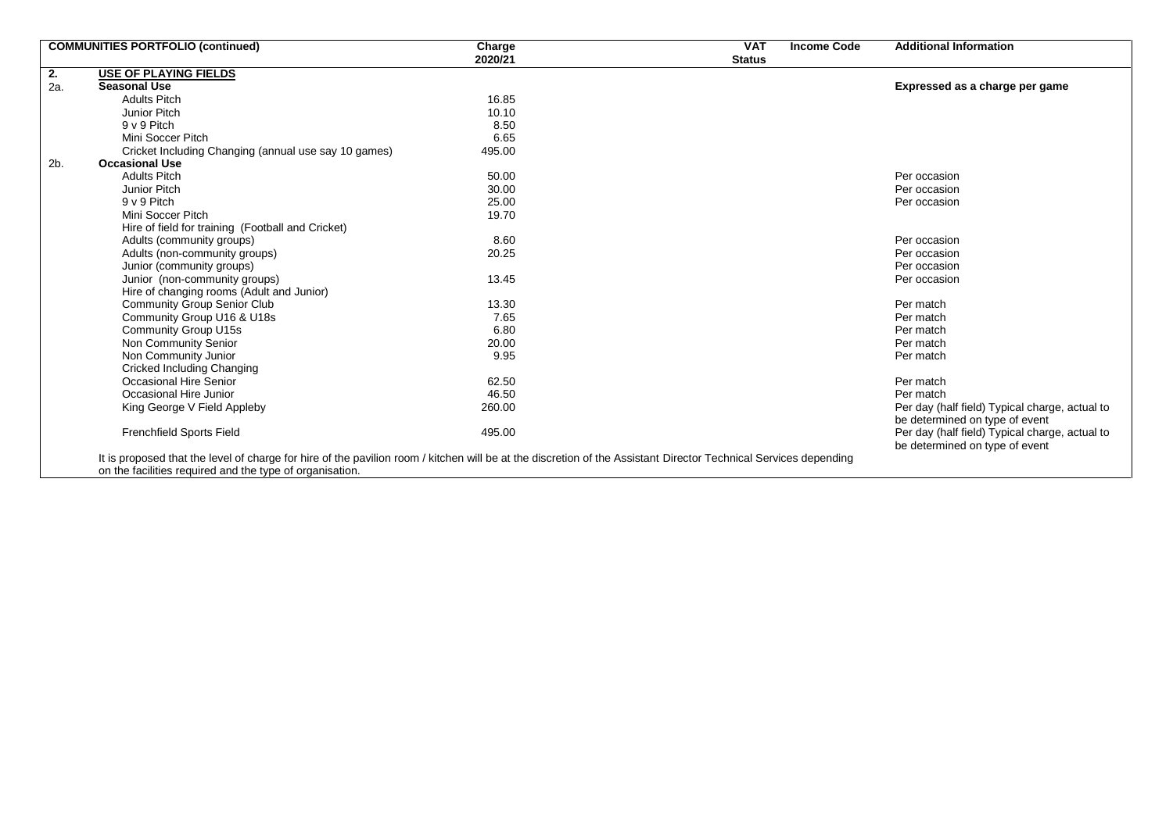|                           | <b>COMMUNITIES PORTFOLIO (continued)</b>                                                                                                                         | Charge  | <b>VAT</b>    | <b>Income Code</b> | <b>Additional Information</b>                  |
|---------------------------|------------------------------------------------------------------------------------------------------------------------------------------------------------------|---------|---------------|--------------------|------------------------------------------------|
|                           |                                                                                                                                                                  | 2020/21 | <b>Status</b> |                    |                                                |
| $\overline{\mathbf{2}}$ . | <b>USE OF PLAYING FIELDS</b>                                                                                                                                     |         |               |                    |                                                |
| 2a.                       | <b>Seasonal Use</b>                                                                                                                                              |         |               |                    | Expressed as a charge per game                 |
|                           | <b>Adults Pitch</b>                                                                                                                                              | 16.85   |               |                    |                                                |
|                           | Junior Pitch                                                                                                                                                     | 10.10   |               |                    |                                                |
|                           | 9 v 9 Pitch                                                                                                                                                      | 8.50    |               |                    |                                                |
|                           | Mini Soccer Pitch                                                                                                                                                | 6.65    |               |                    |                                                |
|                           | Cricket Including Changing (annual use say 10 games)                                                                                                             | 495.00  |               |                    |                                                |
| 2b.                       | <b>Occasional Use</b>                                                                                                                                            |         |               |                    |                                                |
|                           | <b>Adults Pitch</b>                                                                                                                                              | 50.00   |               |                    | Per occasion                                   |
|                           | Junior Pitch                                                                                                                                                     | 30.00   |               |                    | Per occasion                                   |
|                           | 9 v 9 Pitch                                                                                                                                                      | 25.00   |               |                    | Per occasion                                   |
|                           | Mini Soccer Pitch                                                                                                                                                | 19.70   |               |                    |                                                |
|                           | Hire of field for training (Football and Cricket)                                                                                                                |         |               |                    |                                                |
|                           | Adults (community groups)                                                                                                                                        | 8.60    |               |                    | Per occasion                                   |
|                           | Adults (non-community groups)                                                                                                                                    | 20.25   |               |                    | Per occasion                                   |
|                           | Junior (community groups)                                                                                                                                        |         |               |                    | Per occasion                                   |
|                           | Junior (non-community groups)                                                                                                                                    | 13.45   |               |                    | Per occasion                                   |
|                           | Hire of changing rooms (Adult and Junior)                                                                                                                        |         |               |                    |                                                |
|                           | <b>Community Group Senior Club</b>                                                                                                                               | 13.30   |               |                    | Per match                                      |
|                           | Community Group U16 & U18s                                                                                                                                       | 7.65    |               |                    | Per match                                      |
|                           | Community Group U15s                                                                                                                                             | 6.80    |               |                    | Per match                                      |
|                           | Non Community Senior                                                                                                                                             | 20.00   |               |                    | Per match                                      |
|                           | Non Community Junior                                                                                                                                             | 9.95    |               |                    | Per match                                      |
|                           | Cricked Including Changing                                                                                                                                       |         |               |                    |                                                |
|                           | Occasional Hire Senior                                                                                                                                           | 62.50   |               |                    | Per match                                      |
|                           | Occasional Hire Junior                                                                                                                                           | 46.50   |               |                    | Per match                                      |
|                           | King George V Field Appleby                                                                                                                                      | 260.00  |               |                    | Per day (half field) Typical charge, actual to |
|                           |                                                                                                                                                                  |         |               |                    | be determined on type of event                 |
|                           | <b>Frenchfield Sports Field</b>                                                                                                                                  | 495.00  |               |                    | Per day (half field) Typical charge, actual to |
|                           |                                                                                                                                                                  |         |               |                    | be determined on type of event                 |
|                           | It is proposed that the level of charge for hire of the pavilion room / kitchen will be at the discretion of the Assistant Director Technical Services depending |         |               |                    |                                                |
|                           | on the facilities required and the type of organisation.                                                                                                         |         |               |                    |                                                |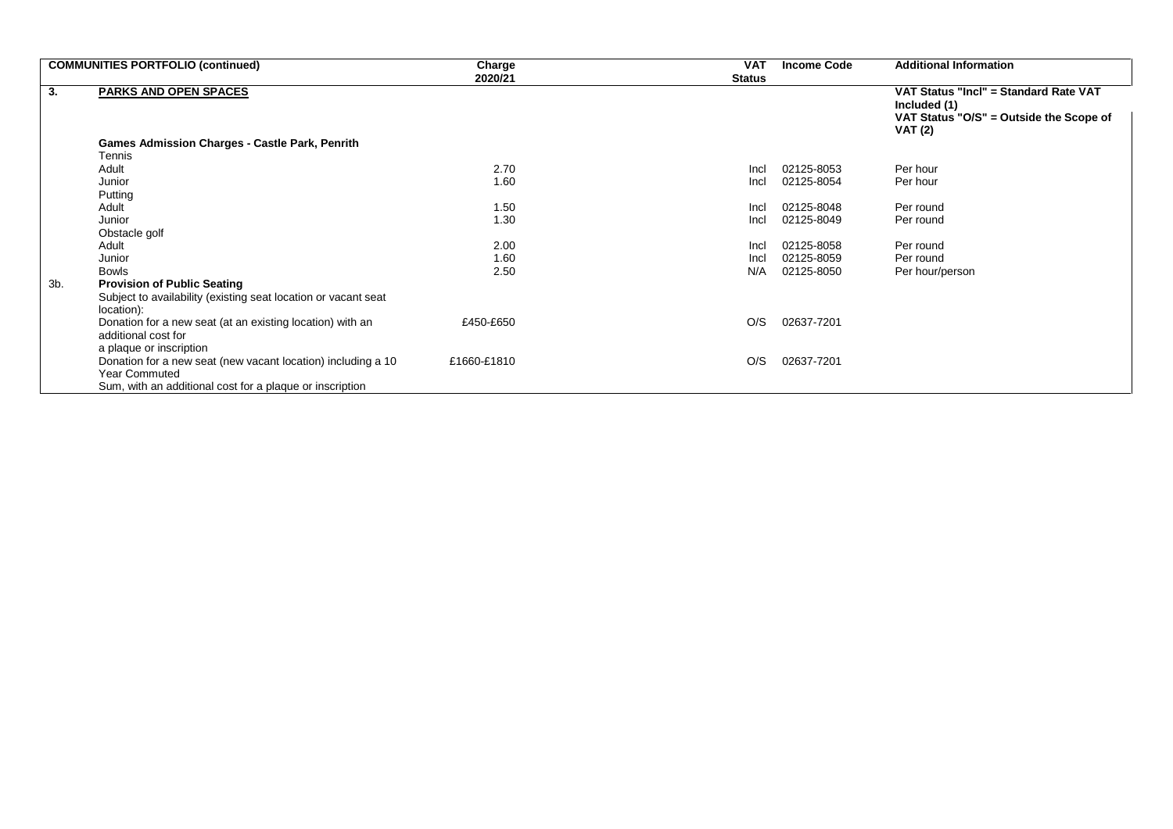|     | <b>COMMUNITIES PORTFOLIO (continued)</b>                                             | Charge      | <b>VAT</b>    | <b>Income Code</b> | <b>Additional Information</b>                                                                    |
|-----|--------------------------------------------------------------------------------------|-------------|---------------|--------------------|--------------------------------------------------------------------------------------------------|
|     |                                                                                      | 2020/21     | <b>Status</b> |                    |                                                                                                  |
| 3.  | <b>PARKS AND OPEN SPACES</b>                                                         |             |               |                    | VAT Status "Incl" = Standard Rate VAT<br>Included (1)<br>VAT Status "O/S" = Outside the Scope of |
|     |                                                                                      |             |               |                    | <b>VAT (2)</b>                                                                                   |
|     | <b>Games Admission Charges - Castle Park, Penrith</b>                                |             |               |                    |                                                                                                  |
|     | <b>Tennis</b>                                                                        |             |               |                    |                                                                                                  |
|     | Adult                                                                                | 2.70        | Incl          | 02125-8053         | Per hour                                                                                         |
|     | Junior                                                                               | 1.60        | Incl          | 02125-8054         | Per hour                                                                                         |
|     | Putting                                                                              |             |               |                    |                                                                                                  |
|     | Adult                                                                                | 1.50        | Incl          | 02125-8048         | Per round                                                                                        |
|     | Junior                                                                               | 1.30        | Incl          | 02125-8049         | Per round                                                                                        |
|     | Obstacle golf                                                                        |             |               |                    |                                                                                                  |
|     | Adult                                                                                | 2.00        | Incl          | 02125-8058         | Per round                                                                                        |
|     | Junior                                                                               | 1.60        | Incl          | 02125-8059         | Per round                                                                                        |
|     | <b>Bowls</b>                                                                         | 2.50        | N/A           | 02125-8050         | Per hour/person                                                                                  |
| 3b. | <b>Provision of Public Seating</b>                                                   |             |               |                    |                                                                                                  |
|     | Subject to availability (existing seat location or vacant seat<br>location):         |             |               |                    |                                                                                                  |
|     | Donation for a new seat (at an existing location) with an                            | £450-£650   | O/S           | 02637-7201         |                                                                                                  |
|     | additional cost for                                                                  |             |               |                    |                                                                                                  |
|     | a plaque or inscription                                                              |             |               |                    |                                                                                                  |
|     | Donation for a new seat (new vacant location) including a 10<br><b>Year Commuted</b> | £1660-£1810 | O/S           | 02637-7201         |                                                                                                  |
|     | Sum, with an additional cost for a plaque or inscription                             |             |               |                    |                                                                                                  |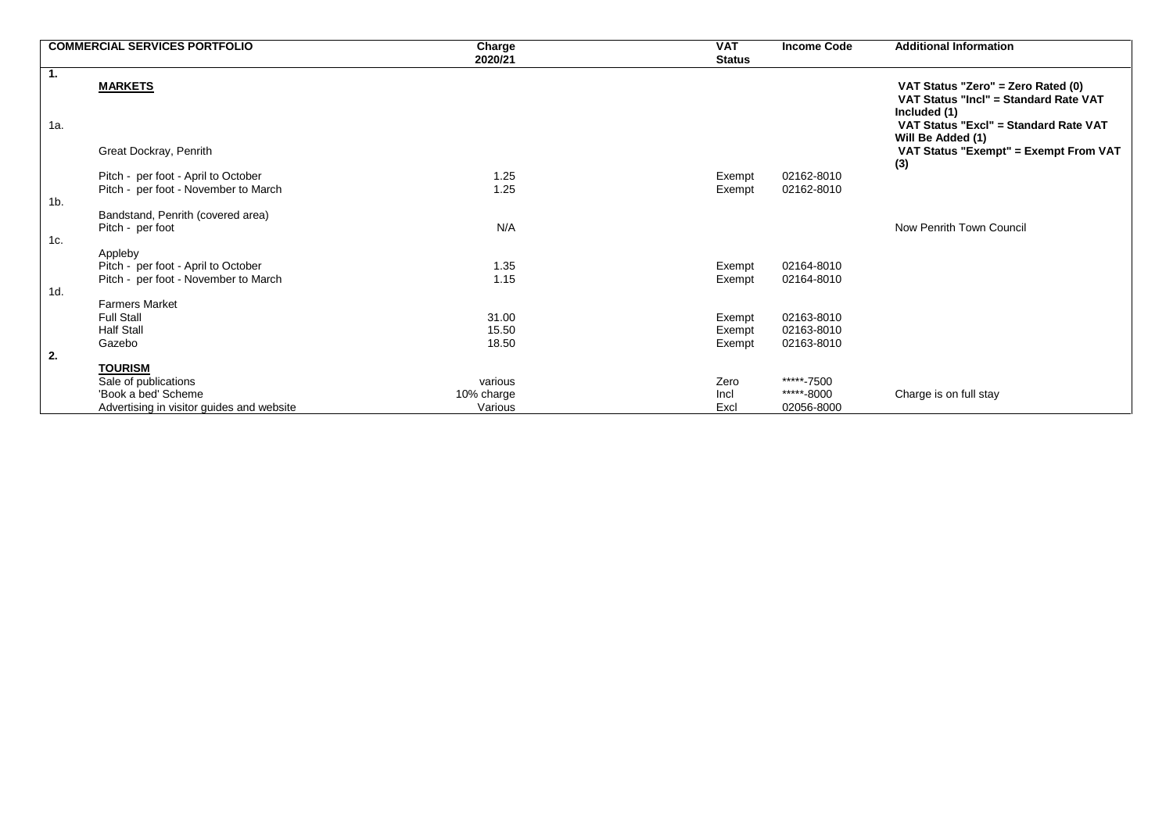|                       | <b>COMMERCIAL SERVICES PORTFOLIO</b>                                                                       | Charge                           | <b>VAT</b>                 | <b>Income Code</b>                     | <b>Additional Information</b>                                                                                                        |
|-----------------------|------------------------------------------------------------------------------------------------------------|----------------------------------|----------------------------|----------------------------------------|--------------------------------------------------------------------------------------------------------------------------------------|
|                       |                                                                                                            | 2020/21                          | <b>Status</b>              |                                        |                                                                                                                                      |
| $\mathbf{1}$ .<br>1a. | <b>MARKETS</b>                                                                                             |                                  |                            |                                        | VAT Status "Zero" = Zero Rated (0)<br>VAT Status "Incl" = Standard Rate VAT<br>Included (1)<br>VAT Status "Excl" = Standard Rate VAT |
|                       | Great Dockray, Penrith                                                                                     |                                  |                            |                                        | Will Be Added (1)<br>VAT Status "Exempt" = Exempt From VAT<br>(3)                                                                    |
| 1 <sub>b</sub>        | Pitch - per foot - April to October<br>Pitch - per foot - November to March                                | 1.25<br>1.25                     | Exempt<br>Exempt           | 02162-8010<br>02162-8010               |                                                                                                                                      |
| 1c.                   | Bandstand, Penrith (covered area)<br>Pitch - per foot                                                      | N/A                              |                            |                                        | Now Penrith Town Council                                                                                                             |
| 1d.                   | Appleby<br>Pitch - per foot - April to October<br>Pitch - per foot - November to March                     | 1.35<br>1.15                     | Exempt<br>Exempt           | 02164-8010<br>02164-8010               |                                                                                                                                      |
|                       | <b>Farmers Market</b><br><b>Full Stall</b><br><b>Half Stall</b><br>Gazebo                                  | 31.00<br>15.50<br>18.50          | Exempt<br>Exempt<br>Exempt | 02163-8010<br>02163-8010<br>02163-8010 |                                                                                                                                      |
| 2.                    | <b>TOURISM</b><br>Sale of publications<br>'Book a bed' Scheme<br>Advertising in visitor guides and website | various<br>10% charge<br>Various | Zero<br>Incl<br>Excl       | *****-7500<br>*****-8000<br>02056-8000 | Charge is on full stay                                                                                                               |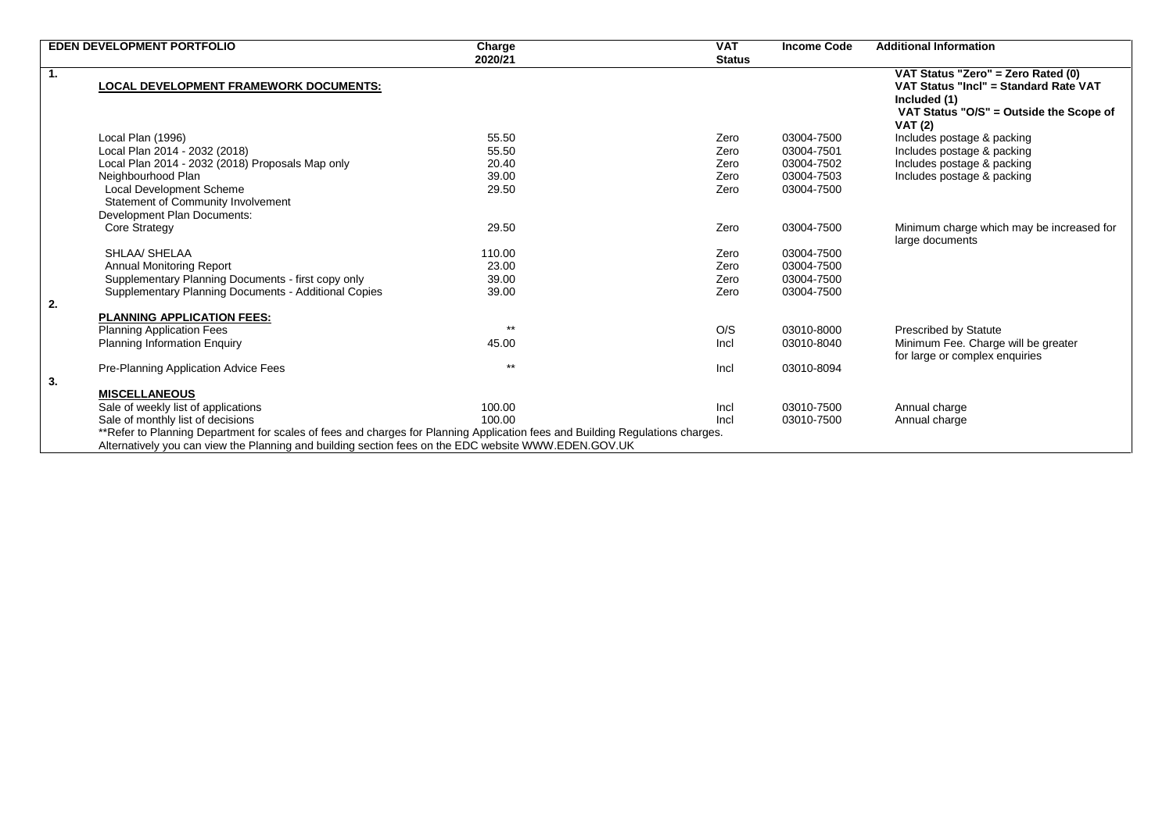|    | <b>EDEN DEVELOPMENT PORTFOLIO</b>                                                                                                                                                                                                     | Charge  | <b>VAT</b>    | <b>Income Code</b> | <b>Additional Information</b>                                                                                                                            |
|----|---------------------------------------------------------------------------------------------------------------------------------------------------------------------------------------------------------------------------------------|---------|---------------|--------------------|----------------------------------------------------------------------------------------------------------------------------------------------------------|
|    |                                                                                                                                                                                                                                       | 2020/21 | <b>Status</b> |                    |                                                                                                                                                          |
| 1. | <b>LOCAL DEVELOPMENT FRAMEWORK DOCUMENTS:</b>                                                                                                                                                                                         |         |               |                    | VAT Status "Zero" = Zero Rated (0)<br>VAT Status "Incl" = Standard Rate VAT<br>Included (1)<br>VAT Status "O/S" = Outside the Scope of<br><b>VAT (2)</b> |
|    | Local Plan (1996)                                                                                                                                                                                                                     | 55.50   | Zero          | 03004-7500         | Includes postage & packing                                                                                                                               |
|    | Local Plan 2014 - 2032 (2018)                                                                                                                                                                                                         | 55.50   | Zero          | 03004-7501         | Includes postage & packing                                                                                                                               |
|    | Local Plan 2014 - 2032 (2018) Proposals Map only                                                                                                                                                                                      | 20.40   | Zero          | 03004-7502         | Includes postage & packing                                                                                                                               |
|    | Neighbourhood Plan                                                                                                                                                                                                                    | 39.00   | Zero          | 03004-7503         | Includes postage & packing                                                                                                                               |
|    | Local Development Scheme                                                                                                                                                                                                              | 29.50   | Zero          | 03004-7500         |                                                                                                                                                          |
|    | Statement of Community Involvement<br>Development Plan Documents:                                                                                                                                                                     |         |               |                    |                                                                                                                                                          |
|    | Core Strategy                                                                                                                                                                                                                         | 29.50   | Zero          | 03004-7500         | Minimum charge which may be increased for<br>large documents                                                                                             |
|    | SHLAA/ SHELAA                                                                                                                                                                                                                         | 110.00  | Zero          | 03004-7500         |                                                                                                                                                          |
|    | <b>Annual Monitoring Report</b>                                                                                                                                                                                                       | 23.00   | Zero          | 03004-7500         |                                                                                                                                                          |
|    | Supplementary Planning Documents - first copy only                                                                                                                                                                                    | 39.00   | Zero          | 03004-7500         |                                                                                                                                                          |
|    | Supplementary Planning Documents - Additional Copies                                                                                                                                                                                  | 39.00   | Zero          | 03004-7500         |                                                                                                                                                          |
| 2. | <b>PLANNING APPLICATION FEES:</b>                                                                                                                                                                                                     |         |               |                    |                                                                                                                                                          |
|    | <b>Planning Application Fees</b>                                                                                                                                                                                                      | $***$   | O/S           | 03010-8000         | <b>Prescribed by Statute</b>                                                                                                                             |
|    | <b>Planning Information Enquiry</b>                                                                                                                                                                                                   | 45.00   | Incl          | 03010-8040         | Minimum Fee. Charge will be greater<br>for large or complex enquiries                                                                                    |
| 3. | Pre-Planning Application Advice Fees                                                                                                                                                                                                  | $***$   | Incl          | 03010-8094         |                                                                                                                                                          |
|    | <b>MISCELLANEOUS</b>                                                                                                                                                                                                                  |         |               |                    |                                                                                                                                                          |
|    | Sale of weekly list of applications                                                                                                                                                                                                   | 100.00  | Incl          | 03010-7500         | Annual charge                                                                                                                                            |
|    | Sale of monthly list of decisions                                                                                                                                                                                                     | 100.00  | Incl          | 03010-7500         | Annual charge                                                                                                                                            |
|    | **Refer to Planning Department for scales of fees and charges for Planning Application fees and Building Regulations charges.<br>Alternatively you can view the Planning and building section fees on the EDC website WWW.EDEN.GOV.UK |         |               |                    |                                                                                                                                                          |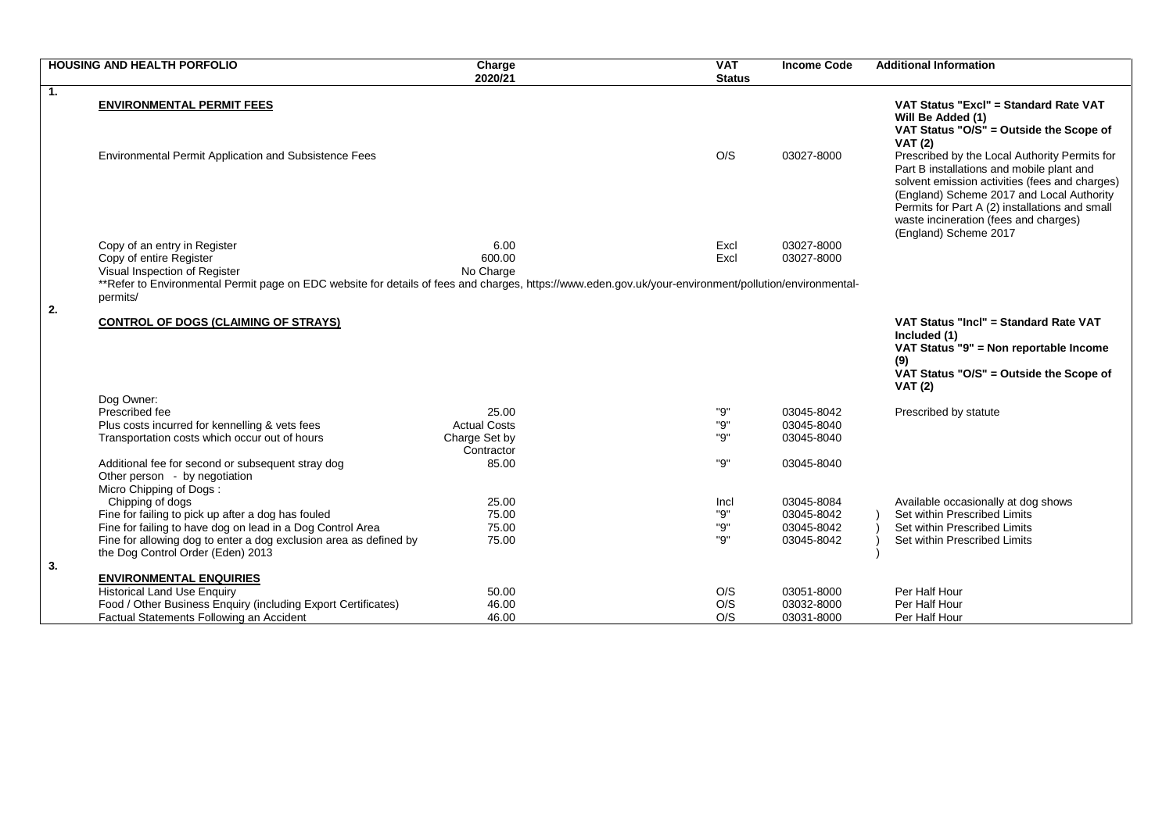|    | <b>HOUSING AND HEALTH PORFOLIO</b>                                                                                                                                 | Charge<br>2020/21   | <b>VAT</b><br><b>Status</b> | <b>Income Code</b> | <b>Additional Information</b>                                                                                                                                                                                                                                                                                 |  |  |  |
|----|--------------------------------------------------------------------------------------------------------------------------------------------------------------------|---------------------|-----------------------------|--------------------|---------------------------------------------------------------------------------------------------------------------------------------------------------------------------------------------------------------------------------------------------------------------------------------------------------------|--|--|--|
| 1. |                                                                                                                                                                    |                     |                             |                    |                                                                                                                                                                                                                                                                                                               |  |  |  |
|    | <b>ENVIRONMENTAL PERMIT FEES</b>                                                                                                                                   |                     |                             |                    | VAT Status "Excl" = Standard Rate VAT<br>Will Be Added (1)<br>VAT Status "O/S" = Outside the Scope of<br><b>VAT (2)</b>                                                                                                                                                                                       |  |  |  |
|    | Environmental Permit Application and Subsistence Fees                                                                                                              |                     | O/S                         | 03027-8000         | Prescribed by the Local Authority Permits for<br>Part B installations and mobile plant and<br>solvent emission activities (fees and charges)<br>(England) Scheme 2017 and Local Authority<br>Permits for Part A (2) installations and small<br>waste incineration (fees and charges)<br>(England) Scheme 2017 |  |  |  |
|    | Copy of an entry in Register                                                                                                                                       | 6.00                | Excl                        | 03027-8000         |                                                                                                                                                                                                                                                                                                               |  |  |  |
|    | Copy of entire Register                                                                                                                                            | 600.00              | Excl                        | 03027-8000         |                                                                                                                                                                                                                                                                                                               |  |  |  |
|    | Visual Inspection of Register                                                                                                                                      | No Charge           |                             |                    |                                                                                                                                                                                                                                                                                                               |  |  |  |
|    | **Refer to Environmental Permit page on EDC website for details of fees and charges, https://www.eden.gov.uk/your-environment/pollution/environmental-<br>permits/ |                     |                             |                    |                                                                                                                                                                                                                                                                                                               |  |  |  |
| 2. | <b>CONTROL OF DOGS (CLAIMING OF STRAYS)</b>                                                                                                                        |                     |                             |                    | VAT Status "Incl" = Standard Rate VAT                                                                                                                                                                                                                                                                         |  |  |  |
|    |                                                                                                                                                                    |                     |                             |                    | Included (1)<br>VAT Status "9" = Non reportable Income<br>(9)                                                                                                                                                                                                                                                 |  |  |  |
|    |                                                                                                                                                                    |                     |                             |                    | VAT Status "O/S" = Outside the Scope of<br><b>VAT (2)</b>                                                                                                                                                                                                                                                     |  |  |  |
|    | Dog Owner:                                                                                                                                                         |                     |                             |                    |                                                                                                                                                                                                                                                                                                               |  |  |  |
|    | Prescribed fee                                                                                                                                                     | 25.00               | "9"                         | 03045-8042         | Prescribed by statute                                                                                                                                                                                                                                                                                         |  |  |  |
|    | Plus costs incurred for kennelling & vets fees                                                                                                                     | <b>Actual Costs</b> | "9"                         | 03045-8040         |                                                                                                                                                                                                                                                                                                               |  |  |  |
|    | Transportation costs which occur out of hours                                                                                                                      | Charge Set by       | "9"                         | 03045-8040         |                                                                                                                                                                                                                                                                                                               |  |  |  |
|    |                                                                                                                                                                    | Contractor          |                             |                    |                                                                                                                                                                                                                                                                                                               |  |  |  |
|    | Additional fee for second or subsequent stray dog<br>Other person - by negotiation<br>Micro Chipping of Dogs:                                                      | 85.00               | "9"                         | 03045-8040         |                                                                                                                                                                                                                                                                                                               |  |  |  |
|    | Chipping of dogs                                                                                                                                                   | 25.00               | Incl                        | 03045-8084         | Available occasionally at dog shows                                                                                                                                                                                                                                                                           |  |  |  |
|    | Fine for failing to pick up after a dog has fouled                                                                                                                 | 75.00               | "9"                         | 03045-8042         | Set within Prescribed Limits                                                                                                                                                                                                                                                                                  |  |  |  |
|    | Fine for failing to have dog on lead in a Dog Control Area                                                                                                         | 75.00               | "9"                         | 03045-8042         | Set within Prescribed Limits                                                                                                                                                                                                                                                                                  |  |  |  |
|    | Fine for allowing dog to enter a dog exclusion area as defined by                                                                                                  | 75.00               | "9"                         | 03045-8042         | Set within Prescribed Limits                                                                                                                                                                                                                                                                                  |  |  |  |
|    | the Dog Control Order (Eden) 2013                                                                                                                                  |                     |                             |                    |                                                                                                                                                                                                                                                                                                               |  |  |  |
| 3. |                                                                                                                                                                    |                     |                             |                    |                                                                                                                                                                                                                                                                                                               |  |  |  |
|    | <b>ENVIRONMENTAL ENQUIRIES</b>                                                                                                                                     |                     |                             |                    |                                                                                                                                                                                                                                                                                                               |  |  |  |
|    | <b>Historical Land Use Enquiry</b>                                                                                                                                 | 50.00               | O/S                         | 03051-8000         | Per Half Hour                                                                                                                                                                                                                                                                                                 |  |  |  |
|    | Food / Other Business Enquiry (including Export Certificates)                                                                                                      | 46.00               | O/S                         | 03032-8000         | Per Half Hour                                                                                                                                                                                                                                                                                                 |  |  |  |
|    | Factual Statements Following an Accident                                                                                                                           | 46.00               | O/S                         | 03031-8000         | Per Half Hour                                                                                                                                                                                                                                                                                                 |  |  |  |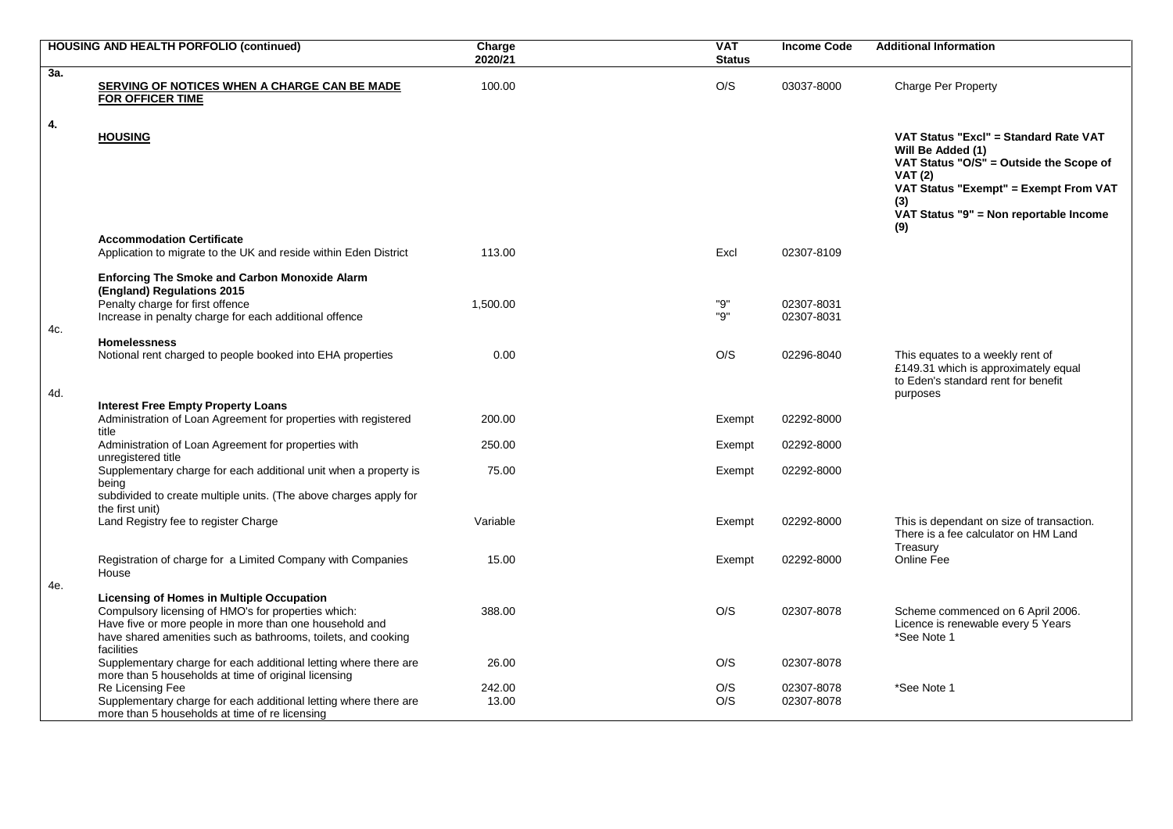|     | <b>HOUSING AND HEALTH PORFOLIO (continued)</b>                                                                                                                                                                                                    | Charge<br>2020/21 | <b>VAT</b><br><b>Status</b> | <b>Income Code</b>       | <b>Additional Information</b>                                                                                                                                                                                            |
|-----|---------------------------------------------------------------------------------------------------------------------------------------------------------------------------------------------------------------------------------------------------|-------------------|-----------------------------|--------------------------|--------------------------------------------------------------------------------------------------------------------------------------------------------------------------------------------------------------------------|
| За. | SERVING OF NOTICES WHEN A CHARGE CAN BE MADE<br>FOR OFFICER TIME                                                                                                                                                                                  | 100.00            | O/S                         | 03037-8000               | Charge Per Property                                                                                                                                                                                                      |
| 4.  | <b>HOUSING</b>                                                                                                                                                                                                                                    |                   |                             |                          | VAT Status "Excl" = Standard Rate VAT<br>Will Be Added (1)<br>VAT Status "O/S" = Outside the Scope of<br><b>VAT (2)</b><br>VAT Status "Exempt" = Exempt From VAT<br>(3)<br>VAT Status "9" = Non reportable Income<br>(9) |
|     | <b>Accommodation Certificate</b><br>Application to migrate to the UK and reside within Eden District                                                                                                                                              | 113.00            | Excl                        | 02307-8109               |                                                                                                                                                                                                                          |
|     | <b>Enforcing The Smoke and Carbon Monoxide Alarm</b><br>(England) Regulations 2015<br>Penalty charge for first offence                                                                                                                            | 1,500.00          | "9"                         | 02307-8031               |                                                                                                                                                                                                                          |
| 4c. | Increase in penalty charge for each additional offence                                                                                                                                                                                            |                   | "9"                         | 02307-8031               |                                                                                                                                                                                                                          |
|     | <b>Homelessness</b><br>Notional rent charged to people booked into EHA properties                                                                                                                                                                 | 0.00              | O/S                         | 02296-8040               | This equates to a weekly rent of<br>£149.31 which is approximately equal<br>to Eden's standard rent for benefit                                                                                                          |
| 4d. | <b>Interest Free Empty Property Loans</b>                                                                                                                                                                                                         |                   |                             |                          | purposes                                                                                                                                                                                                                 |
|     | Administration of Loan Agreement for properties with registered<br>title                                                                                                                                                                          | 200.00            | Exempt                      | 02292-8000               |                                                                                                                                                                                                                          |
|     | Administration of Loan Agreement for properties with<br>unregistered title                                                                                                                                                                        | 250.00            | Exempt                      | 02292-8000               |                                                                                                                                                                                                                          |
|     | Supplementary charge for each additional unit when a property is<br>being                                                                                                                                                                         | 75.00             | Exempt                      | 02292-8000               |                                                                                                                                                                                                                          |
|     | subdivided to create multiple units. (The above charges apply for<br>the first unit)                                                                                                                                                              |                   |                             |                          |                                                                                                                                                                                                                          |
|     | Land Registry fee to register Charge                                                                                                                                                                                                              | Variable          | Exempt                      | 02292-8000               | This is dependant on size of transaction.<br>There is a fee calculator on HM Land<br>Treasury                                                                                                                            |
| 4e. | Registration of charge for a Limited Company with Companies<br>House                                                                                                                                                                              | 15.00             | Exempt                      | 02292-8000               | Online Fee                                                                                                                                                                                                               |
|     | <b>Licensing of Homes in Multiple Occupation</b><br>Compulsory licensing of HMO's for properties which:<br>Have five or more people in more than one household and<br>have shared amenities such as bathrooms, toilets, and cooking<br>facilities | 388.00            | O/S                         | 02307-8078               | Scheme commenced on 6 April 2006.<br>Licence is renewable every 5 Years<br>*See Note 1                                                                                                                                   |
|     | Supplementary charge for each additional letting where there are<br>more than 5 households at time of original licensing                                                                                                                          | 26.00             | O/S                         | 02307-8078               |                                                                                                                                                                                                                          |
|     | Re Licensing Fee<br>Supplementary charge for each additional letting where there are<br>more than 5 households at time of re licensing                                                                                                            | 242.00<br>13.00   | O/S<br>O/S                  | 02307-8078<br>02307-8078 | *See Note 1                                                                                                                                                                                                              |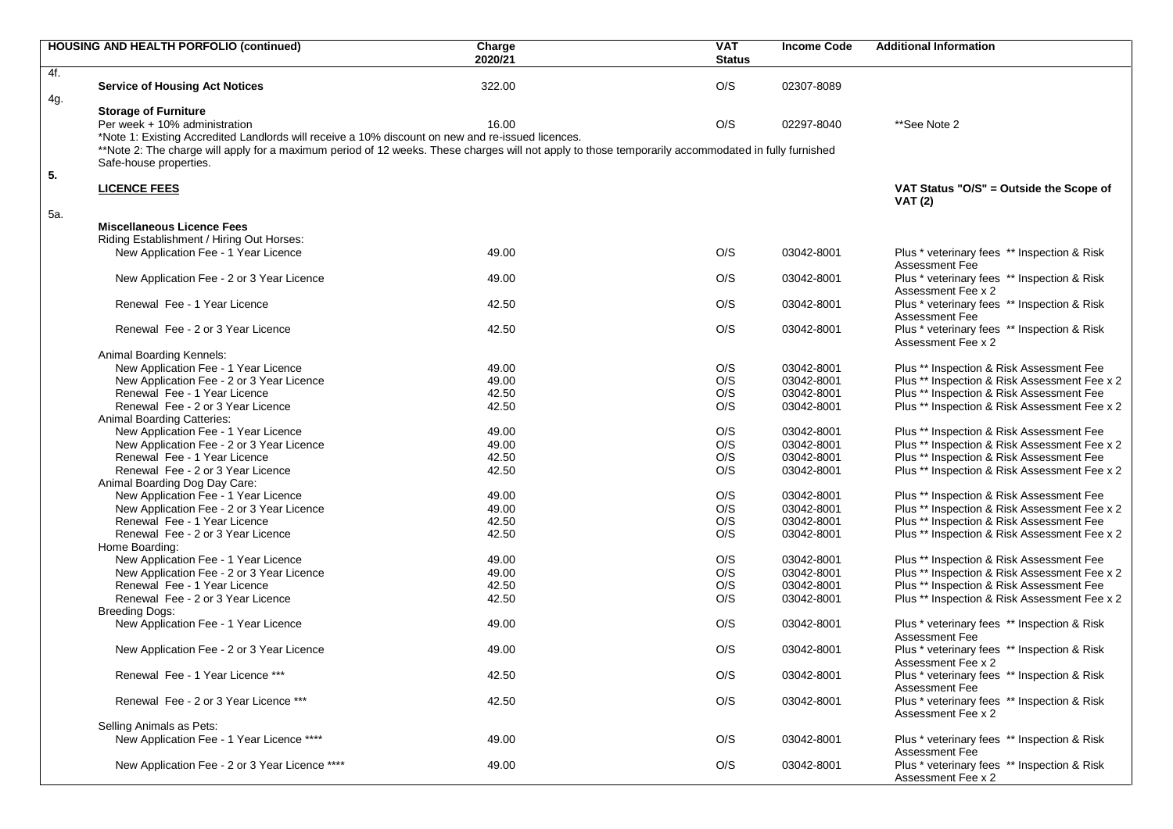|     | <b>HOUSING AND HEALTH PORFOLIO (continued)</b>                                                                                                      | Charge  | <b>VAT</b>    | <b>Income Code</b> | <b>Additional Information</b>                |
|-----|-----------------------------------------------------------------------------------------------------------------------------------------------------|---------|---------------|--------------------|----------------------------------------------|
|     |                                                                                                                                                     | 2020/21 | <b>Status</b> |                    |                                              |
| 4f. |                                                                                                                                                     |         |               |                    |                                              |
|     | <b>Service of Housing Act Notices</b>                                                                                                               | 322.00  | O/S           | 02307-8089         |                                              |
| 4g. |                                                                                                                                                     |         |               |                    |                                              |
|     | <b>Storage of Furniture</b>                                                                                                                         |         |               |                    |                                              |
|     | Per week + 10% administration                                                                                                                       | 16.00   | O/S           | 02297-8040         | **See Note 2                                 |
|     | *Note 1: Existing Accredited Landlords will receive a 10% discount on new and re-issued licences.                                                   |         |               |                    |                                              |
|     | **Note 2: The charge will apply for a maximum period of 12 weeks. These charges will not apply to those temporarily accommodated in fully furnished |         |               |                    |                                              |
|     | Safe-house properties.                                                                                                                              |         |               |                    |                                              |
| 5.  |                                                                                                                                                     |         |               |                    |                                              |
|     | <b>LICENCE FEES</b>                                                                                                                                 |         |               |                    | VAT Status "O/S" = Outside the Scope of      |
|     |                                                                                                                                                     |         |               |                    | <b>VAT (2)</b>                               |
| 5a. |                                                                                                                                                     |         |               |                    |                                              |
|     | <b>Miscellaneous Licence Fees</b>                                                                                                                   |         |               |                    |                                              |
|     | Riding Establishment / Hiring Out Horses:                                                                                                           |         |               |                    |                                              |
|     |                                                                                                                                                     |         |               |                    |                                              |
|     | New Application Fee - 1 Year Licence                                                                                                                | 49.00   | O/S           | 03042-8001         | Plus * veterinary fees ** Inspection & Risk  |
|     |                                                                                                                                                     |         |               |                    | Assessment Fee                               |
|     | New Application Fee - 2 or 3 Year Licence                                                                                                           | 49.00   | O/S           | 03042-8001         | Plus * veterinary fees ** Inspection & Risk  |
|     |                                                                                                                                                     |         |               |                    | Assessment Fee x 2                           |
|     | Renewal Fee - 1 Year Licence                                                                                                                        | 42.50   | O/S           | 03042-8001         | Plus * veterinary fees ** Inspection & Risk  |
|     |                                                                                                                                                     |         |               |                    | Assessment Fee                               |
|     | Renewal Fee - 2 or 3 Year Licence                                                                                                                   | 42.50   | O/S           | 03042-8001         | Plus * veterinary fees ** Inspection & Risk  |
|     |                                                                                                                                                     |         |               |                    | Assessment Fee x 2                           |
|     | Animal Boarding Kennels:                                                                                                                            |         |               |                    |                                              |
|     | New Application Fee - 1 Year Licence                                                                                                                | 49.00   | O/S           | 03042-8001         | Plus ** Inspection & Risk Assessment Fee     |
|     | New Application Fee - 2 or 3 Year Licence                                                                                                           | 49.00   | O/S           | 03042-8001         | Plus ** Inspection & Risk Assessment Fee x 2 |
|     | Renewal Fee - 1 Year Licence                                                                                                                        | 42.50   | O/S           | 03042-8001         | Plus ** Inspection & Risk Assessment Fee     |
|     | Renewal Fee - 2 or 3 Year Licence                                                                                                                   | 42.50   | O/S           | 03042-8001         | Plus ** Inspection & Risk Assessment Fee x 2 |
|     | <b>Animal Boarding Catteries:</b>                                                                                                                   |         |               |                    |                                              |
|     |                                                                                                                                                     |         |               | 03042-8001         |                                              |
|     | New Application Fee - 1 Year Licence                                                                                                                | 49.00   | O/S           |                    | Plus ** Inspection & Risk Assessment Fee     |
|     | New Application Fee - 2 or 3 Year Licence                                                                                                           | 49.00   | O/S           | 03042-8001         | Plus ** Inspection & Risk Assessment Fee x 2 |
|     | Renewal Fee - 1 Year Licence                                                                                                                        | 42.50   | O/S           | 03042-8001         | Plus ** Inspection & Risk Assessment Fee     |
|     | Renewal Fee - 2 or 3 Year Licence                                                                                                                   | 42.50   | O/S           | 03042-8001         | Plus ** Inspection & Risk Assessment Fee x 2 |
|     | Animal Boarding Dog Day Care:                                                                                                                       |         |               |                    |                                              |
|     | New Application Fee - 1 Year Licence                                                                                                                | 49.00   | O/S           | 03042-8001         | Plus ** Inspection & Risk Assessment Fee     |
|     | New Application Fee - 2 or 3 Year Licence                                                                                                           | 49.00   | O/S           | 03042-8001         | Plus ** Inspection & Risk Assessment Fee x 2 |
|     | Renewal Fee - 1 Year Licence                                                                                                                        | 42.50   | O/S           | 03042-8001         | Plus ** Inspection & Risk Assessment Fee     |
|     | Renewal Fee - 2 or 3 Year Licence                                                                                                                   | 42.50   | O/S           | 03042-8001         | Plus ** Inspection & Risk Assessment Fee x 2 |
|     | Home Boarding:                                                                                                                                      |         |               |                    |                                              |
|     | New Application Fee - 1 Year Licence                                                                                                                | 49.00   | O/S           | 03042-8001         | Plus ** Inspection & Risk Assessment Fee     |
|     | New Application Fee - 2 or 3 Year Licence                                                                                                           | 49.00   | O/S           | 03042-8001         | Plus ** Inspection & Risk Assessment Fee x 2 |
|     | Renewal Fee - 1 Year Licence                                                                                                                        | 42.50   | O/S           | 03042-8001         | Plus ** Inspection & Risk Assessment Fee     |
|     | Renewal Fee - 2 or 3 Year Licence                                                                                                                   | 42.50   | O/S           | 03042-8001         | Plus ** Inspection & Risk Assessment Fee x 2 |
|     | <b>Breeding Dogs:</b>                                                                                                                               |         |               |                    |                                              |
|     | New Application Fee - 1 Year Licence                                                                                                                | 49.00   | O/S           | 03042-8001         | Plus * veterinary fees ** Inspection & Risk  |
|     |                                                                                                                                                     |         |               |                    | Assessment Fee                               |
|     |                                                                                                                                                     |         |               |                    |                                              |
|     | New Application Fee - 2 or 3 Year Licence                                                                                                           | 49.00   | O/S           | 03042-8001         | Plus * veterinary fees ** Inspection & Risk  |
|     |                                                                                                                                                     |         |               |                    | Assessment Fee x 2                           |
|     | Renewal Fee - 1 Year Licence ***                                                                                                                    | 42.50   | O/S           | 03042-8001         | Plus * veterinary fees ** Inspection & Risk  |
|     |                                                                                                                                                     |         |               |                    | <b>Assessment Fee</b>                        |
|     | Renewal Fee - 2 or 3 Year Licence ***                                                                                                               | 42.50   | O/S           | 03042-8001         | Plus * veterinary fees ** Inspection & Risk  |
|     |                                                                                                                                                     |         |               |                    | Assessment Fee x 2                           |
|     | Selling Animals as Pets:                                                                                                                            |         |               |                    |                                              |
|     | New Application Fee - 1 Year Licence ****                                                                                                           | 49.00   | O/S           | 03042-8001         | Plus * veterinary fees ** Inspection & Risk  |
|     |                                                                                                                                                     |         |               |                    | <b>Assessment Fee</b>                        |
|     | New Application Fee - 2 or 3 Year Licence ****                                                                                                      | 49.00   | O/S           | 03042-8001         | Plus * veterinary fees ** Inspection & Risk  |
|     |                                                                                                                                                     |         |               |                    | Assessment Fee x 2                           |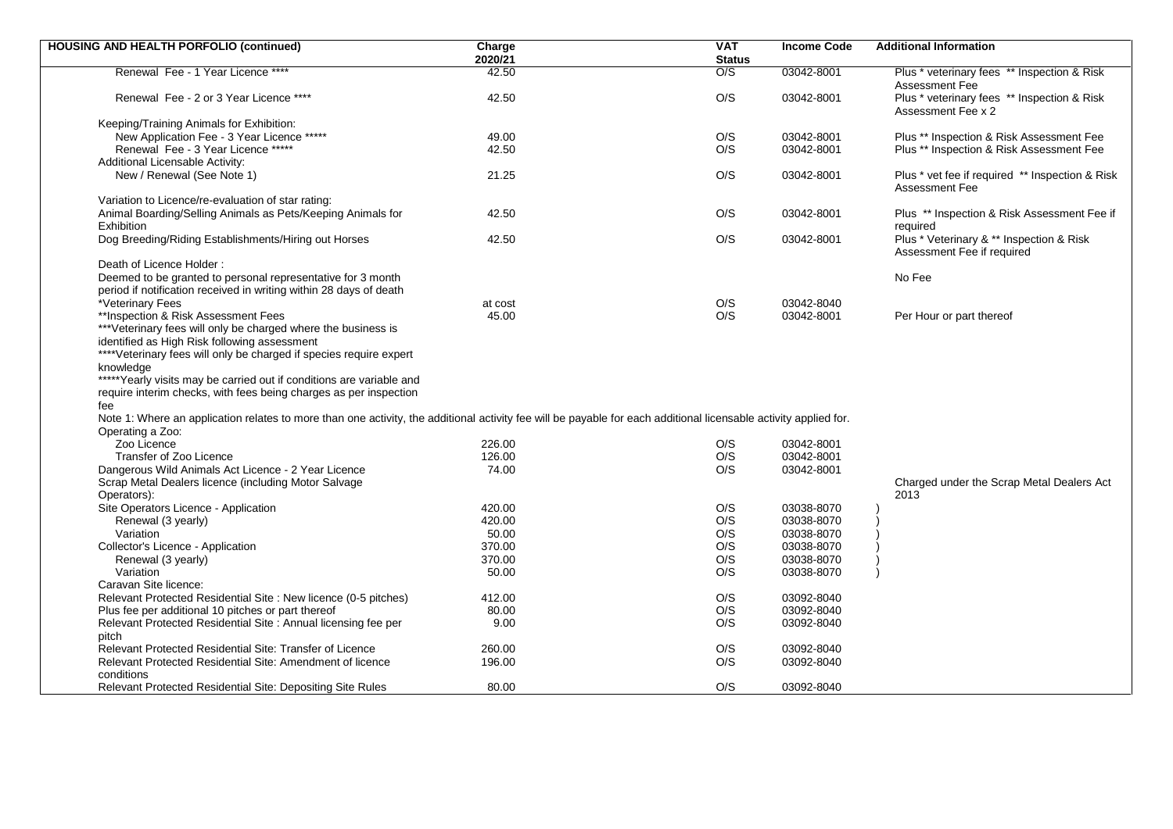| <b>HOUSING AND HEALTH PORFOLIO (continued)</b>                                                                                                                   | Charge<br>2020/21 | <b>VAT</b><br><b>Status</b> | <b>Income Code</b> | <b>Additional Information</b>                                            |
|------------------------------------------------------------------------------------------------------------------------------------------------------------------|-------------------|-----------------------------|--------------------|--------------------------------------------------------------------------|
| Renewal Fee - 1 Year Licence ****                                                                                                                                | 42.50             | O/S                         | 03042-8001         | Plus * veterinary fees ** Inspection & Risk                              |
|                                                                                                                                                                  |                   |                             |                    | <b>Assessment Fee</b>                                                    |
| Renewal Fee - 2 or 3 Year Licence ****                                                                                                                           | 42.50             | O/S                         | 03042-8001         | Plus * veterinary fees ** Inspection & Risk<br>Assessment Fee x 2        |
| Keeping/Training Animals for Exhibition:                                                                                                                         |                   |                             |                    |                                                                          |
| New Application Fee - 3 Year Licence *****                                                                                                                       | 49.00             | O/S                         | 03042-8001         | Plus ** Inspection & Risk Assessment Fee                                 |
| Renewal Fee - 3 Year Licence *****                                                                                                                               | 42.50             | O/S                         | 03042-8001         | Plus ** Inspection & Risk Assessment Fee                                 |
| Additional Licensable Activity:                                                                                                                                  |                   |                             |                    |                                                                          |
| New / Renewal (See Note 1)                                                                                                                                       | 21.25             | O/S                         | 03042-8001         | Plus * vet fee if required ** Inspection & Risk<br><b>Assessment Fee</b> |
| Variation to Licence/re-evaluation of star rating:                                                                                                               |                   |                             |                    |                                                                          |
| Animal Boarding/Selling Animals as Pets/Keeping Animals for<br><b>Exhibition</b>                                                                                 | 42.50             | O/S                         | 03042-8001         | Plus ** Inspection & Risk Assessment Fee if<br>required                  |
| Dog Breeding/Riding Establishments/Hiring out Horses                                                                                                             | 42.50             | O/S                         | 03042-8001         | Plus * Veterinary & ** Inspection & Risk<br>Assessment Fee if required   |
| Death of Licence Holder:                                                                                                                                         |                   |                             |                    |                                                                          |
| Deemed to be granted to personal representative for 3 month                                                                                                      |                   |                             |                    | No Fee                                                                   |
| period if notification received in writing within 28 days of death                                                                                               |                   |                             |                    |                                                                          |
| *Veterinary Fees                                                                                                                                                 | at cost           | O/S                         | 03042-8040         |                                                                          |
| **Inspection & Risk Assessment Fees                                                                                                                              | 45.00             | O/S                         | 03042-8001         | Per Hour or part thereof                                                 |
| *** Veterinary fees will only be charged where the business is                                                                                                   |                   |                             |                    |                                                                          |
| identified as High Risk following assessment                                                                                                                     |                   |                             |                    |                                                                          |
| ****Veterinary fees will only be charged if species require expert                                                                                               |                   |                             |                    |                                                                          |
| knowledge                                                                                                                                                        |                   |                             |                    |                                                                          |
| *****Yearly visits may be carried out if conditions are variable and                                                                                             |                   |                             |                    |                                                                          |
| require interim checks, with fees being charges as per inspection                                                                                                |                   |                             |                    |                                                                          |
| fee                                                                                                                                                              |                   |                             |                    |                                                                          |
| Note 1: Where an application relates to more than one activity, the additional activity fee will be payable for each additional licensable activity applied for. |                   |                             |                    |                                                                          |
| Operating a Zoo:                                                                                                                                                 |                   |                             |                    |                                                                          |
| Zoo Licence                                                                                                                                                      | 226.00            | O/S                         | 03042-8001         |                                                                          |
| Transfer of Zoo Licence                                                                                                                                          | 126.00            | O/S                         | 03042-8001         |                                                                          |
| Dangerous Wild Animals Act Licence - 2 Year Licence                                                                                                              | 74.00             | O/S                         | 03042-8001         |                                                                          |
| Scrap Metal Dealers licence (including Motor Salvage                                                                                                             |                   |                             |                    | Charged under the Scrap Metal Dealers Act                                |
| Operators):                                                                                                                                                      |                   |                             |                    | 2013                                                                     |
| Site Operators Licence - Application                                                                                                                             | 420.00            | O/S                         | 03038-8070         |                                                                          |
| Renewal (3 yearly)                                                                                                                                               | 420.00            | O/S                         | 03038-8070         |                                                                          |
| Variation                                                                                                                                                        | 50.00             | O/S                         | 03038-8070         |                                                                          |
| Collector's Licence - Application                                                                                                                                | 370.00            | O/S                         | 03038-8070         |                                                                          |
| Renewal (3 yearly)                                                                                                                                               | 370.00            | O/S                         | 03038-8070         |                                                                          |
| Variation                                                                                                                                                        | 50.00             | O/S                         | 03038-8070         |                                                                          |
| Caravan Site licence:                                                                                                                                            |                   |                             |                    |                                                                          |
| Relevant Protected Residential Site : New licence (0-5 pitches)                                                                                                  | 412.00            | O/S                         | 03092-8040         |                                                                          |
| Plus fee per additional 10 pitches or part thereof                                                                                                               | 80.00             | O/S                         | 03092-8040         |                                                                          |
| Relevant Protected Residential Site : Annual licensing fee per<br>pitch                                                                                          | 9.00              | O/S                         | 03092-8040         |                                                                          |
| Relevant Protected Residential Site: Transfer of Licence                                                                                                         | 260.00            | O/S                         | 03092-8040         |                                                                          |
| Relevant Protected Residential Site: Amendment of licence<br>conditions                                                                                          | 196.00            | O/S                         | 03092-8040         |                                                                          |
| Relevant Protected Residential Site: Depositing Site Rules                                                                                                       | 80.00             | O/S                         | 03092-8040         |                                                                          |
|                                                                                                                                                                  |                   |                             |                    |                                                                          |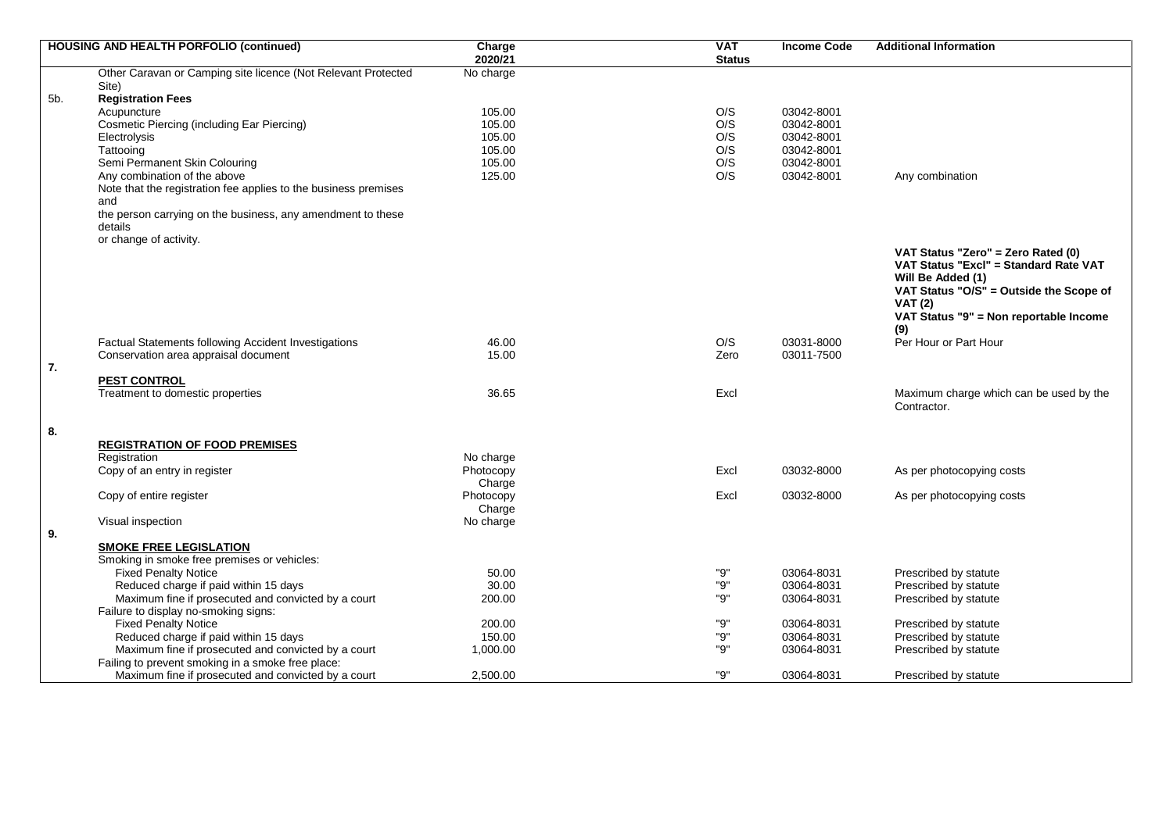|                  | <b>HOUSING AND HEALTH PORFOLIO (continued)</b>                  | Charge    | <b>VAT</b> |               | <b>Income Code</b> | <b>Additional Information</b>           |
|------------------|-----------------------------------------------------------------|-----------|------------|---------------|--------------------|-----------------------------------------|
|                  |                                                                 | 2020/21   |            | <b>Status</b> |                    |                                         |
|                  | Other Caravan or Camping site licence (Not Relevant Protected   | No charge |            |               |                    |                                         |
|                  | Site)                                                           |           |            |               |                    |                                         |
| 5 <sub>b</sub> . | <b>Registration Fees</b>                                        |           |            |               |                    |                                         |
|                  | Acupuncture                                                     | 105.00    | O/S        |               | 03042-8001         |                                         |
|                  | Cosmetic Piercing (including Ear Piercing)                      | 105.00    | O/S        |               | 03042-8001         |                                         |
|                  | Electrolysis                                                    | 105.00    | O/S        |               | 03042-8001         |                                         |
|                  | Tattooing                                                       | 105.00    | O/S        |               | 03042-8001         |                                         |
|                  | Semi Permanent Skin Colouring                                   | 105.00    | O/S        |               | 03042-8001         |                                         |
|                  | Any combination of the above                                    | 125.00    | O/S        |               | 03042-8001         | Any combination                         |
|                  | Note that the registration fee applies to the business premises |           |            |               |                    |                                         |
|                  | and                                                             |           |            |               |                    |                                         |
|                  | the person carrying on the business, any amendment to these     |           |            |               |                    |                                         |
|                  | details<br>or change of activity.                               |           |            |               |                    |                                         |
|                  |                                                                 |           |            |               |                    | VAT Status "Zero" = Zero Rated (0)      |
|                  |                                                                 |           |            |               |                    | VAT Status "Excl" = Standard Rate VAT   |
|                  |                                                                 |           |            |               |                    | Will Be Added (1)                       |
|                  |                                                                 |           |            |               |                    | VAT Status "O/S" = Outside the Scope of |
|                  |                                                                 |           |            |               |                    | <b>VAT (2)</b>                          |
|                  |                                                                 |           |            |               |                    | VAT Status "9" = Non reportable Income  |
|                  |                                                                 |           |            |               |                    | (9)                                     |
|                  | Factual Statements following Accident Investigations            | 46.00     | O/S        |               | 03031-8000         | Per Hour or Part Hour                   |
|                  | Conservation area appraisal document                            | 15.00     | Zero       |               | 03011-7500         |                                         |
| 7.               |                                                                 |           |            |               |                    |                                         |
|                  | <b>PEST CONTROL</b>                                             |           |            |               |                    |                                         |
|                  | Treatment to domestic properties                                | 36.65     | Excl       |               |                    | Maximum charge which can be used by the |
|                  |                                                                 |           |            |               |                    | Contractor.                             |
|                  |                                                                 |           |            |               |                    |                                         |
| 8.               |                                                                 |           |            |               |                    |                                         |
|                  | <b>REGISTRATION OF FOOD PREMISES</b>                            |           |            |               |                    |                                         |
|                  | Registration                                                    | No charge |            |               |                    |                                         |
|                  | Copy of an entry in register                                    | Photocopy | Excl       |               | 03032-8000         | As per photocopying costs               |
|                  |                                                                 | Charge    |            |               |                    |                                         |
|                  | Copy of entire register                                         | Photocopy | Excl       |               | 03032-8000         | As per photocopying costs               |
|                  |                                                                 | Charge    |            |               |                    |                                         |
|                  | Visual inspection                                               | No charge |            |               |                    |                                         |
| 9.               | <b>SMOKE FREE LEGISLATION</b>                                   |           |            |               |                    |                                         |
|                  | Smoking in smoke free premises or vehicles:                     |           |            |               |                    |                                         |
|                  | <b>Fixed Penalty Notice</b>                                     | 50.00     | "9"        |               | 03064-8031         | Prescribed by statute                   |
|                  | Reduced charge if paid within 15 days                           | 30.00     | "9"        |               | 03064-8031         | Prescribed by statute                   |
|                  | Maximum fine if prosecuted and convicted by a court             | 200.00    | "9"        |               | 03064-8031         | Prescribed by statute                   |
|                  | Failure to display no-smoking signs:                            |           |            |               |                    |                                         |
|                  | <b>Fixed Penalty Notice</b>                                     | 200.00    | "9"        |               | 03064-8031         | Prescribed by statute                   |
|                  | Reduced charge if paid within 15 days                           | 150.00    | "9"        |               | 03064-8031         | Prescribed by statute                   |
|                  | Maximum fine if prosecuted and convicted by a court             | 1,000.00  | "9"        |               | 03064-8031         | Prescribed by statute                   |
|                  | Failing to prevent smoking in a smoke free place:               |           |            |               |                    |                                         |
|                  | Maximum fine if prosecuted and convicted by a court             | 2.500.00  | "9"        |               | 03064-8031         | Prescribed by statute                   |
|                  |                                                                 |           |            |               |                    |                                         |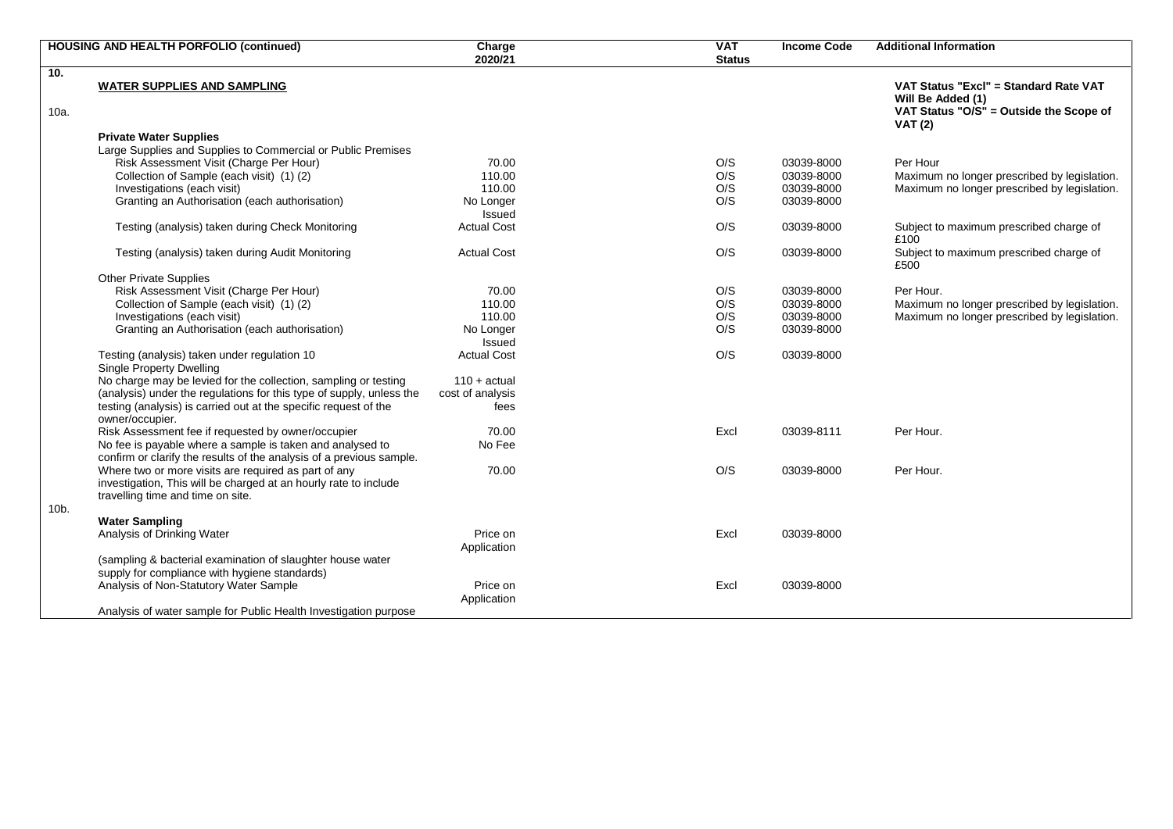|      | <b>HOUSING AND HEALTH PORFOLIO (continued)</b>                                                                                    | Charge                  | <b>VAT</b>    | <b>Income Code</b> | <b>Additional Information</b>                              |
|------|-----------------------------------------------------------------------------------------------------------------------------------|-------------------------|---------------|--------------------|------------------------------------------------------------|
|      |                                                                                                                                   | 2020/21                 | <b>Status</b> |                    |                                                            |
| 10.  | <b>WATER SUPPLIES AND SAMPLING</b>                                                                                                |                         |               |                    | VAT Status "Excl" = Standard Rate VAT<br>Will Be Added (1) |
| 10a. |                                                                                                                                   |                         |               |                    | VAT Status "O/S" = Outside the Scope of<br><b>VAT (2)</b>  |
|      | <b>Private Water Supplies</b>                                                                                                     |                         |               |                    |                                                            |
|      | Large Supplies and Supplies to Commercial or Public Premises                                                                      |                         |               |                    |                                                            |
|      | Risk Assessment Visit (Charge Per Hour)                                                                                           | 70.00                   | O/S           | 03039-8000         | Per Hour                                                   |
|      | Collection of Sample (each visit) (1) (2)                                                                                         | 110.00                  | O/S           | 03039-8000         | Maximum no longer prescribed by legislation.               |
|      | Investigations (each visit)                                                                                                       | 110.00                  | O/S           | 03039-8000         | Maximum no longer prescribed by legislation.               |
|      | Granting an Authorisation (each authorisation)                                                                                    | No Longer<br>Issued     | O/S           | 03039-8000         |                                                            |
|      | Testing (analysis) taken during Check Monitoring                                                                                  | <b>Actual Cost</b>      | O/S           | 03039-8000         | Subject to maximum prescribed charge of<br>£100            |
|      | Testing (analysis) taken during Audit Monitoring                                                                                  | <b>Actual Cost</b>      | O/S           | 03039-8000         | Subject to maximum prescribed charge of<br>£500            |
|      | <b>Other Private Supplies</b>                                                                                                     |                         |               |                    |                                                            |
|      | Risk Assessment Visit (Charge Per Hour)                                                                                           | 70.00                   | O/S           | 03039-8000         | Per Hour.                                                  |
|      | Collection of Sample (each visit) (1) (2)                                                                                         | 110.00                  | O/S           | 03039-8000         | Maximum no longer prescribed by legislation.               |
|      | Investigations (each visit)                                                                                                       | 110.00                  | O/S           | 03039-8000         | Maximum no longer prescribed by legislation.               |
|      | Granting an Authorisation (each authorisation)                                                                                    | No Longer               | O/S           | 03039-8000         |                                                            |
|      |                                                                                                                                   | Issued                  |               |                    |                                                            |
|      | Testing (analysis) taken under regulation 10                                                                                      | <b>Actual Cost</b>      | O/S           | 03039-8000         |                                                            |
|      | <b>Single Property Dwelling</b>                                                                                                   |                         |               |                    |                                                            |
|      | No charge may be levied for the collection, sampling or testing                                                                   | $110 + actual$          |               |                    |                                                            |
|      | (analysis) under the regulations for this type of supply, unless the                                                              | cost of analysis        |               |                    |                                                            |
|      | testing (analysis) is carried out at the specific request of the<br>owner/occupier.                                               | fees                    |               |                    |                                                            |
|      | Risk Assessment fee if requested by owner/occupier                                                                                | 70.00                   | Excl          | 03039-8111         | Per Hour.                                                  |
|      | No fee is payable where a sample is taken and analysed to<br>confirm or clarify the results of the analysis of a previous sample. | No Fee                  |               |                    |                                                            |
|      | Where two or more visits are required as part of any                                                                              | 70.00                   | O/S           | 03039-8000         | Per Hour.                                                  |
|      | investigation, This will be charged at an hourly rate to include                                                                  |                         |               |                    |                                                            |
|      | travelling time and time on site.                                                                                                 |                         |               |                    |                                                            |
| 10b. |                                                                                                                                   |                         |               |                    |                                                            |
|      | <b>Water Sampling</b>                                                                                                             |                         |               |                    |                                                            |
|      | Analysis of Drinking Water                                                                                                        | Price on<br>Application | Excl          | 03039-8000         |                                                            |
|      | (sampling & bacterial examination of slaughter house water                                                                        |                         |               |                    |                                                            |
|      | supply for compliance with hygiene standards)                                                                                     |                         |               |                    |                                                            |
|      | Analysis of Non-Statutory Water Sample                                                                                            | Price on                | Excl          | 03039-8000         |                                                            |
|      |                                                                                                                                   | Application             |               |                    |                                                            |
|      | Analysis of water sample for Public Health Investigation purpose                                                                  |                         |               |                    |                                                            |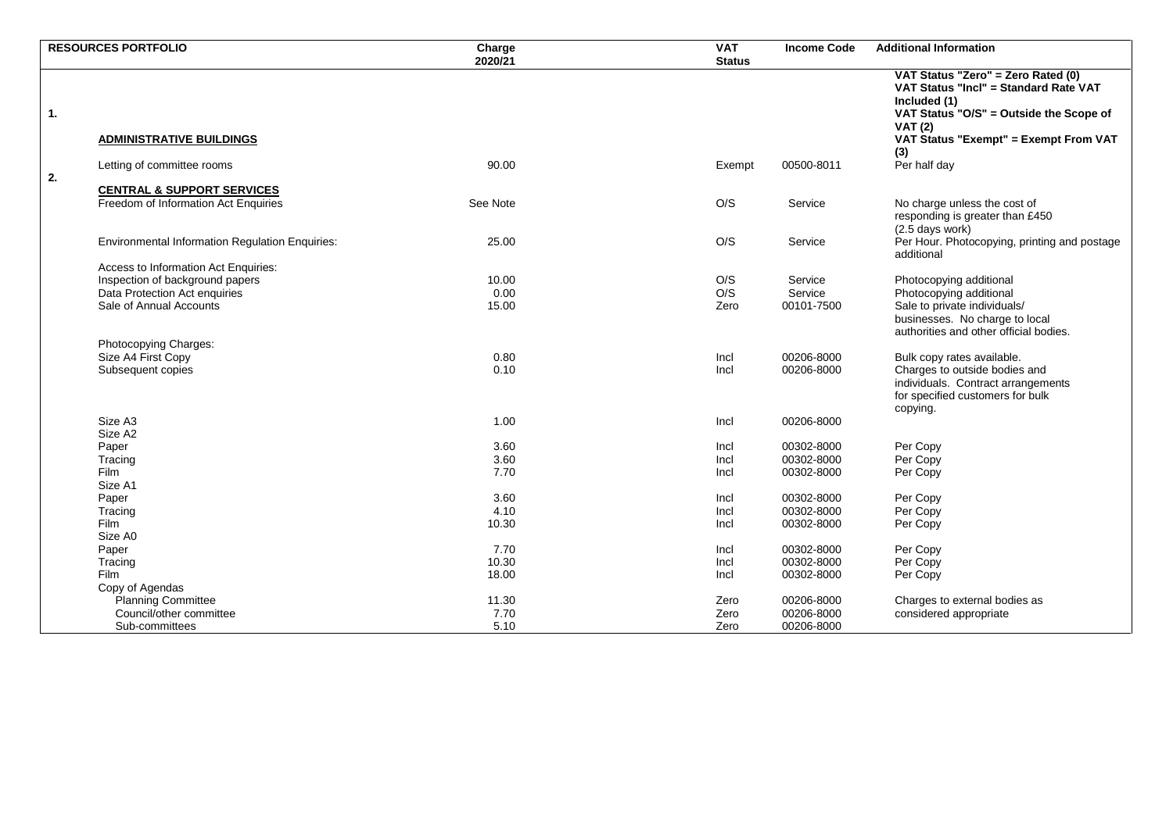|    | <b>RESOURCES PORTFOLIO</b>                                                    | Charge<br>2020/21 | <b>VAT</b><br><b>Status</b> | <b>Income Code</b>       | <b>Additional Information</b>                                                                                                                                                                     |
|----|-------------------------------------------------------------------------------|-------------------|-----------------------------|--------------------------|---------------------------------------------------------------------------------------------------------------------------------------------------------------------------------------------------|
| 1. | <b>ADMINISTRATIVE BUILDINGS</b>                                               |                   |                             |                          | VAT Status "Zero" = Zero Rated (0)<br>VAT Status "Incl" = Standard Rate VAT<br>Included (1)<br>VAT Status "O/S" = Outside the Scope of<br><b>VAT (2)</b><br>VAT Status "Exempt" = Exempt From VAT |
| 2. | Letting of committee rooms                                                    | 90.00             | Exempt                      | 00500-8011               | (3)<br>Per half day                                                                                                                                                                               |
|    | <b>CENTRAL &amp; SUPPORT SERVICES</b><br>Freedom of Information Act Enquiries | See Note          | O/S                         | Service                  | No charge unless the cost of<br>responding is greater than £450<br>(2.5 days work)                                                                                                                |
|    | Environmental Information Regulation Enquiries:                               | 25.00             | O/S                         | Service                  | Per Hour. Photocopying, printing and postage<br>additional                                                                                                                                        |
|    | Access to Information Act Enquiries:                                          |                   |                             |                          |                                                                                                                                                                                                   |
|    | Inspection of background papers                                               | 10.00             | O/S                         | Service                  | Photocopying additional                                                                                                                                                                           |
|    | Data Protection Act enquiries                                                 | 0.00              | O/S                         | Service                  | Photocopying additional                                                                                                                                                                           |
|    | Sale of Annual Accounts                                                       | 15.00             | Zero                        | 00101-7500               | Sale to private individuals/<br>businesses. No charge to local<br>authorities and other official bodies.                                                                                          |
|    | Photocopying Charges:                                                         |                   |                             |                          |                                                                                                                                                                                                   |
|    | Size A4 First Copy<br>Subsequent copies                                       | 0.80<br>0.10      | Incl<br>Incl                | 00206-8000<br>00206-8000 | Bulk copy rates available.<br>Charges to outside bodies and<br>individuals. Contract arrangements<br>for specified customers for bulk<br>copying.                                                 |
|    | Size A3<br>Size A2                                                            | 1.00              | Incl                        | 00206-8000               |                                                                                                                                                                                                   |
|    | Paper                                                                         | 3.60              | Incl                        | 00302-8000               | Per Copy                                                                                                                                                                                          |
|    | Tracing                                                                       | 3.60              | Incl                        | 00302-8000               | Per Copy                                                                                                                                                                                          |
|    | Film<br>Size A1                                                               | 7.70              | Incl                        | 00302-8000               | Per Copy                                                                                                                                                                                          |
|    | Paper                                                                         | 3.60              | Incl                        | 00302-8000               | Per Copy                                                                                                                                                                                          |
|    | Tracing                                                                       | 4.10              | Incl                        | 00302-8000               | Per Copy                                                                                                                                                                                          |
|    | Film                                                                          | 10.30             | Incl                        | 00302-8000               | Per Copy                                                                                                                                                                                          |
|    | Size A0                                                                       |                   |                             |                          |                                                                                                                                                                                                   |
|    | Paper                                                                         | 7.70              | Incl                        | 00302-8000               | Per Copy                                                                                                                                                                                          |
|    | Tracing                                                                       | 10.30             | Incl                        | 00302-8000               | Per Copy                                                                                                                                                                                          |
|    | Film                                                                          | 18.00             | Incl                        | 00302-8000               | Per Copy                                                                                                                                                                                          |
|    | Copy of Agendas                                                               |                   |                             |                          |                                                                                                                                                                                                   |
|    | Planning Committee                                                            | 11.30             | Zero                        | 00206-8000               | Charges to external bodies as                                                                                                                                                                     |
|    | Council/other committee                                                       | 7.70              | Zero                        | 00206-8000               | considered appropriate                                                                                                                                                                            |
|    | Sub-committees                                                                | 5.10              | Zero                        | 00206-8000               |                                                                                                                                                                                                   |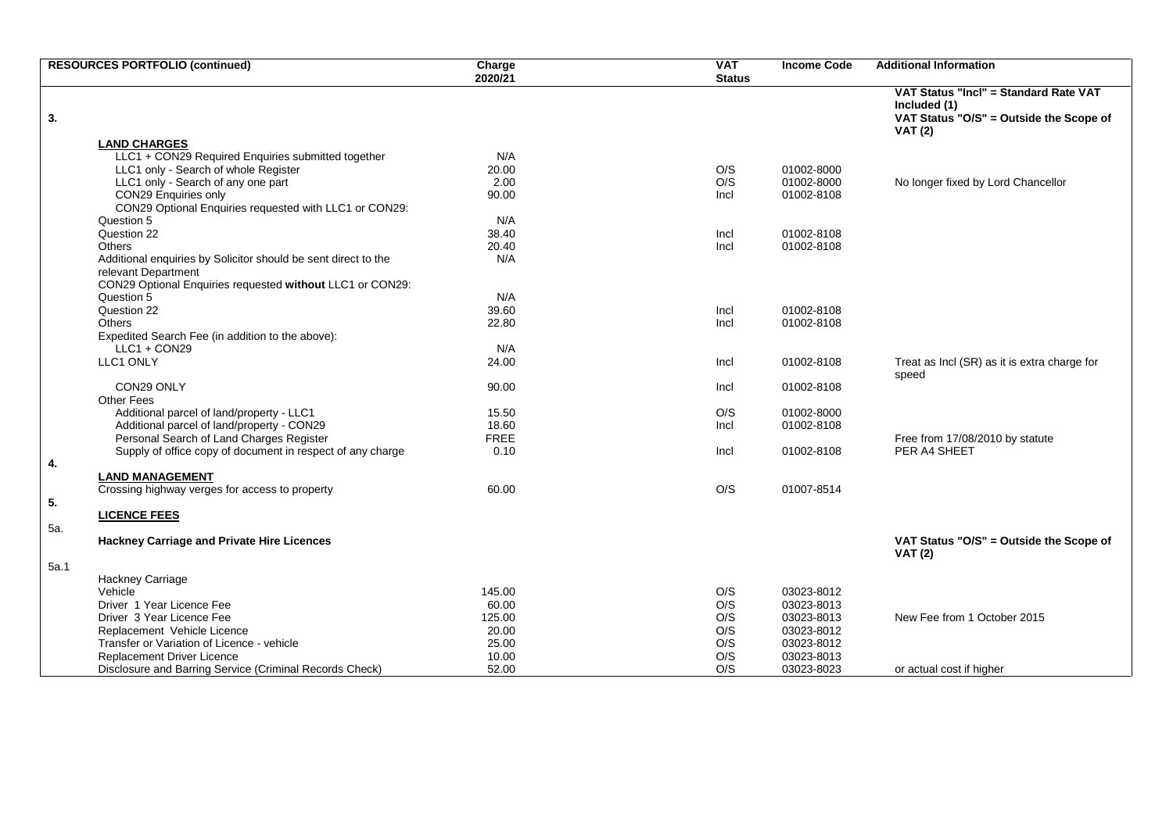|      | <b>RESOURCES PORTFOLIO (continued)</b>                                                | Charge<br>2020/21 | <b>VAT</b><br><b>Status</b> | <b>Income Code</b> | <b>Additional Information</b>                                                                                      |
|------|---------------------------------------------------------------------------------------|-------------------|-----------------------------|--------------------|--------------------------------------------------------------------------------------------------------------------|
| 3.   |                                                                                       |                   |                             |                    | VAT Status "Incl" = Standard Rate VAT<br>Included (1)<br>VAT Status "O/S" = Outside the Scope of<br><b>VAT (2)</b> |
|      | <b>LAND CHARGES</b>                                                                   |                   |                             |                    |                                                                                                                    |
|      | LLC1 + CON29 Required Enquiries submitted together                                    | N/A               |                             |                    |                                                                                                                    |
|      | LLC1 only - Search of whole Register                                                  | 20.00             | O/S                         | 01002-8000         |                                                                                                                    |
|      | LLC1 only - Search of any one part                                                    | 2.00              | O/S                         | 01002-8000         | No longer fixed by Lord Chancellor                                                                                 |
|      | CON29 Enquiries only<br>CON29 Optional Enquiries requested with LLC1 or CON29:        | 90.00             | Incl                        | 01002-8108         |                                                                                                                    |
|      | Question 5                                                                            | N/A               |                             |                    |                                                                                                                    |
|      | Question 22                                                                           | 38.40             | Incl                        | 01002-8108         |                                                                                                                    |
|      | <b>Others</b>                                                                         | 20.40             | Incl                        | 01002-8108         |                                                                                                                    |
|      | Additional enquiries by Solicitor should be sent direct to the<br>relevant Department | N/A               |                             |                    |                                                                                                                    |
|      | CON29 Optional Enquiries requested without LLC1 or CON29:                             |                   |                             |                    |                                                                                                                    |
|      | Question 5                                                                            | N/A               |                             |                    |                                                                                                                    |
|      | Question 22                                                                           | 39.60             | Incl                        | 01002-8108         |                                                                                                                    |
|      | <b>Others</b>                                                                         | 22.80             | Incl                        | 01002-8108         |                                                                                                                    |
|      | Expedited Search Fee (in addition to the above):<br>$LLC1 + CON29$                    | N/A               |                             |                    |                                                                                                                    |
|      | LLC1 ONLY                                                                             | 24.00             | Incl                        | 01002-8108         | Treat as Incl (SR) as it is extra charge for<br>speed                                                              |
|      | CON29 ONLY<br><b>Other Fees</b>                                                       | 90.00             | Incl                        | 01002-8108         |                                                                                                                    |
|      | Additional parcel of land/property - LLC1                                             | 15.50             | O/S                         | 01002-8000         |                                                                                                                    |
|      | Additional parcel of land/property - CON29                                            | 18.60             | Incl                        | 01002-8108         |                                                                                                                    |
|      | Personal Search of Land Charges Register                                              | <b>FREE</b>       |                             |                    | Free from 17/08/2010 by statute                                                                                    |
|      | Supply of office copy of document in respect of any charge                            | 0.10              | Incl                        | 01002-8108         | PER A4 SHEET                                                                                                       |
| 4.   |                                                                                       |                   |                             |                    |                                                                                                                    |
|      | <b>LAND MANAGEMENT</b>                                                                |                   |                             |                    |                                                                                                                    |
| 5.   | Crossing highway verges for access to property                                        | 60.00             | O/S                         | 01007-8514         |                                                                                                                    |
|      | <b>LICENCE FEES</b>                                                                   |                   |                             |                    |                                                                                                                    |
| 5a.  | <b>Hackney Carriage and Private Hire Licences</b>                                     |                   |                             |                    | VAT Status "O/S" = Outside the Scope of<br><b>VAT (2)</b>                                                          |
| 5a.1 |                                                                                       |                   |                             |                    |                                                                                                                    |
|      | Hackney Carriage                                                                      |                   |                             |                    |                                                                                                                    |
|      | Vehicle                                                                               | 145.00            | O/S                         | 03023-8012         |                                                                                                                    |
|      | Driver 1 Year Licence Fee                                                             | 60.00             | O/S                         | 03023-8013         |                                                                                                                    |
|      | Driver 3 Year Licence Fee                                                             | 125.00            | O/S                         | 03023-8013         | New Fee from 1 October 2015                                                                                        |
|      | Replacement Vehicle Licence                                                           | 20.00             | O/S                         | 03023-8012         |                                                                                                                    |
|      | Transfer or Variation of Licence - vehicle                                            | 25.00             | O/S                         | 03023-8012         |                                                                                                                    |
|      | Replacement Driver Licence                                                            | 10.00             | O/S                         | 03023-8013         |                                                                                                                    |
|      | Disclosure and Barring Service (Criminal Records Check)                               | 52.00             | O/S                         | 03023-8023         | or actual cost if higher                                                                                           |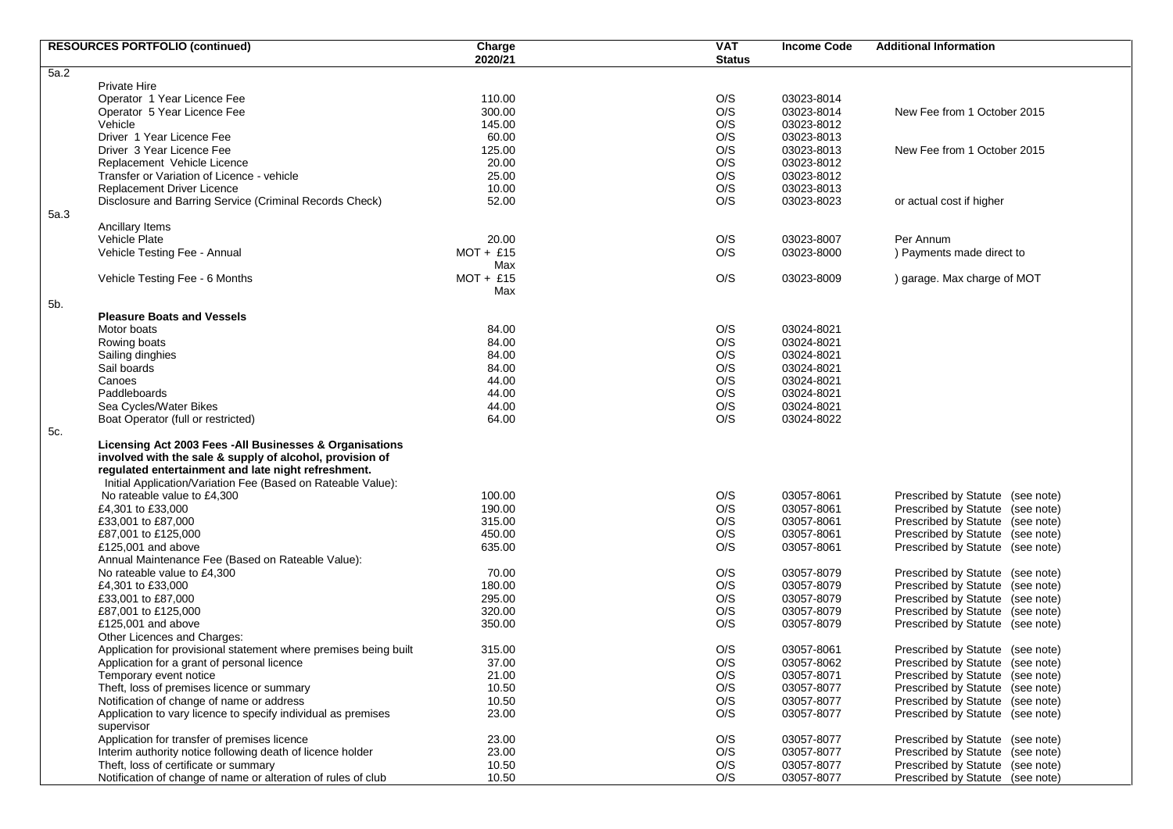| <b>Status</b><br>5a.2<br>Private Hire<br>Operator 1 Year Licence Fee<br>110.00<br>O/S<br>03023-8014<br>O/S<br>Operator 5 Year Licence Fee<br>300.00<br>03023-8014<br>New Fee from 1 October 2015<br>Vehicle<br>O/S<br>145.00<br>03023-8012<br>Driver 1 Year Licence Fee<br>60.00<br>O/S<br>03023-8013<br>Driver 3 Year Licence Fee<br>O/S<br>03023-8013<br>125.00<br>New Fee from 1 October 2015<br>Replacement Vehicle Licence<br>20.00<br>O/S<br>03023-8012<br>25.00<br>O/S<br>03023-8012<br>Transfer or Variation of Licence - vehicle<br>Replacement Driver Licence<br>10.00<br>O/S<br>03023-8013<br>Disclosure and Barring Service (Criminal Records Check)<br>52.00<br>O/S<br>03023-8023<br>or actual cost if higher<br>5a.3<br>Ancillary Items<br>Vehicle Plate<br>20.00<br>O/S<br>03023-8007<br>Per Annum<br>$MOT + £15$<br>O/S<br>Vehicle Testing Fee - Annual<br>03023-8000<br>) Payments made direct to<br>Max<br>$MOT + £15$<br>O/S<br>Vehicle Testing Fee - 6 Months<br>03023-8009<br>) garage. Max charge of MOT<br>Max<br>5b.<br><b>Pleasure Boats and Vessels</b><br>84.00<br>O/S<br>Motor boats<br>03024-8021<br>84.00<br>O/S<br>03024-8021<br>Rowing boats<br>84.00<br>O/S<br>Sailing dinghies<br>03024-8021<br>Sail boards<br>84.00<br>O/S<br>03024-8021<br>Canoes<br>44.00<br>O/S<br>03024-8021<br>Paddleboards<br>O/S<br>44.00<br>03024-8021<br>44.00<br>O/S<br>Sea Cycles/Water Bikes<br>03024-8021<br>O/S<br>Boat Operator (full or restricted)<br>64.00<br>03024-8022<br>5c.<br>Licensing Act 2003 Fees - All Businesses & Organisations<br>involved with the sale & supply of alcohol, provision of<br>regulated entertainment and late night refreshment.<br>Initial Application/Variation Fee (Based on Rateable Value):<br>O/S<br>No rateable value to £4,300<br>100.00<br>03057-8061<br>Prescribed by Statute (see note)<br>190.00<br>O/S<br>Prescribed by Statute (see note)<br>£4,301 to £33,000<br>03057-8061<br>O/S<br>£33,001 to £87,000<br>315.00<br>03057-8061<br>Prescribed by Statute (see note)<br>450.00<br>O/S<br>Prescribed by Statute (see note)<br>£87,001 to £125,000<br>03057-8061<br>O/S<br>Prescribed by Statute (see note)<br>£125,001 and above<br>635.00<br>03057-8061<br>Annual Maintenance Fee (Based on Rateable Value):<br>O/S<br>No rateable value to £4,300<br>70.00<br>03057-8079<br>Prescribed by Statute (see note)<br>O/S<br>Prescribed by Statute (see note)<br>£4,301 to £33,000<br>180.00<br>03057-8079<br>295.00<br>O/S<br>Prescribed by Statute (see note)<br>£33,001 to £87,000<br>03057-8079<br>320.00<br>O/S<br>Prescribed by Statute (see note)<br>£87,001 to £125,000<br>03057-8079<br>O/S<br>£125,001 and above<br>350.00<br>03057-8079<br>Prescribed by Statute (see note)<br>Other Licences and Charges:<br>Application for provisional statement where premises being built<br>315.00<br>O/S<br>Prescribed by Statute (see note)<br>03057-8061<br>37.00<br>O/S<br>Prescribed by Statute (see note)<br>Application for a grant of personal licence<br>03057-8062<br>O/S<br>21.00<br>03057-8071<br>Prescribed by Statute (see note)<br>Temporary event notice<br>Theft, loss of premises licence or summary<br>10.50<br>O/S<br>Prescribed by Statute (see note)<br>03057-8077<br>Notification of change of name or address<br>10.50<br>O/S<br>03057-8077<br>Prescribed by Statute (see note)<br>Application to vary licence to specify individual as premises<br>23.00<br>O/S<br>03057-8077<br>Prescribed by Statute (see note)<br>supervisor<br>Application for transfer of premises licence<br>23.00<br>O/S<br>03057-8077<br>Prescribed by Statute (see note)<br>Interim authority notice following death of licence holder<br>Prescribed by Statute (see note)<br>23.00<br>O/S<br>03057-8077<br>Prescribed by Statute (see note)<br>Theft, loss of certificate or summary<br>10.50<br>O/S<br>03057-8077<br>Notification of change of name or alteration of rules of club<br>O/S<br>Prescribed by Statute (see note)<br>10.50<br>03057-8077 | <b>RESOURCES PORTFOLIO (continued)</b> | Charge  | <b>VAT</b> | <b>Income Code</b> | <b>Additional Information</b> |
|------------------------------------------------------------------------------------------------------------------------------------------------------------------------------------------------------------------------------------------------------------------------------------------------------------------------------------------------------------------------------------------------------------------------------------------------------------------------------------------------------------------------------------------------------------------------------------------------------------------------------------------------------------------------------------------------------------------------------------------------------------------------------------------------------------------------------------------------------------------------------------------------------------------------------------------------------------------------------------------------------------------------------------------------------------------------------------------------------------------------------------------------------------------------------------------------------------------------------------------------------------------------------------------------------------------------------------------------------------------------------------------------------------------------------------------------------------------------------------------------------------------------------------------------------------------------------------------------------------------------------------------------------------------------------------------------------------------------------------------------------------------------------------------------------------------------------------------------------------------------------------------------------------------------------------------------------------------------------------------------------------------------------------------------------------------------------------------------------------------------------------------------------------------------------------------------------------------------------------------------------------------------------------------------------------------------------------------------------------------------------------------------------------------------------------------------------------------------------------------------------------------------------------------------------------------------------------------------------------------------------------------------------------------------------------------------------------------------------------------------------------------------------------------------------------------------------------------------------------------------------------------------------------------------------------------------------------------------------------------------------------------------------------------------------------------------------------------------------------------------------------------------------------------------------------------------------------------------------------------------------------------------------------------------------------------------------------------------------------------------------------------------------------------------------------------------------------------------------------------------------------------------------------------------------------------------------------------------------------------------------------------------------------------------------------------------------------------------------------------------------------------------------------------------------------------------------------------------------------------------------------------------------------------------------------------------------------------------------------------------------------------------|----------------------------------------|---------|------------|--------------------|-------------------------------|
|                                                                                                                                                                                                                                                                                                                                                                                                                                                                                                                                                                                                                                                                                                                                                                                                                                                                                                                                                                                                                                                                                                                                                                                                                                                                                                                                                                                                                                                                                                                                                                                                                                                                                                                                                                                                                                                                                                                                                                                                                                                                                                                                                                                                                                                                                                                                                                                                                                                                                                                                                                                                                                                                                                                                                                                                                                                                                                                                                                                                                                                                                                                                                                                                                                                                                                                                                                                                                                                                                                                                                                                                                                                                                                                                                                                                                                                                                                                                                                                                                        |                                        | 2020/21 |            |                    |                               |
|                                                                                                                                                                                                                                                                                                                                                                                                                                                                                                                                                                                                                                                                                                                                                                                                                                                                                                                                                                                                                                                                                                                                                                                                                                                                                                                                                                                                                                                                                                                                                                                                                                                                                                                                                                                                                                                                                                                                                                                                                                                                                                                                                                                                                                                                                                                                                                                                                                                                                                                                                                                                                                                                                                                                                                                                                                                                                                                                                                                                                                                                                                                                                                                                                                                                                                                                                                                                                                                                                                                                                                                                                                                                                                                                                                                                                                                                                                                                                                                                                        |                                        |         |            |                    |                               |
|                                                                                                                                                                                                                                                                                                                                                                                                                                                                                                                                                                                                                                                                                                                                                                                                                                                                                                                                                                                                                                                                                                                                                                                                                                                                                                                                                                                                                                                                                                                                                                                                                                                                                                                                                                                                                                                                                                                                                                                                                                                                                                                                                                                                                                                                                                                                                                                                                                                                                                                                                                                                                                                                                                                                                                                                                                                                                                                                                                                                                                                                                                                                                                                                                                                                                                                                                                                                                                                                                                                                                                                                                                                                                                                                                                                                                                                                                                                                                                                                                        |                                        |         |            |                    |                               |
|                                                                                                                                                                                                                                                                                                                                                                                                                                                                                                                                                                                                                                                                                                                                                                                                                                                                                                                                                                                                                                                                                                                                                                                                                                                                                                                                                                                                                                                                                                                                                                                                                                                                                                                                                                                                                                                                                                                                                                                                                                                                                                                                                                                                                                                                                                                                                                                                                                                                                                                                                                                                                                                                                                                                                                                                                                                                                                                                                                                                                                                                                                                                                                                                                                                                                                                                                                                                                                                                                                                                                                                                                                                                                                                                                                                                                                                                                                                                                                                                                        |                                        |         |            |                    |                               |
|                                                                                                                                                                                                                                                                                                                                                                                                                                                                                                                                                                                                                                                                                                                                                                                                                                                                                                                                                                                                                                                                                                                                                                                                                                                                                                                                                                                                                                                                                                                                                                                                                                                                                                                                                                                                                                                                                                                                                                                                                                                                                                                                                                                                                                                                                                                                                                                                                                                                                                                                                                                                                                                                                                                                                                                                                                                                                                                                                                                                                                                                                                                                                                                                                                                                                                                                                                                                                                                                                                                                                                                                                                                                                                                                                                                                                                                                                                                                                                                                                        |                                        |         |            |                    |                               |
|                                                                                                                                                                                                                                                                                                                                                                                                                                                                                                                                                                                                                                                                                                                                                                                                                                                                                                                                                                                                                                                                                                                                                                                                                                                                                                                                                                                                                                                                                                                                                                                                                                                                                                                                                                                                                                                                                                                                                                                                                                                                                                                                                                                                                                                                                                                                                                                                                                                                                                                                                                                                                                                                                                                                                                                                                                                                                                                                                                                                                                                                                                                                                                                                                                                                                                                                                                                                                                                                                                                                                                                                                                                                                                                                                                                                                                                                                                                                                                                                                        |                                        |         |            |                    |                               |
|                                                                                                                                                                                                                                                                                                                                                                                                                                                                                                                                                                                                                                                                                                                                                                                                                                                                                                                                                                                                                                                                                                                                                                                                                                                                                                                                                                                                                                                                                                                                                                                                                                                                                                                                                                                                                                                                                                                                                                                                                                                                                                                                                                                                                                                                                                                                                                                                                                                                                                                                                                                                                                                                                                                                                                                                                                                                                                                                                                                                                                                                                                                                                                                                                                                                                                                                                                                                                                                                                                                                                                                                                                                                                                                                                                                                                                                                                                                                                                                                                        |                                        |         |            |                    |                               |
|                                                                                                                                                                                                                                                                                                                                                                                                                                                                                                                                                                                                                                                                                                                                                                                                                                                                                                                                                                                                                                                                                                                                                                                                                                                                                                                                                                                                                                                                                                                                                                                                                                                                                                                                                                                                                                                                                                                                                                                                                                                                                                                                                                                                                                                                                                                                                                                                                                                                                                                                                                                                                                                                                                                                                                                                                                                                                                                                                                                                                                                                                                                                                                                                                                                                                                                                                                                                                                                                                                                                                                                                                                                                                                                                                                                                                                                                                                                                                                                                                        |                                        |         |            |                    |                               |
|                                                                                                                                                                                                                                                                                                                                                                                                                                                                                                                                                                                                                                                                                                                                                                                                                                                                                                                                                                                                                                                                                                                                                                                                                                                                                                                                                                                                                                                                                                                                                                                                                                                                                                                                                                                                                                                                                                                                                                                                                                                                                                                                                                                                                                                                                                                                                                                                                                                                                                                                                                                                                                                                                                                                                                                                                                                                                                                                                                                                                                                                                                                                                                                                                                                                                                                                                                                                                                                                                                                                                                                                                                                                                                                                                                                                                                                                                                                                                                                                                        |                                        |         |            |                    |                               |
|                                                                                                                                                                                                                                                                                                                                                                                                                                                                                                                                                                                                                                                                                                                                                                                                                                                                                                                                                                                                                                                                                                                                                                                                                                                                                                                                                                                                                                                                                                                                                                                                                                                                                                                                                                                                                                                                                                                                                                                                                                                                                                                                                                                                                                                                                                                                                                                                                                                                                                                                                                                                                                                                                                                                                                                                                                                                                                                                                                                                                                                                                                                                                                                                                                                                                                                                                                                                                                                                                                                                                                                                                                                                                                                                                                                                                                                                                                                                                                                                                        |                                        |         |            |                    |                               |
|                                                                                                                                                                                                                                                                                                                                                                                                                                                                                                                                                                                                                                                                                                                                                                                                                                                                                                                                                                                                                                                                                                                                                                                                                                                                                                                                                                                                                                                                                                                                                                                                                                                                                                                                                                                                                                                                                                                                                                                                                                                                                                                                                                                                                                                                                                                                                                                                                                                                                                                                                                                                                                                                                                                                                                                                                                                                                                                                                                                                                                                                                                                                                                                                                                                                                                                                                                                                                                                                                                                                                                                                                                                                                                                                                                                                                                                                                                                                                                                                                        |                                        |         |            |                    |                               |
|                                                                                                                                                                                                                                                                                                                                                                                                                                                                                                                                                                                                                                                                                                                                                                                                                                                                                                                                                                                                                                                                                                                                                                                                                                                                                                                                                                                                                                                                                                                                                                                                                                                                                                                                                                                                                                                                                                                                                                                                                                                                                                                                                                                                                                                                                                                                                                                                                                                                                                                                                                                                                                                                                                                                                                                                                                                                                                                                                                                                                                                                                                                                                                                                                                                                                                                                                                                                                                                                                                                                                                                                                                                                                                                                                                                                                                                                                                                                                                                                                        |                                        |         |            |                    |                               |
|                                                                                                                                                                                                                                                                                                                                                                                                                                                                                                                                                                                                                                                                                                                                                                                                                                                                                                                                                                                                                                                                                                                                                                                                                                                                                                                                                                                                                                                                                                                                                                                                                                                                                                                                                                                                                                                                                                                                                                                                                                                                                                                                                                                                                                                                                                                                                                                                                                                                                                                                                                                                                                                                                                                                                                                                                                                                                                                                                                                                                                                                                                                                                                                                                                                                                                                                                                                                                                                                                                                                                                                                                                                                                                                                                                                                                                                                                                                                                                                                                        |                                        |         |            |                    |                               |
|                                                                                                                                                                                                                                                                                                                                                                                                                                                                                                                                                                                                                                                                                                                                                                                                                                                                                                                                                                                                                                                                                                                                                                                                                                                                                                                                                                                                                                                                                                                                                                                                                                                                                                                                                                                                                                                                                                                                                                                                                                                                                                                                                                                                                                                                                                                                                                                                                                                                                                                                                                                                                                                                                                                                                                                                                                                                                                                                                                                                                                                                                                                                                                                                                                                                                                                                                                                                                                                                                                                                                                                                                                                                                                                                                                                                                                                                                                                                                                                                                        |                                        |         |            |                    |                               |
|                                                                                                                                                                                                                                                                                                                                                                                                                                                                                                                                                                                                                                                                                                                                                                                                                                                                                                                                                                                                                                                                                                                                                                                                                                                                                                                                                                                                                                                                                                                                                                                                                                                                                                                                                                                                                                                                                                                                                                                                                                                                                                                                                                                                                                                                                                                                                                                                                                                                                                                                                                                                                                                                                                                                                                                                                                                                                                                                                                                                                                                                                                                                                                                                                                                                                                                                                                                                                                                                                                                                                                                                                                                                                                                                                                                                                                                                                                                                                                                                                        |                                        |         |            |                    |                               |
|                                                                                                                                                                                                                                                                                                                                                                                                                                                                                                                                                                                                                                                                                                                                                                                                                                                                                                                                                                                                                                                                                                                                                                                                                                                                                                                                                                                                                                                                                                                                                                                                                                                                                                                                                                                                                                                                                                                                                                                                                                                                                                                                                                                                                                                                                                                                                                                                                                                                                                                                                                                                                                                                                                                                                                                                                                                                                                                                                                                                                                                                                                                                                                                                                                                                                                                                                                                                                                                                                                                                                                                                                                                                                                                                                                                                                                                                                                                                                                                                                        |                                        |         |            |                    |                               |
|                                                                                                                                                                                                                                                                                                                                                                                                                                                                                                                                                                                                                                                                                                                                                                                                                                                                                                                                                                                                                                                                                                                                                                                                                                                                                                                                                                                                                                                                                                                                                                                                                                                                                                                                                                                                                                                                                                                                                                                                                                                                                                                                                                                                                                                                                                                                                                                                                                                                                                                                                                                                                                                                                                                                                                                                                                                                                                                                                                                                                                                                                                                                                                                                                                                                                                                                                                                                                                                                                                                                                                                                                                                                                                                                                                                                                                                                                                                                                                                                                        |                                        |         |            |                    |                               |
|                                                                                                                                                                                                                                                                                                                                                                                                                                                                                                                                                                                                                                                                                                                                                                                                                                                                                                                                                                                                                                                                                                                                                                                                                                                                                                                                                                                                                                                                                                                                                                                                                                                                                                                                                                                                                                                                                                                                                                                                                                                                                                                                                                                                                                                                                                                                                                                                                                                                                                                                                                                                                                                                                                                                                                                                                                                                                                                                                                                                                                                                                                                                                                                                                                                                                                                                                                                                                                                                                                                                                                                                                                                                                                                                                                                                                                                                                                                                                                                                                        |                                        |         |            |                    |                               |
|                                                                                                                                                                                                                                                                                                                                                                                                                                                                                                                                                                                                                                                                                                                                                                                                                                                                                                                                                                                                                                                                                                                                                                                                                                                                                                                                                                                                                                                                                                                                                                                                                                                                                                                                                                                                                                                                                                                                                                                                                                                                                                                                                                                                                                                                                                                                                                                                                                                                                                                                                                                                                                                                                                                                                                                                                                                                                                                                                                                                                                                                                                                                                                                                                                                                                                                                                                                                                                                                                                                                                                                                                                                                                                                                                                                                                                                                                                                                                                                                                        |                                        |         |            |                    |                               |
|                                                                                                                                                                                                                                                                                                                                                                                                                                                                                                                                                                                                                                                                                                                                                                                                                                                                                                                                                                                                                                                                                                                                                                                                                                                                                                                                                                                                                                                                                                                                                                                                                                                                                                                                                                                                                                                                                                                                                                                                                                                                                                                                                                                                                                                                                                                                                                                                                                                                                                                                                                                                                                                                                                                                                                                                                                                                                                                                                                                                                                                                                                                                                                                                                                                                                                                                                                                                                                                                                                                                                                                                                                                                                                                                                                                                                                                                                                                                                                                                                        |                                        |         |            |                    |                               |
|                                                                                                                                                                                                                                                                                                                                                                                                                                                                                                                                                                                                                                                                                                                                                                                                                                                                                                                                                                                                                                                                                                                                                                                                                                                                                                                                                                                                                                                                                                                                                                                                                                                                                                                                                                                                                                                                                                                                                                                                                                                                                                                                                                                                                                                                                                                                                                                                                                                                                                                                                                                                                                                                                                                                                                                                                                                                                                                                                                                                                                                                                                                                                                                                                                                                                                                                                                                                                                                                                                                                                                                                                                                                                                                                                                                                                                                                                                                                                                                                                        |                                        |         |            |                    |                               |
|                                                                                                                                                                                                                                                                                                                                                                                                                                                                                                                                                                                                                                                                                                                                                                                                                                                                                                                                                                                                                                                                                                                                                                                                                                                                                                                                                                                                                                                                                                                                                                                                                                                                                                                                                                                                                                                                                                                                                                                                                                                                                                                                                                                                                                                                                                                                                                                                                                                                                                                                                                                                                                                                                                                                                                                                                                                                                                                                                                                                                                                                                                                                                                                                                                                                                                                                                                                                                                                                                                                                                                                                                                                                                                                                                                                                                                                                                                                                                                                                                        |                                        |         |            |                    |                               |
|                                                                                                                                                                                                                                                                                                                                                                                                                                                                                                                                                                                                                                                                                                                                                                                                                                                                                                                                                                                                                                                                                                                                                                                                                                                                                                                                                                                                                                                                                                                                                                                                                                                                                                                                                                                                                                                                                                                                                                                                                                                                                                                                                                                                                                                                                                                                                                                                                                                                                                                                                                                                                                                                                                                                                                                                                                                                                                                                                                                                                                                                                                                                                                                                                                                                                                                                                                                                                                                                                                                                                                                                                                                                                                                                                                                                                                                                                                                                                                                                                        |                                        |         |            |                    |                               |
|                                                                                                                                                                                                                                                                                                                                                                                                                                                                                                                                                                                                                                                                                                                                                                                                                                                                                                                                                                                                                                                                                                                                                                                                                                                                                                                                                                                                                                                                                                                                                                                                                                                                                                                                                                                                                                                                                                                                                                                                                                                                                                                                                                                                                                                                                                                                                                                                                                                                                                                                                                                                                                                                                                                                                                                                                                                                                                                                                                                                                                                                                                                                                                                                                                                                                                                                                                                                                                                                                                                                                                                                                                                                                                                                                                                                                                                                                                                                                                                                                        |                                        |         |            |                    |                               |
|                                                                                                                                                                                                                                                                                                                                                                                                                                                                                                                                                                                                                                                                                                                                                                                                                                                                                                                                                                                                                                                                                                                                                                                                                                                                                                                                                                                                                                                                                                                                                                                                                                                                                                                                                                                                                                                                                                                                                                                                                                                                                                                                                                                                                                                                                                                                                                                                                                                                                                                                                                                                                                                                                                                                                                                                                                                                                                                                                                                                                                                                                                                                                                                                                                                                                                                                                                                                                                                                                                                                                                                                                                                                                                                                                                                                                                                                                                                                                                                                                        |                                        |         |            |                    |                               |
|                                                                                                                                                                                                                                                                                                                                                                                                                                                                                                                                                                                                                                                                                                                                                                                                                                                                                                                                                                                                                                                                                                                                                                                                                                                                                                                                                                                                                                                                                                                                                                                                                                                                                                                                                                                                                                                                                                                                                                                                                                                                                                                                                                                                                                                                                                                                                                                                                                                                                                                                                                                                                                                                                                                                                                                                                                                                                                                                                                                                                                                                                                                                                                                                                                                                                                                                                                                                                                                                                                                                                                                                                                                                                                                                                                                                                                                                                                                                                                                                                        |                                        |         |            |                    |                               |
|                                                                                                                                                                                                                                                                                                                                                                                                                                                                                                                                                                                                                                                                                                                                                                                                                                                                                                                                                                                                                                                                                                                                                                                                                                                                                                                                                                                                                                                                                                                                                                                                                                                                                                                                                                                                                                                                                                                                                                                                                                                                                                                                                                                                                                                                                                                                                                                                                                                                                                                                                                                                                                                                                                                                                                                                                                                                                                                                                                                                                                                                                                                                                                                                                                                                                                                                                                                                                                                                                                                                                                                                                                                                                                                                                                                                                                                                                                                                                                                                                        |                                        |         |            |                    |                               |
|                                                                                                                                                                                                                                                                                                                                                                                                                                                                                                                                                                                                                                                                                                                                                                                                                                                                                                                                                                                                                                                                                                                                                                                                                                                                                                                                                                                                                                                                                                                                                                                                                                                                                                                                                                                                                                                                                                                                                                                                                                                                                                                                                                                                                                                                                                                                                                                                                                                                                                                                                                                                                                                                                                                                                                                                                                                                                                                                                                                                                                                                                                                                                                                                                                                                                                                                                                                                                                                                                                                                                                                                                                                                                                                                                                                                                                                                                                                                                                                                                        |                                        |         |            |                    |                               |
|                                                                                                                                                                                                                                                                                                                                                                                                                                                                                                                                                                                                                                                                                                                                                                                                                                                                                                                                                                                                                                                                                                                                                                                                                                                                                                                                                                                                                                                                                                                                                                                                                                                                                                                                                                                                                                                                                                                                                                                                                                                                                                                                                                                                                                                                                                                                                                                                                                                                                                                                                                                                                                                                                                                                                                                                                                                                                                                                                                                                                                                                                                                                                                                                                                                                                                                                                                                                                                                                                                                                                                                                                                                                                                                                                                                                                                                                                                                                                                                                                        |                                        |         |            |                    |                               |
|                                                                                                                                                                                                                                                                                                                                                                                                                                                                                                                                                                                                                                                                                                                                                                                                                                                                                                                                                                                                                                                                                                                                                                                                                                                                                                                                                                                                                                                                                                                                                                                                                                                                                                                                                                                                                                                                                                                                                                                                                                                                                                                                                                                                                                                                                                                                                                                                                                                                                                                                                                                                                                                                                                                                                                                                                                                                                                                                                                                                                                                                                                                                                                                                                                                                                                                                                                                                                                                                                                                                                                                                                                                                                                                                                                                                                                                                                                                                                                                                                        |                                        |         |            |                    |                               |
|                                                                                                                                                                                                                                                                                                                                                                                                                                                                                                                                                                                                                                                                                                                                                                                                                                                                                                                                                                                                                                                                                                                                                                                                                                                                                                                                                                                                                                                                                                                                                                                                                                                                                                                                                                                                                                                                                                                                                                                                                                                                                                                                                                                                                                                                                                                                                                                                                                                                                                                                                                                                                                                                                                                                                                                                                                                                                                                                                                                                                                                                                                                                                                                                                                                                                                                                                                                                                                                                                                                                                                                                                                                                                                                                                                                                                                                                                                                                                                                                                        |                                        |         |            |                    |                               |
|                                                                                                                                                                                                                                                                                                                                                                                                                                                                                                                                                                                                                                                                                                                                                                                                                                                                                                                                                                                                                                                                                                                                                                                                                                                                                                                                                                                                                                                                                                                                                                                                                                                                                                                                                                                                                                                                                                                                                                                                                                                                                                                                                                                                                                                                                                                                                                                                                                                                                                                                                                                                                                                                                                                                                                                                                                                                                                                                                                                                                                                                                                                                                                                                                                                                                                                                                                                                                                                                                                                                                                                                                                                                                                                                                                                                                                                                                                                                                                                                                        |                                        |         |            |                    |                               |
|                                                                                                                                                                                                                                                                                                                                                                                                                                                                                                                                                                                                                                                                                                                                                                                                                                                                                                                                                                                                                                                                                                                                                                                                                                                                                                                                                                                                                                                                                                                                                                                                                                                                                                                                                                                                                                                                                                                                                                                                                                                                                                                                                                                                                                                                                                                                                                                                                                                                                                                                                                                                                                                                                                                                                                                                                                                                                                                                                                                                                                                                                                                                                                                                                                                                                                                                                                                                                                                                                                                                                                                                                                                                                                                                                                                                                                                                                                                                                                                                                        |                                        |         |            |                    |                               |
|                                                                                                                                                                                                                                                                                                                                                                                                                                                                                                                                                                                                                                                                                                                                                                                                                                                                                                                                                                                                                                                                                                                                                                                                                                                                                                                                                                                                                                                                                                                                                                                                                                                                                                                                                                                                                                                                                                                                                                                                                                                                                                                                                                                                                                                                                                                                                                                                                                                                                                                                                                                                                                                                                                                                                                                                                                                                                                                                                                                                                                                                                                                                                                                                                                                                                                                                                                                                                                                                                                                                                                                                                                                                                                                                                                                                                                                                                                                                                                                                                        |                                        |         |            |                    |                               |
|                                                                                                                                                                                                                                                                                                                                                                                                                                                                                                                                                                                                                                                                                                                                                                                                                                                                                                                                                                                                                                                                                                                                                                                                                                                                                                                                                                                                                                                                                                                                                                                                                                                                                                                                                                                                                                                                                                                                                                                                                                                                                                                                                                                                                                                                                                                                                                                                                                                                                                                                                                                                                                                                                                                                                                                                                                                                                                                                                                                                                                                                                                                                                                                                                                                                                                                                                                                                                                                                                                                                                                                                                                                                                                                                                                                                                                                                                                                                                                                                                        |                                        |         |            |                    |                               |
|                                                                                                                                                                                                                                                                                                                                                                                                                                                                                                                                                                                                                                                                                                                                                                                                                                                                                                                                                                                                                                                                                                                                                                                                                                                                                                                                                                                                                                                                                                                                                                                                                                                                                                                                                                                                                                                                                                                                                                                                                                                                                                                                                                                                                                                                                                                                                                                                                                                                                                                                                                                                                                                                                                                                                                                                                                                                                                                                                                                                                                                                                                                                                                                                                                                                                                                                                                                                                                                                                                                                                                                                                                                                                                                                                                                                                                                                                                                                                                                                                        |                                        |         |            |                    |                               |
|                                                                                                                                                                                                                                                                                                                                                                                                                                                                                                                                                                                                                                                                                                                                                                                                                                                                                                                                                                                                                                                                                                                                                                                                                                                                                                                                                                                                                                                                                                                                                                                                                                                                                                                                                                                                                                                                                                                                                                                                                                                                                                                                                                                                                                                                                                                                                                                                                                                                                                                                                                                                                                                                                                                                                                                                                                                                                                                                                                                                                                                                                                                                                                                                                                                                                                                                                                                                                                                                                                                                                                                                                                                                                                                                                                                                                                                                                                                                                                                                                        |                                        |         |            |                    |                               |
|                                                                                                                                                                                                                                                                                                                                                                                                                                                                                                                                                                                                                                                                                                                                                                                                                                                                                                                                                                                                                                                                                                                                                                                                                                                                                                                                                                                                                                                                                                                                                                                                                                                                                                                                                                                                                                                                                                                                                                                                                                                                                                                                                                                                                                                                                                                                                                                                                                                                                                                                                                                                                                                                                                                                                                                                                                                                                                                                                                                                                                                                                                                                                                                                                                                                                                                                                                                                                                                                                                                                                                                                                                                                                                                                                                                                                                                                                                                                                                                                                        |                                        |         |            |                    |                               |
|                                                                                                                                                                                                                                                                                                                                                                                                                                                                                                                                                                                                                                                                                                                                                                                                                                                                                                                                                                                                                                                                                                                                                                                                                                                                                                                                                                                                                                                                                                                                                                                                                                                                                                                                                                                                                                                                                                                                                                                                                                                                                                                                                                                                                                                                                                                                                                                                                                                                                                                                                                                                                                                                                                                                                                                                                                                                                                                                                                                                                                                                                                                                                                                                                                                                                                                                                                                                                                                                                                                                                                                                                                                                                                                                                                                                                                                                                                                                                                                                                        |                                        |         |            |                    |                               |
|                                                                                                                                                                                                                                                                                                                                                                                                                                                                                                                                                                                                                                                                                                                                                                                                                                                                                                                                                                                                                                                                                                                                                                                                                                                                                                                                                                                                                                                                                                                                                                                                                                                                                                                                                                                                                                                                                                                                                                                                                                                                                                                                                                                                                                                                                                                                                                                                                                                                                                                                                                                                                                                                                                                                                                                                                                                                                                                                                                                                                                                                                                                                                                                                                                                                                                                                                                                                                                                                                                                                                                                                                                                                                                                                                                                                                                                                                                                                                                                                                        |                                        |         |            |                    |                               |
|                                                                                                                                                                                                                                                                                                                                                                                                                                                                                                                                                                                                                                                                                                                                                                                                                                                                                                                                                                                                                                                                                                                                                                                                                                                                                                                                                                                                                                                                                                                                                                                                                                                                                                                                                                                                                                                                                                                                                                                                                                                                                                                                                                                                                                                                                                                                                                                                                                                                                                                                                                                                                                                                                                                                                                                                                                                                                                                                                                                                                                                                                                                                                                                                                                                                                                                                                                                                                                                                                                                                                                                                                                                                                                                                                                                                                                                                                                                                                                                                                        |                                        |         |            |                    |                               |
|                                                                                                                                                                                                                                                                                                                                                                                                                                                                                                                                                                                                                                                                                                                                                                                                                                                                                                                                                                                                                                                                                                                                                                                                                                                                                                                                                                                                                                                                                                                                                                                                                                                                                                                                                                                                                                                                                                                                                                                                                                                                                                                                                                                                                                                                                                                                                                                                                                                                                                                                                                                                                                                                                                                                                                                                                                                                                                                                                                                                                                                                                                                                                                                                                                                                                                                                                                                                                                                                                                                                                                                                                                                                                                                                                                                                                                                                                                                                                                                                                        |                                        |         |            |                    |                               |
|                                                                                                                                                                                                                                                                                                                                                                                                                                                                                                                                                                                                                                                                                                                                                                                                                                                                                                                                                                                                                                                                                                                                                                                                                                                                                                                                                                                                                                                                                                                                                                                                                                                                                                                                                                                                                                                                                                                                                                                                                                                                                                                                                                                                                                                                                                                                                                                                                                                                                                                                                                                                                                                                                                                                                                                                                                                                                                                                                                                                                                                                                                                                                                                                                                                                                                                                                                                                                                                                                                                                                                                                                                                                                                                                                                                                                                                                                                                                                                                                                        |                                        |         |            |                    |                               |
|                                                                                                                                                                                                                                                                                                                                                                                                                                                                                                                                                                                                                                                                                                                                                                                                                                                                                                                                                                                                                                                                                                                                                                                                                                                                                                                                                                                                                                                                                                                                                                                                                                                                                                                                                                                                                                                                                                                                                                                                                                                                                                                                                                                                                                                                                                                                                                                                                                                                                                                                                                                                                                                                                                                                                                                                                                                                                                                                                                                                                                                                                                                                                                                                                                                                                                                                                                                                                                                                                                                                                                                                                                                                                                                                                                                                                                                                                                                                                                                                                        |                                        |         |            |                    |                               |
|                                                                                                                                                                                                                                                                                                                                                                                                                                                                                                                                                                                                                                                                                                                                                                                                                                                                                                                                                                                                                                                                                                                                                                                                                                                                                                                                                                                                                                                                                                                                                                                                                                                                                                                                                                                                                                                                                                                                                                                                                                                                                                                                                                                                                                                                                                                                                                                                                                                                                                                                                                                                                                                                                                                                                                                                                                                                                                                                                                                                                                                                                                                                                                                                                                                                                                                                                                                                                                                                                                                                                                                                                                                                                                                                                                                                                                                                                                                                                                                                                        |                                        |         |            |                    |                               |
|                                                                                                                                                                                                                                                                                                                                                                                                                                                                                                                                                                                                                                                                                                                                                                                                                                                                                                                                                                                                                                                                                                                                                                                                                                                                                                                                                                                                                                                                                                                                                                                                                                                                                                                                                                                                                                                                                                                                                                                                                                                                                                                                                                                                                                                                                                                                                                                                                                                                                                                                                                                                                                                                                                                                                                                                                                                                                                                                                                                                                                                                                                                                                                                                                                                                                                                                                                                                                                                                                                                                                                                                                                                                                                                                                                                                                                                                                                                                                                                                                        |                                        |         |            |                    |                               |
|                                                                                                                                                                                                                                                                                                                                                                                                                                                                                                                                                                                                                                                                                                                                                                                                                                                                                                                                                                                                                                                                                                                                                                                                                                                                                                                                                                                                                                                                                                                                                                                                                                                                                                                                                                                                                                                                                                                                                                                                                                                                                                                                                                                                                                                                                                                                                                                                                                                                                                                                                                                                                                                                                                                                                                                                                                                                                                                                                                                                                                                                                                                                                                                                                                                                                                                                                                                                                                                                                                                                                                                                                                                                                                                                                                                                                                                                                                                                                                                                                        |                                        |         |            |                    |                               |
|                                                                                                                                                                                                                                                                                                                                                                                                                                                                                                                                                                                                                                                                                                                                                                                                                                                                                                                                                                                                                                                                                                                                                                                                                                                                                                                                                                                                                                                                                                                                                                                                                                                                                                                                                                                                                                                                                                                                                                                                                                                                                                                                                                                                                                                                                                                                                                                                                                                                                                                                                                                                                                                                                                                                                                                                                                                                                                                                                                                                                                                                                                                                                                                                                                                                                                                                                                                                                                                                                                                                                                                                                                                                                                                                                                                                                                                                                                                                                                                                                        |                                        |         |            |                    |                               |
|                                                                                                                                                                                                                                                                                                                                                                                                                                                                                                                                                                                                                                                                                                                                                                                                                                                                                                                                                                                                                                                                                                                                                                                                                                                                                                                                                                                                                                                                                                                                                                                                                                                                                                                                                                                                                                                                                                                                                                                                                                                                                                                                                                                                                                                                                                                                                                                                                                                                                                                                                                                                                                                                                                                                                                                                                                                                                                                                                                                                                                                                                                                                                                                                                                                                                                                                                                                                                                                                                                                                                                                                                                                                                                                                                                                                                                                                                                                                                                                                                        |                                        |         |            |                    |                               |
|                                                                                                                                                                                                                                                                                                                                                                                                                                                                                                                                                                                                                                                                                                                                                                                                                                                                                                                                                                                                                                                                                                                                                                                                                                                                                                                                                                                                                                                                                                                                                                                                                                                                                                                                                                                                                                                                                                                                                                                                                                                                                                                                                                                                                                                                                                                                                                                                                                                                                                                                                                                                                                                                                                                                                                                                                                                                                                                                                                                                                                                                                                                                                                                                                                                                                                                                                                                                                                                                                                                                                                                                                                                                                                                                                                                                                                                                                                                                                                                                                        |                                        |         |            |                    |                               |
|                                                                                                                                                                                                                                                                                                                                                                                                                                                                                                                                                                                                                                                                                                                                                                                                                                                                                                                                                                                                                                                                                                                                                                                                                                                                                                                                                                                                                                                                                                                                                                                                                                                                                                                                                                                                                                                                                                                                                                                                                                                                                                                                                                                                                                                                                                                                                                                                                                                                                                                                                                                                                                                                                                                                                                                                                                                                                                                                                                                                                                                                                                                                                                                                                                                                                                                                                                                                                                                                                                                                                                                                                                                                                                                                                                                                                                                                                                                                                                                                                        |                                        |         |            |                    |                               |
|                                                                                                                                                                                                                                                                                                                                                                                                                                                                                                                                                                                                                                                                                                                                                                                                                                                                                                                                                                                                                                                                                                                                                                                                                                                                                                                                                                                                                                                                                                                                                                                                                                                                                                                                                                                                                                                                                                                                                                                                                                                                                                                                                                                                                                                                                                                                                                                                                                                                                                                                                                                                                                                                                                                                                                                                                                                                                                                                                                                                                                                                                                                                                                                                                                                                                                                                                                                                                                                                                                                                                                                                                                                                                                                                                                                                                                                                                                                                                                                                                        |                                        |         |            |                    |                               |
|                                                                                                                                                                                                                                                                                                                                                                                                                                                                                                                                                                                                                                                                                                                                                                                                                                                                                                                                                                                                                                                                                                                                                                                                                                                                                                                                                                                                                                                                                                                                                                                                                                                                                                                                                                                                                                                                                                                                                                                                                                                                                                                                                                                                                                                                                                                                                                                                                                                                                                                                                                                                                                                                                                                                                                                                                                                                                                                                                                                                                                                                                                                                                                                                                                                                                                                                                                                                                                                                                                                                                                                                                                                                                                                                                                                                                                                                                                                                                                                                                        |                                        |         |            |                    |                               |
|                                                                                                                                                                                                                                                                                                                                                                                                                                                                                                                                                                                                                                                                                                                                                                                                                                                                                                                                                                                                                                                                                                                                                                                                                                                                                                                                                                                                                                                                                                                                                                                                                                                                                                                                                                                                                                                                                                                                                                                                                                                                                                                                                                                                                                                                                                                                                                                                                                                                                                                                                                                                                                                                                                                                                                                                                                                                                                                                                                                                                                                                                                                                                                                                                                                                                                                                                                                                                                                                                                                                                                                                                                                                                                                                                                                                                                                                                                                                                                                                                        |                                        |         |            |                    |                               |
|                                                                                                                                                                                                                                                                                                                                                                                                                                                                                                                                                                                                                                                                                                                                                                                                                                                                                                                                                                                                                                                                                                                                                                                                                                                                                                                                                                                                                                                                                                                                                                                                                                                                                                                                                                                                                                                                                                                                                                                                                                                                                                                                                                                                                                                                                                                                                                                                                                                                                                                                                                                                                                                                                                                                                                                                                                                                                                                                                                                                                                                                                                                                                                                                                                                                                                                                                                                                                                                                                                                                                                                                                                                                                                                                                                                                                                                                                                                                                                                                                        |                                        |         |            |                    |                               |
|                                                                                                                                                                                                                                                                                                                                                                                                                                                                                                                                                                                                                                                                                                                                                                                                                                                                                                                                                                                                                                                                                                                                                                                                                                                                                                                                                                                                                                                                                                                                                                                                                                                                                                                                                                                                                                                                                                                                                                                                                                                                                                                                                                                                                                                                                                                                                                                                                                                                                                                                                                                                                                                                                                                                                                                                                                                                                                                                                                                                                                                                                                                                                                                                                                                                                                                                                                                                                                                                                                                                                                                                                                                                                                                                                                                                                                                                                                                                                                                                                        |                                        |         |            |                    |                               |
|                                                                                                                                                                                                                                                                                                                                                                                                                                                                                                                                                                                                                                                                                                                                                                                                                                                                                                                                                                                                                                                                                                                                                                                                                                                                                                                                                                                                                                                                                                                                                                                                                                                                                                                                                                                                                                                                                                                                                                                                                                                                                                                                                                                                                                                                                                                                                                                                                                                                                                                                                                                                                                                                                                                                                                                                                                                                                                                                                                                                                                                                                                                                                                                                                                                                                                                                                                                                                                                                                                                                                                                                                                                                                                                                                                                                                                                                                                                                                                                                                        |                                        |         |            |                    |                               |
|                                                                                                                                                                                                                                                                                                                                                                                                                                                                                                                                                                                                                                                                                                                                                                                                                                                                                                                                                                                                                                                                                                                                                                                                                                                                                                                                                                                                                                                                                                                                                                                                                                                                                                                                                                                                                                                                                                                                                                                                                                                                                                                                                                                                                                                                                                                                                                                                                                                                                                                                                                                                                                                                                                                                                                                                                                                                                                                                                                                                                                                                                                                                                                                                                                                                                                                                                                                                                                                                                                                                                                                                                                                                                                                                                                                                                                                                                                                                                                                                                        |                                        |         |            |                    |                               |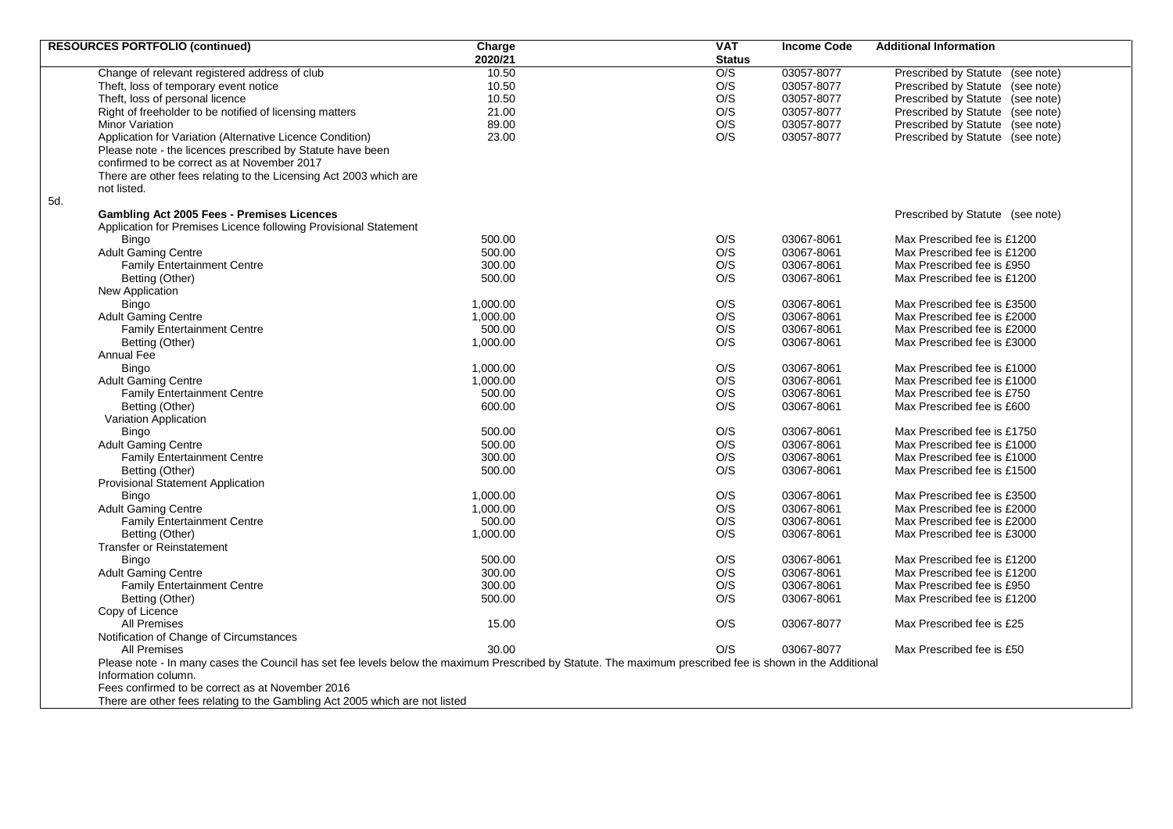| <b>RESOURCES PORTFOLIO (continued)</b>                                                                                                                    | Charge   | <b>VAT</b>    | <b>Income Code</b> | <b>Additional Information</b>              |
|-----------------------------------------------------------------------------------------------------------------------------------------------------------|----------|---------------|--------------------|--------------------------------------------|
|                                                                                                                                                           | 2020/21  | <b>Status</b> |                    |                                            |
| Change of relevant registered address of club                                                                                                             | 10.50    | O/S           | 03057-8077         | Prescribed by Statute<br>(see note)        |
| Theft, loss of temporary event notice                                                                                                                     | 10.50    | O/S           | 03057-8077         | Prescribed by Statute (see note)           |
| Theft, loss of personal licence                                                                                                                           | 10.50    | O/S           | 03057-8077         | <b>Prescribed by Statute</b><br>(see note) |
| Right of freeholder to be notified of licensing matters                                                                                                   | 21.00    | O/S           | 03057-8077         | Prescribed by Statute (see note)           |
| <b>Minor Variation</b>                                                                                                                                    | 89.00    | O/S           | 03057-8077         | Prescribed by Statute (see note)           |
| Application for Variation (Alternative Licence Condition)                                                                                                 | 23.00    | O/S           | 03057-8077         | Prescribed by Statute (see note)           |
| Please note - the licences prescribed by Statute have been                                                                                                |          |               |                    |                                            |
| confirmed to be correct as at November 2017                                                                                                               |          |               |                    |                                            |
| There are other fees relating to the Licensing Act 2003 which are                                                                                         |          |               |                    |                                            |
| not listed.                                                                                                                                               |          |               |                    |                                            |
|                                                                                                                                                           |          |               |                    |                                            |
| <b>Gambling Act 2005 Fees - Premises Licences</b>                                                                                                         |          |               |                    | Prescribed by Statute (see note)           |
| Application for Premises Licence following Provisional Statement                                                                                          |          |               |                    |                                            |
| <b>Bingo</b>                                                                                                                                              | 500.00   | O/S           | 03067-8061         | Max Prescribed fee is £1200                |
| <b>Adult Gaming Centre</b>                                                                                                                                | 500.00   | O/S           | 03067-8061         | Max Prescribed fee is £1200                |
| <b>Family Entertainment Centre</b>                                                                                                                        | 300.00   | O/S           | 03067-8061         | Max Prescribed fee is £950                 |
| Betting (Other)                                                                                                                                           | 500.00   | O/S           | 03067-8061         | Max Prescribed fee is £1200                |
| New Application                                                                                                                                           |          |               |                    |                                            |
|                                                                                                                                                           |          |               |                    |                                            |
| <b>Bingo</b>                                                                                                                                              | 1,000.00 | O/S           | 03067-8061         | Max Prescribed fee is £3500                |
| <b>Adult Gaming Centre</b>                                                                                                                                | 1,000.00 | O/S           | 03067-8061         | Max Prescribed fee is £2000                |
| <b>Family Entertainment Centre</b>                                                                                                                        | 500.00   | O/S           | 03067-8061         | Max Prescribed fee is £2000                |
| Betting (Other)                                                                                                                                           | 1,000.00 | O/S           | 03067-8061         | Max Prescribed fee is £3000                |
| Annual Fee                                                                                                                                                |          |               |                    |                                            |
| Bingo                                                                                                                                                     | 1,000.00 | O/S           | 03067-8061         | Max Prescribed fee is £1000                |
| <b>Adult Gaming Centre</b>                                                                                                                                | 1,000.00 | O/S           | 03067-8061         | Max Prescribed fee is £1000                |
| <b>Family Entertainment Centre</b>                                                                                                                        | 500.00   | O/S           | 03067-8061         | Max Prescribed fee is £750                 |
| Betting (Other)                                                                                                                                           | 600.00   | O/S           | 03067-8061         | Max Prescribed fee is £600                 |
| Variation Application                                                                                                                                     |          |               |                    |                                            |
| <b>Bingo</b>                                                                                                                                              | 500.00   | O/S           | 03067-8061         | Max Prescribed fee is £1750                |
| <b>Adult Gaming Centre</b>                                                                                                                                | 500.00   | O/S           | 03067-8061         | Max Prescribed fee is £1000                |
| <b>Family Entertainment Centre</b>                                                                                                                        | 300.00   | O/S           | 03067-8061         | Max Prescribed fee is £1000                |
| Betting (Other)                                                                                                                                           | 500.00   | O/S           | 03067-8061         | Max Prescribed fee is £1500                |
| <b>Provisional Statement Application</b>                                                                                                                  |          |               |                    |                                            |
| Bingo                                                                                                                                                     | 1,000.00 | O/S           | 03067-8061         | Max Prescribed fee is £3500                |
| <b>Adult Gaming Centre</b>                                                                                                                                | 1,000.00 | O/S           | 03067-8061         | Max Prescribed fee is £2000                |
| <b>Family Entertainment Centre</b>                                                                                                                        | 500.00   | O/S           | 03067-8061         | Max Prescribed fee is £2000                |
| Betting (Other)                                                                                                                                           | 1,000.00 | O/S           | 03067-8061         | Max Prescribed fee is £3000                |
| Transfer or Reinstatement                                                                                                                                 |          |               |                    |                                            |
| <b>Bingo</b>                                                                                                                                              | 500.00   | O/S           | 03067-8061         | Max Prescribed fee is £1200                |
| <b>Adult Gaming Centre</b>                                                                                                                                | 300.00   | O/S           | 03067-8061         | Max Prescribed fee is £1200                |
| <b>Family Entertainment Centre</b>                                                                                                                        | 300.00   | O/S           | 03067-8061         | Max Prescribed fee is £950                 |
|                                                                                                                                                           |          | O/S           |                    |                                            |
| Betting (Other)                                                                                                                                           | 500.00   |               | 03067-8061         | Max Prescribed fee is £1200                |
| Copy of Licence                                                                                                                                           |          |               |                    |                                            |
| <b>All Premises</b>                                                                                                                                       | 15.00    | O/S           | 03067-8077         | Max Prescribed fee is £25                  |
| Notification of Change of Circumstances                                                                                                                   |          |               |                    |                                            |
| <b>All Premises</b>                                                                                                                                       | 30.00    | O/S           | 03067-8077         | Max Prescribed fee is £50                  |
| Please note - In many cases the Council has set fee levels below the maximum Prescribed by Statute. The maximum prescribed fee is shown in the Additional |          |               |                    |                                            |
| Information column.                                                                                                                                       |          |               |                    |                                            |
| Fees confirmed to be correct as at November 2016                                                                                                          |          |               |                    |                                            |
| There are other fees relating to the Gambling Act 2005 which are not listed                                                                               |          |               |                    |                                            |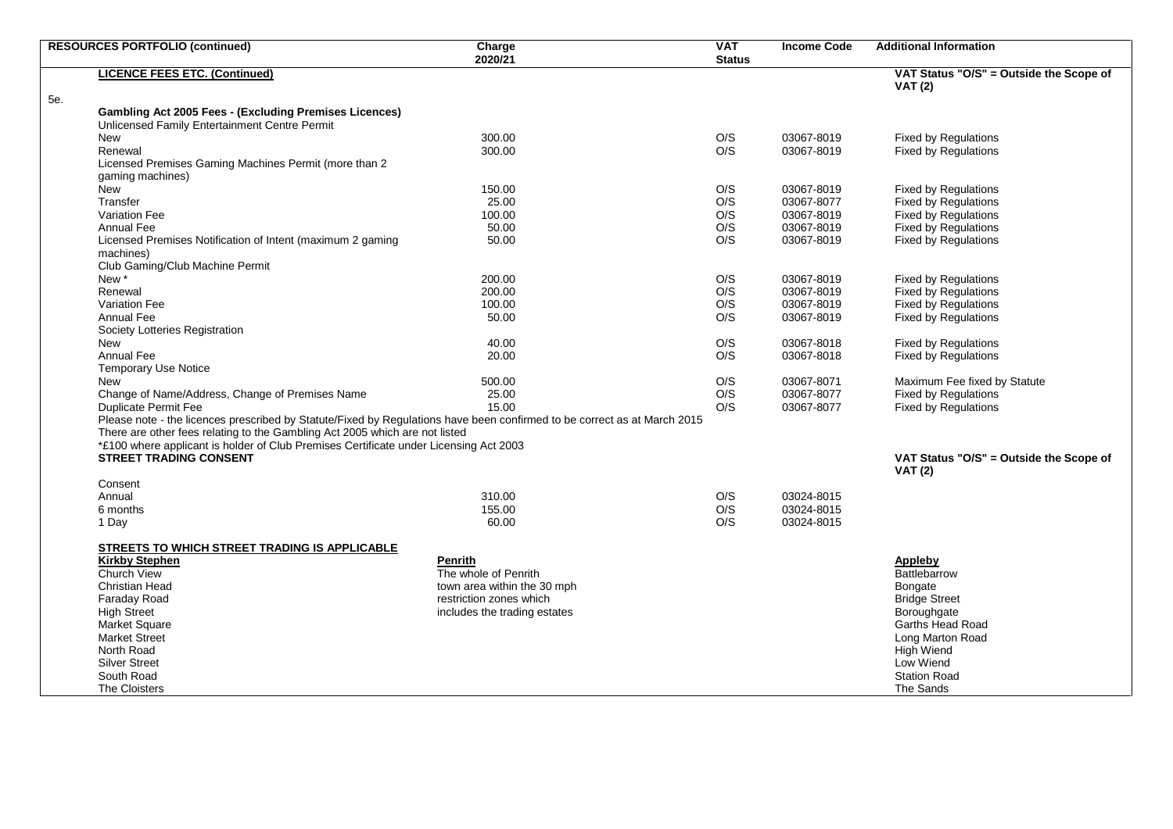|     | <b>RESOURCES PORTFOLIO (continued)</b>                                                                                                                               | Charge<br>2020/21            | <b>VAT</b><br><b>Status</b> | <b>Income Code</b> | <b>Additional Information</b>                             |
|-----|----------------------------------------------------------------------------------------------------------------------------------------------------------------------|------------------------------|-----------------------------|--------------------|-----------------------------------------------------------|
|     | <b>LICENCE FEES ETC. (Continued)</b>                                                                                                                                 |                              |                             |                    | VAT Status "O/S" = Outside the Scope of<br><b>VAT (2)</b> |
| 5e. |                                                                                                                                                                      |                              |                             |                    |                                                           |
|     | <b>Gambling Act 2005 Fees - (Excluding Premises Licences)</b><br>Unlicensed Family Entertainment Centre Permit                                                       |                              |                             |                    |                                                           |
|     | New                                                                                                                                                                  | 300.00                       | O/S                         | 03067-8019         | <b>Fixed by Regulations</b>                               |
|     | Renewal                                                                                                                                                              | 300.00                       | O/S                         | 03067-8019         | <b>Fixed by Regulations</b>                               |
|     | Licensed Premises Gaming Machines Permit (more than 2                                                                                                                |                              |                             |                    |                                                           |
|     | gaming machines)                                                                                                                                                     |                              |                             |                    |                                                           |
|     | <b>New</b>                                                                                                                                                           | 150.00                       | O/S                         | 03067-8019         | <b>Fixed by Regulations</b>                               |
|     | Transfer                                                                                                                                                             | 25.00                        | O/S                         | 03067-8077         | <b>Fixed by Regulations</b>                               |
|     | Variation Fee                                                                                                                                                        | 100.00                       | O/S                         | 03067-8019         | <b>Fixed by Regulations</b>                               |
|     |                                                                                                                                                                      |                              | O/S                         | 03067-8019         |                                                           |
|     | Annual Fee                                                                                                                                                           | 50.00<br>50.00               | O/S                         | 03067-8019         | <b>Fixed by Regulations</b>                               |
|     | Licensed Premises Notification of Intent (maximum 2 gaming<br>machines)                                                                                              |                              |                             |                    | <b>Fixed by Regulations</b>                               |
|     | Club Gaming/Club Machine Permit                                                                                                                                      |                              |                             |                    |                                                           |
|     | New *                                                                                                                                                                | 200.00                       | O/S                         | 03067-8019         | <b>Fixed by Regulations</b>                               |
|     | Renewal                                                                                                                                                              | 200.00                       | O/S                         | 03067-8019         | <b>Fixed by Regulations</b>                               |
|     | <b>Variation Fee</b>                                                                                                                                                 | 100.00                       | O/S                         | 03067-8019         | Fixed by Regulations                                      |
|     | <b>Annual Fee</b>                                                                                                                                                    | 50.00                        | O/S                         | 03067-8019         | <b>Fixed by Regulations</b>                               |
|     | Society Lotteries Registration                                                                                                                                       |                              |                             |                    |                                                           |
|     | New                                                                                                                                                                  | 40.00                        | O/S                         | 03067-8018         | <b>Fixed by Regulations</b>                               |
|     | Annual Fee                                                                                                                                                           | 20.00                        | O/S                         | 03067-8018         | <b>Fixed by Regulations</b>                               |
|     | <b>Temporary Use Notice</b>                                                                                                                                          |                              |                             |                    |                                                           |
|     | New                                                                                                                                                                  | 500.00                       | O/S                         | 03067-8071         | Maximum Fee fixed by Statute                              |
|     | Change of Name/Address, Change of Premises Name                                                                                                                      | 25.00                        | O/S                         | 03067-8077         | <b>Fixed by Regulations</b>                               |
|     | <b>Duplicate Permit Fee</b>                                                                                                                                          | 15.00                        | O/S                         | 03067-8077         | <b>Fixed by Regulations</b>                               |
|     | Please note - the licences prescribed by Statute/Fixed by Regulations have been confirmed to be correct as at March 2015                                             |                              |                             |                    |                                                           |
|     | There are other fees relating to the Gambling Act 2005 which are not listed<br>*£100 where applicant is holder of Club Premises Certificate under Licensing Act 2003 |                              |                             |                    |                                                           |
|     | <b>STREET TRADING CONSENT</b>                                                                                                                                        |                              |                             |                    | VAT Status "O/S" = Outside the Scope of<br><b>VAT (2)</b> |
|     | Consent                                                                                                                                                              |                              |                             |                    |                                                           |
|     | Annual                                                                                                                                                               | 310.00                       | O/S                         | 03024-8015         |                                                           |
|     | 6 months                                                                                                                                                             | 155.00                       | O/S                         | 03024-8015         |                                                           |
|     | 1 Day                                                                                                                                                                | 60.00                        | O/S                         | 03024-8015         |                                                           |
|     |                                                                                                                                                                      |                              |                             |                    |                                                           |
|     | STREETS TO WHICH STREET TRADING IS APPLICABLE                                                                                                                        |                              |                             |                    |                                                           |
|     | <b>Kirkby Stephen</b>                                                                                                                                                | <b>Penrith</b>               |                             |                    | Appleby                                                   |
|     | Church View                                                                                                                                                          | The whole of Penrith         |                             |                    | <b>Battlebarrow</b>                                       |
|     | <b>Christian Head</b>                                                                                                                                                | town area within the 30 mph  |                             |                    | Bongate                                                   |
|     | Faraday Road                                                                                                                                                         | restriction zones which      |                             |                    | <b>Bridge Street</b>                                      |
|     | <b>High Street</b>                                                                                                                                                   | includes the trading estates |                             |                    | Boroughgate                                               |
|     | Market Square                                                                                                                                                        |                              |                             |                    | Garths Head Road                                          |
|     | <b>Market Street</b>                                                                                                                                                 |                              |                             |                    | Long Marton Road                                          |
|     | North Road                                                                                                                                                           |                              |                             |                    | <b>High Wiend</b>                                         |
|     | <b>Silver Street</b>                                                                                                                                                 |                              |                             |                    | Low Wiend                                                 |
|     | South Road                                                                                                                                                           |                              |                             |                    | <b>Station Road</b>                                       |
|     | The Cloisters                                                                                                                                                        |                              |                             |                    | The Sands                                                 |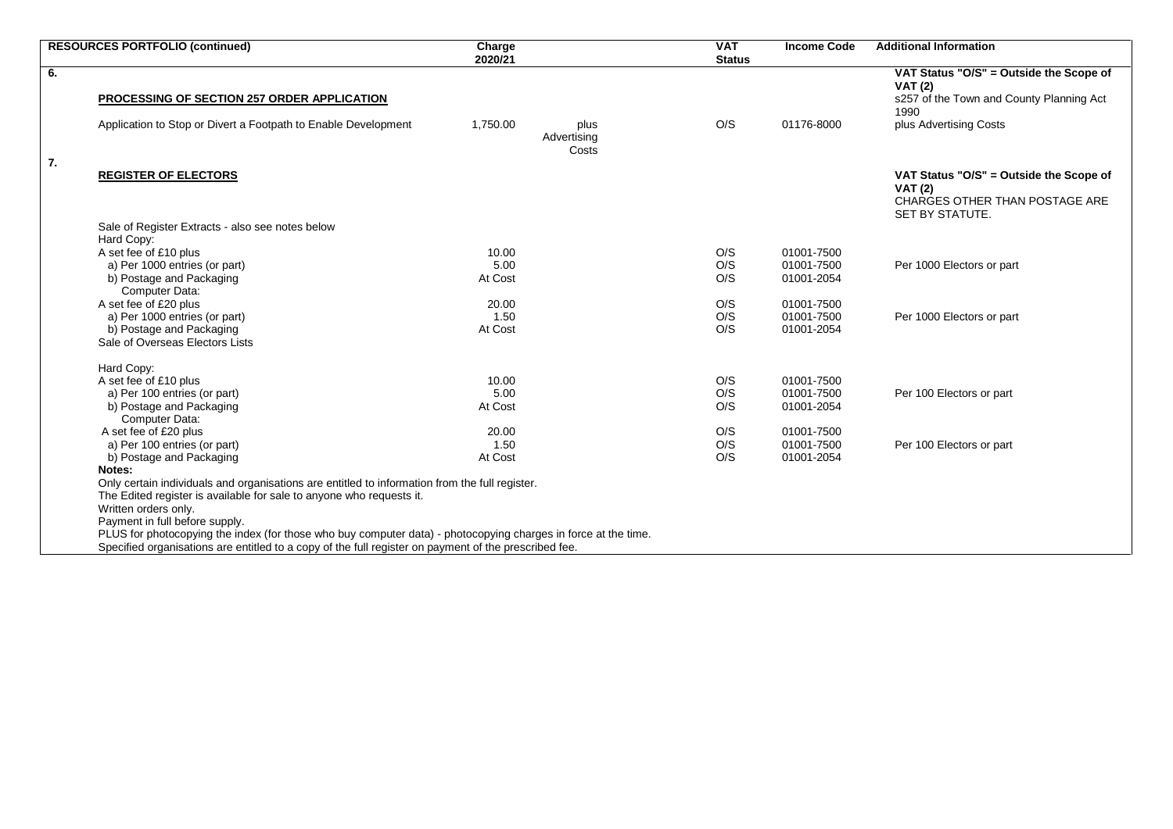|    | <b>RESOURCES PORTFOLIO (continued)</b>                                                                                                                                 |          |             | <b>VAT</b><br><b>Status</b> | <b>Income Code</b> | <b>Additional Information</b>                                                                                  |  |
|----|------------------------------------------------------------------------------------------------------------------------------------------------------------------------|----------|-------------|-----------------------------|--------------------|----------------------------------------------------------------------------------------------------------------|--|
| 6. |                                                                                                                                                                        |          |             |                             |                    | VAT Status "O/S" = Outside the Scope of                                                                        |  |
|    |                                                                                                                                                                        |          |             |                             |                    | <b>VAT (2)</b><br>s257 of the Town and County Planning Act                                                     |  |
|    | <b>PROCESSING OF SECTION 257 ORDER APPLICATION</b>                                                                                                                     |          |             |                             |                    | 1990                                                                                                           |  |
|    | Application to Stop or Divert a Footpath to Enable Development                                                                                                         | 1,750.00 | plus        | O/S                         | 01176-8000         | plus Advertising Costs                                                                                         |  |
|    |                                                                                                                                                                        |          | Advertising |                             |                    |                                                                                                                |  |
| 7. |                                                                                                                                                                        |          | Costs       |                             |                    |                                                                                                                |  |
|    | <b>REGISTER OF ELECTORS</b>                                                                                                                                            |          |             |                             |                    | VAT Status "O/S" = Outside the Scope of<br><b>VAT (2)</b><br>CHARGES OTHER THAN POSTAGE ARE<br>SET BY STATUTE. |  |
|    | Sale of Register Extracts - also see notes below                                                                                                                       |          |             |                             |                    |                                                                                                                |  |
|    | Hard Copy:                                                                                                                                                             |          |             |                             |                    |                                                                                                                |  |
|    | A set fee of £10 plus                                                                                                                                                  | 10.00    |             | O/S                         | 01001-7500         |                                                                                                                |  |
|    | a) Per 1000 entries (or part)                                                                                                                                          | 5.00     |             | O/S                         | 01001-7500         | Per 1000 Electors or part                                                                                      |  |
|    | b) Postage and Packaging<br>Computer Data:                                                                                                                             | At Cost  |             | O/S                         | 01001-2054         |                                                                                                                |  |
|    | A set fee of £20 plus                                                                                                                                                  | 20.00    |             | O/S                         | 01001-7500         |                                                                                                                |  |
|    | a) Per 1000 entries (or part)                                                                                                                                          | 1.50     |             | O/S                         | 01001-7500         | Per 1000 Electors or part                                                                                      |  |
|    | b) Postage and Packaging<br>Sale of Overseas Electors Lists                                                                                                            | At Cost  |             | O/S                         | 01001-2054         |                                                                                                                |  |
|    | Hard Copy:                                                                                                                                                             |          |             |                             |                    |                                                                                                                |  |
|    | A set fee of £10 plus                                                                                                                                                  | 10.00    |             | O/S                         | 01001-7500         |                                                                                                                |  |
|    | a) Per 100 entries (or part)                                                                                                                                           | 5.00     |             | O/S                         | 01001-7500         | Per 100 Electors or part                                                                                       |  |
|    | b) Postage and Packaging<br>Computer Data:                                                                                                                             | At Cost  |             | O/S                         | 01001-2054         |                                                                                                                |  |
|    | A set fee of £20 plus                                                                                                                                                  | 20.00    |             | O/S                         | 01001-7500         |                                                                                                                |  |
|    | a) Per 100 entries (or part)                                                                                                                                           | 1.50     |             | O/S                         | 01001-7500         | Per 100 Electors or part                                                                                       |  |
|    | b) Postage and Packaging                                                                                                                                               | At Cost  |             | O/S                         | 01001-2054         |                                                                                                                |  |
|    | Notes:                                                                                                                                                                 |          |             |                             |                    |                                                                                                                |  |
|    | Only certain individuals and organisations are entitled to information from the full register.<br>The Edited register is available for sale to anyone who requests it. |          |             |                             |                    |                                                                                                                |  |
|    | Written orders only.                                                                                                                                                   |          |             |                             |                    |                                                                                                                |  |
|    | Payment in full before supply.                                                                                                                                         |          |             |                             |                    |                                                                                                                |  |
|    | PLUS for photocopying the index (for those who buy computer data) - photocopying charges in force at the time.                                                         |          |             |                             |                    |                                                                                                                |  |
|    | Specified organisations are entitled to a copy of the full register on payment of the prescribed fee.                                                                  |          |             |                             |                    |                                                                                                                |  |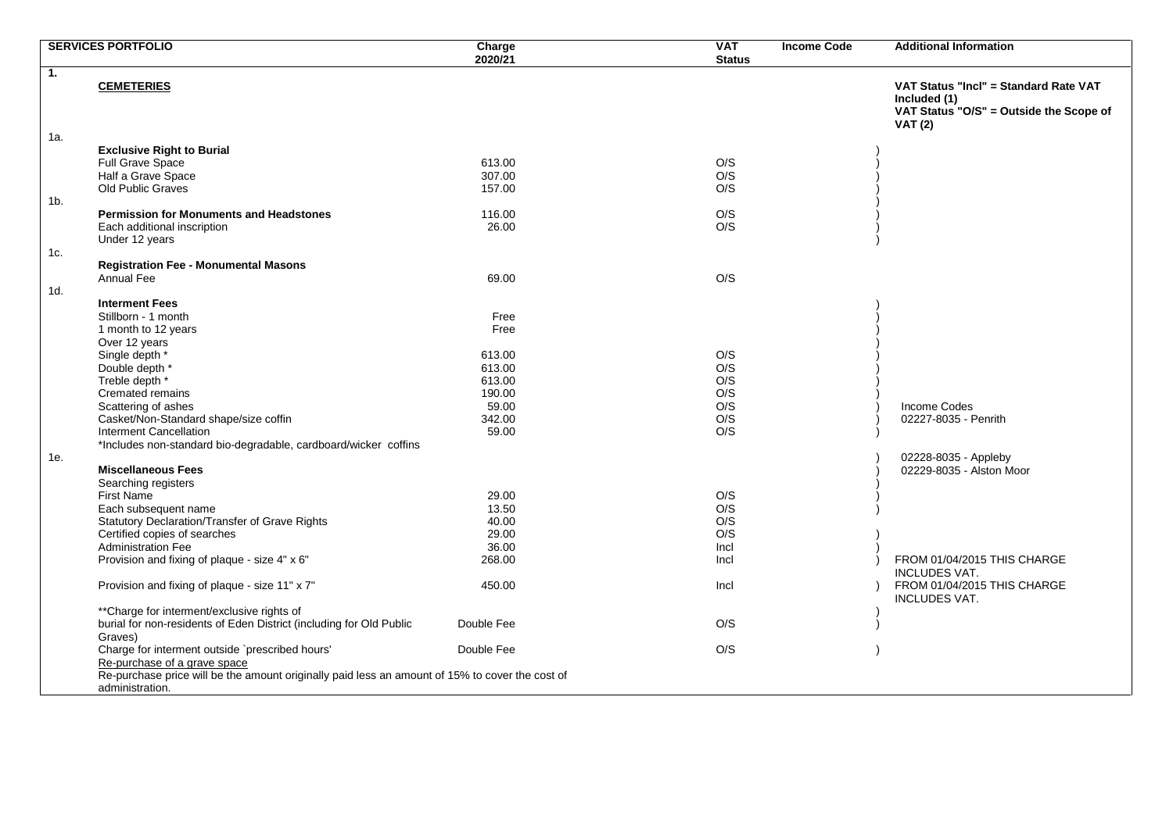|                  | <b>SERVICES PORTFOLIO</b>                                                                                                                          | Charge<br>2020/21 | <b>VAT</b><br><b>Status</b> | <b>Income Code</b> | <b>Additional Information</b>                                                                                      |
|------------------|----------------------------------------------------------------------------------------------------------------------------------------------------|-------------------|-----------------------------|--------------------|--------------------------------------------------------------------------------------------------------------------|
| $\overline{1}$ . | <b>CEMETERIES</b>                                                                                                                                  |                   |                             |                    | VAT Status "Incl" = Standard Rate VAT<br>Included (1)<br>VAT Status "O/S" = Outside the Scope of<br><b>VAT (2)</b> |
| 1a.              |                                                                                                                                                    |                   |                             |                    |                                                                                                                    |
|                  | <b>Exclusive Right to Burial</b>                                                                                                                   |                   |                             |                    |                                                                                                                    |
|                  | Full Grave Space                                                                                                                                   | 613.00            | O/S                         |                    |                                                                                                                    |
|                  | Half a Grave Space                                                                                                                                 | 307.00            | O/S                         |                    |                                                                                                                    |
|                  | Old Public Graves                                                                                                                                  | 157.00            | O/S                         |                    |                                                                                                                    |
| 1b.              | <b>Permission for Monuments and Headstones</b>                                                                                                     | 116.00            | O/S                         |                    |                                                                                                                    |
|                  | Each additional inscription                                                                                                                        | 26.00             | O/S                         |                    |                                                                                                                    |
|                  | Under 12 years                                                                                                                                     |                   |                             |                    |                                                                                                                    |
| 1c.              |                                                                                                                                                    |                   |                             |                    |                                                                                                                    |
|                  | <b>Registration Fee - Monumental Masons</b>                                                                                                        |                   |                             |                    |                                                                                                                    |
|                  | Annual Fee                                                                                                                                         | 69.00             | O/S                         |                    |                                                                                                                    |
| 1d.              |                                                                                                                                                    |                   |                             |                    |                                                                                                                    |
|                  | <b>Interment Fees</b>                                                                                                                              |                   |                             |                    |                                                                                                                    |
|                  | Stillborn - 1 month                                                                                                                                | Free              |                             |                    |                                                                                                                    |
|                  | 1 month to 12 years                                                                                                                                | Free              |                             |                    |                                                                                                                    |
|                  | Over 12 years<br>Single depth *                                                                                                                    | 613.00            | O/S                         |                    |                                                                                                                    |
|                  | Double depth *                                                                                                                                     | 613.00            | O/S                         |                    |                                                                                                                    |
|                  | Treble depth *                                                                                                                                     | 613.00            | O/S                         |                    |                                                                                                                    |
|                  | Cremated remains                                                                                                                                   | 190.00            | O/S                         |                    |                                                                                                                    |
|                  | Scattering of ashes                                                                                                                                | 59.00             | O/S                         |                    | <b>Income Codes</b>                                                                                                |
|                  | Casket/Non-Standard shape/size coffin                                                                                                              | 342.00            | O/S                         |                    | 02227-8035 - Penrith                                                                                               |
|                  | <b>Interment Cancellation</b>                                                                                                                      | 59.00             | O/S                         |                    |                                                                                                                    |
|                  | *Includes non-standard bio-degradable, cardboard/wicker coffins                                                                                    |                   |                             |                    |                                                                                                                    |
| 1e.              |                                                                                                                                                    |                   |                             |                    | 02228-8035 - Appleby                                                                                               |
|                  | <b>Miscellaneous Fees</b>                                                                                                                          |                   |                             |                    | 02229-8035 - Alston Moor                                                                                           |
|                  | Searching registers                                                                                                                                |                   |                             |                    |                                                                                                                    |
|                  | First Name                                                                                                                                         | 29.00             | O/S<br>O/S                  |                    |                                                                                                                    |
|                  | Each subsequent name<br>Statutory Declaration/Transfer of Grave Rights                                                                             | 13.50<br>40.00    | O/S                         |                    |                                                                                                                    |
|                  | Certified copies of searches                                                                                                                       | 29.00             | O/S                         |                    |                                                                                                                    |
|                  | <b>Administration Fee</b>                                                                                                                          | 36.00             | Incl                        |                    |                                                                                                                    |
|                  | Provision and fixing of plaque - size 4" x 6"                                                                                                      | 268.00            | Incl                        |                    | FROM 01/04/2015 THIS CHARGE                                                                                        |
|                  |                                                                                                                                                    |                   |                             |                    | <b>INCLUDES VAT.</b>                                                                                               |
|                  | Provision and fixing of plaque - size 11" x 7"                                                                                                     | 450.00            | Incl                        |                    | FROM 01/04/2015 THIS CHARGE<br>INCLUDES VAT.                                                                       |
|                  | ** Charge for interment/exclusive rights of                                                                                                        |                   |                             |                    |                                                                                                                    |
|                  | burial for non-residents of Eden District (including for Old Public                                                                                | Double Fee        | O/S                         |                    |                                                                                                                    |
|                  | Graves)                                                                                                                                            |                   |                             |                    |                                                                                                                    |
|                  | Charge for interment outside `prescribed hours'                                                                                                    | Double Fee        | O/S                         |                    |                                                                                                                    |
|                  | Re-purchase of a grave space<br>Re-purchase price will be the amount originally paid less an amount of 15% to cover the cost of<br>administration. |                   |                             |                    |                                                                                                                    |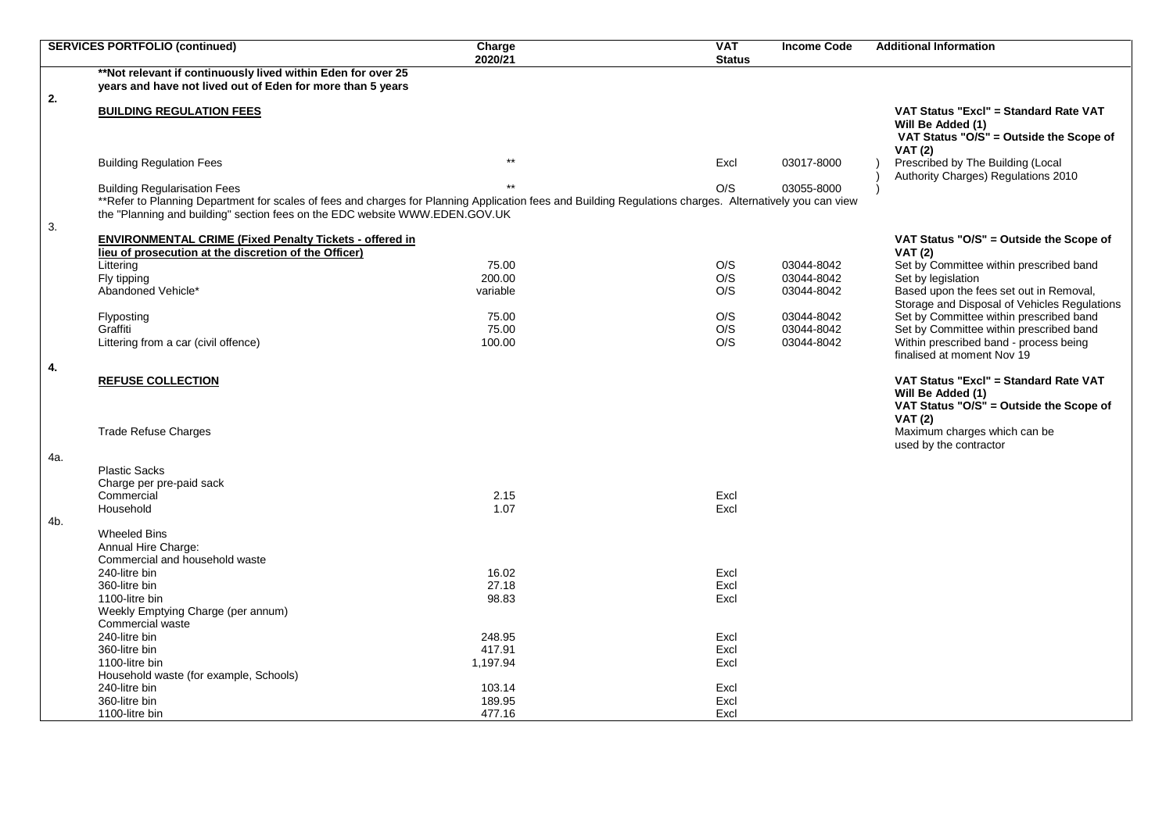|     | <b>SERVICES PORTFOLIO (continued)</b>                                                                                                                    | Charge          | <b>VAT</b>    | <b>Income Code</b> | <b>Additional Information</b>                |
|-----|----------------------------------------------------------------------------------------------------------------------------------------------------------|-----------------|---------------|--------------------|----------------------------------------------|
|     |                                                                                                                                                          | 2020/21         | <b>Status</b> |                    |                                              |
|     | **Not relevant if continuously lived within Eden for over 25                                                                                             |                 |               |                    |                                              |
|     | years and have not lived out of Eden for more than 5 years                                                                                               |                 |               |                    |                                              |
| 2.  |                                                                                                                                                          |                 |               |                    |                                              |
|     | <b>BUILDING REGULATION FEES</b>                                                                                                                          |                 |               |                    | VAT Status "Excl" = Standard Rate VAT        |
|     |                                                                                                                                                          |                 |               |                    | Will Be Added (1)                            |
|     |                                                                                                                                                          |                 |               |                    | VAT Status "O/S" = Outside the Scope of      |
|     |                                                                                                                                                          |                 |               |                    | <b>VAT (2)</b>                               |
|     | <b>Building Regulation Fees</b>                                                                                                                          | $^{\star\star}$ | Excl          | 03017-8000         | Prescribed by The Building (Local            |
|     |                                                                                                                                                          |                 |               |                    | Authority Charges) Regulations 2010          |
|     | <b>Building Regularisation Fees</b>                                                                                                                      |                 | O/S           | 03055-8000         |                                              |
|     | **Refer to Planning Department for scales of fees and charges for Planning Application fees and Building Regulations charges. Alternatively you can view |                 |               |                    |                                              |
|     | the "Planning and building" section fees on the EDC website WWW.EDEN.GOV.UK                                                                              |                 |               |                    |                                              |
| 3.  |                                                                                                                                                          |                 |               |                    |                                              |
|     | <b>ENVIRONMENTAL CRIME (Fixed Penalty Tickets - offered in</b>                                                                                           |                 |               |                    | VAT Status "O/S" = Outside the Scope of      |
|     | lieu of prosecution at the discretion of the Officer)                                                                                                    |                 |               |                    | <b>VAT (2)</b>                               |
|     | Littering                                                                                                                                                | 75.00           | O/S           | 03044-8042         | Set by Committee within prescribed band      |
|     | Fly tipping                                                                                                                                              | 200.00          | O/S           | 03044-8042         | Set by legislation                           |
|     | Abandoned Vehicle*                                                                                                                                       | variable        | O/S           | 03044-8042         | Based upon the fees set out in Removal,      |
|     |                                                                                                                                                          |                 |               |                    | Storage and Disposal of Vehicles Regulations |
|     | Flyposting                                                                                                                                               | 75.00           | O/S           | 03044-8042         | Set by Committee within prescribed band      |
|     | Graffiti                                                                                                                                                 | 75.00           | O/S           | 03044-8042         | Set by Committee within prescribed band      |
|     | Littering from a car (civil offence)                                                                                                                     | 100.00          | O/S           | 03044-8042         | Within prescribed band - process being       |
|     |                                                                                                                                                          |                 |               |                    | finalised at moment Nov 19                   |
| 4.  |                                                                                                                                                          |                 |               |                    |                                              |
|     | <b>REFUSE COLLECTION</b>                                                                                                                                 |                 |               |                    | VAT Status "Excl" = Standard Rate VAT        |
|     |                                                                                                                                                          |                 |               |                    | Will Be Added (1)                            |
|     |                                                                                                                                                          |                 |               |                    | VAT Status "O/S" = Outside the Scope of      |
|     |                                                                                                                                                          |                 |               |                    | <b>VAT (2)</b>                               |
|     | <b>Trade Refuse Charges</b>                                                                                                                              |                 |               |                    | Maximum charges which can be                 |
|     |                                                                                                                                                          |                 |               |                    | used by the contractor                       |
| 4a. |                                                                                                                                                          |                 |               |                    |                                              |
|     | <b>Plastic Sacks</b>                                                                                                                                     |                 |               |                    |                                              |
|     | Charge per pre-paid sack                                                                                                                                 |                 |               |                    |                                              |
|     | Commercial                                                                                                                                               | 2.15            | Excl          |                    |                                              |
|     | Household                                                                                                                                                | 1.07            | Excl          |                    |                                              |
| 4b. |                                                                                                                                                          |                 |               |                    |                                              |
|     | Wheeled Bins                                                                                                                                             |                 |               |                    |                                              |
|     | Annual Hire Charge:                                                                                                                                      |                 |               |                    |                                              |
|     | Commercial and household waste                                                                                                                           |                 |               |                    |                                              |
|     | 240-litre bin                                                                                                                                            | 16.02           | Excl          |                    |                                              |
|     | 360-litre bin                                                                                                                                            | 27.18           | Excl          |                    |                                              |
|     | 1100-litre bin                                                                                                                                           | 98.83           | Excl          |                    |                                              |
|     | Weekly Emptying Charge (per annum)                                                                                                                       |                 |               |                    |                                              |
|     | Commercial waste                                                                                                                                         |                 |               |                    |                                              |
|     | 240-litre bin                                                                                                                                            | 248.95          | Excl          |                    |                                              |
|     | 360-litre bin                                                                                                                                            | 417.91          | Excl          |                    |                                              |
|     | 1100-litre bin                                                                                                                                           | 1,197.94        | Excl          |                    |                                              |
|     | Household waste (for example, Schools)                                                                                                                   |                 |               |                    |                                              |
|     | 240-litre bin                                                                                                                                            | 103.14          | Excl          |                    |                                              |
|     | 360-litre bin                                                                                                                                            | 189.95          | Excl          |                    |                                              |
|     | 1100-litre bin                                                                                                                                           | 477.16          | Excl          |                    |                                              |
|     |                                                                                                                                                          |                 |               |                    |                                              |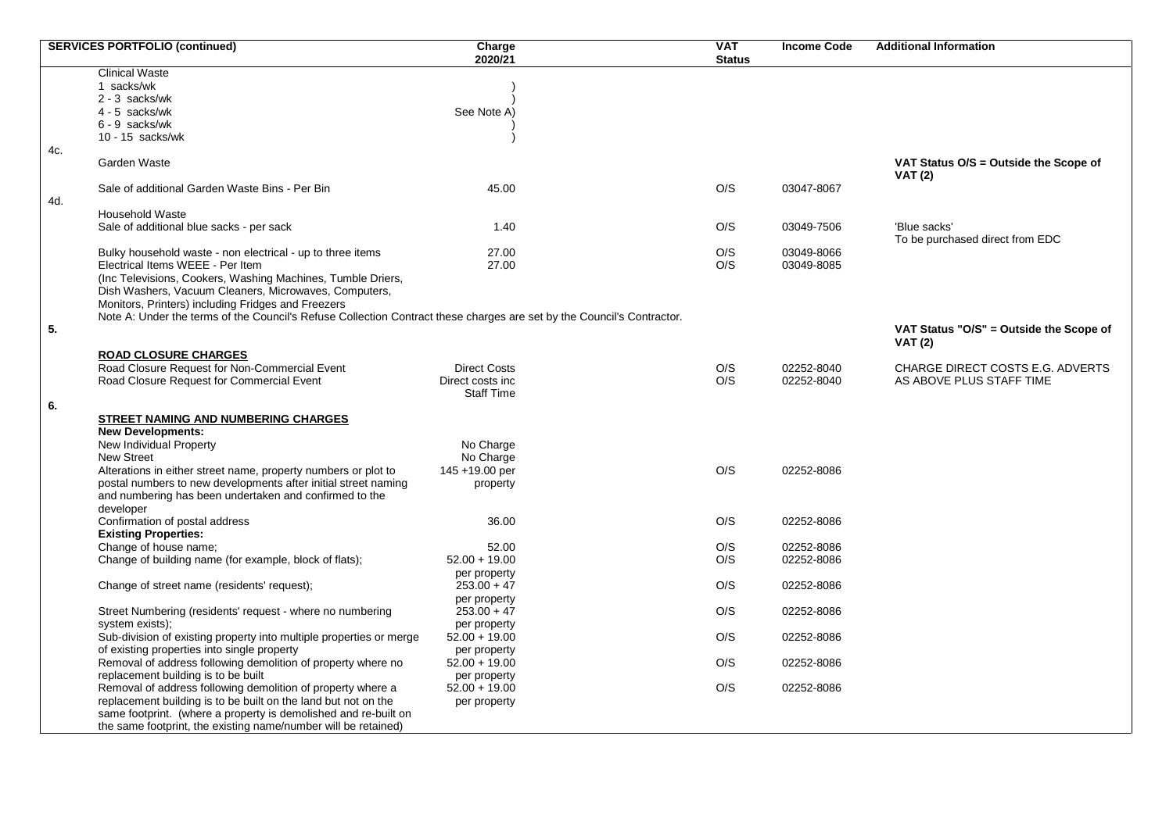|     | <b>SERVICES PORTFOLIO (continued)</b>                                                                                  | Charge                        | <b>VAT</b>    | <b>Income Code</b> | <b>Additional Information</b>           |
|-----|------------------------------------------------------------------------------------------------------------------------|-------------------------------|---------------|--------------------|-----------------------------------------|
|     |                                                                                                                        | 2020/21                       | <b>Status</b> |                    |                                         |
|     | <b>Clinical Waste</b>                                                                                                  |                               |               |                    |                                         |
|     | 1 sacks/wk                                                                                                             |                               |               |                    |                                         |
|     | 2 - 3 sacks/wk                                                                                                         |                               |               |                    |                                         |
|     | $4 - 5$ sacks/wk                                                                                                       | See Note A)                   |               |                    |                                         |
|     | 6 - 9 sacks/wk                                                                                                         |                               |               |                    |                                         |
|     | 10 - 15 sacks/wk                                                                                                       |                               |               |                    |                                         |
| 4c. |                                                                                                                        |                               |               |                    |                                         |
|     | Garden Waste                                                                                                           |                               |               |                    | VAT Status O/S = Outside the Scope of   |
|     | Sale of additional Garden Waste Bins - Per Bin                                                                         | 45.00                         | O/S           | 03047-8067         | <b>VAT (2)</b>                          |
| 4d. |                                                                                                                        |                               |               |                    |                                         |
|     | <b>Household Waste</b>                                                                                                 |                               |               |                    |                                         |
|     | Sale of additional blue sacks - per sack                                                                               | 1.40                          | O/S           | 03049-7506         | 'Blue sacks'                            |
|     |                                                                                                                        |                               |               |                    | To be purchased direct from EDC         |
|     | Bulky household waste - non electrical - up to three items                                                             | 27.00                         | O/S           | 03049-8066         |                                         |
|     | Electrical Items WEEE - Per Item                                                                                       | 27.00                         | O/S           | 03049-8085         |                                         |
|     | (Inc Televisions, Cookers, Washing Machines, Tumble Driers,                                                            |                               |               |                    |                                         |
|     | Dish Washers, Vacuum Cleaners, Microwaves, Computers,                                                                  |                               |               |                    |                                         |
|     | Monitors, Printers) including Fridges and Freezers                                                                     |                               |               |                    |                                         |
|     | Note A: Under the terms of the Council's Refuse Collection Contract these charges are set by the Council's Contractor. |                               |               |                    |                                         |
| 5.  |                                                                                                                        |                               |               |                    | VAT Status "O/S" = Outside the Scope of |
|     |                                                                                                                        |                               |               |                    | <b>VAT (2)</b>                          |
|     | <b>ROAD CLOSURE CHARGES</b>                                                                                            |                               |               |                    |                                         |
|     | Road Closure Request for Non-Commercial Event                                                                          | <b>Direct Costs</b>           | O/S           | 02252-8040         | CHARGE DIRECT COSTS E.G. ADVERTS        |
|     | Road Closure Request for Commercial Event                                                                              | Direct costs inc              | O/S           | 02252-8040         | AS ABOVE PLUS STAFF TIME                |
|     |                                                                                                                        | <b>Staff Time</b>             |               |                    |                                         |
| 6.  |                                                                                                                        |                               |               |                    |                                         |
|     | STREET NAMING AND NUMBERING CHARGES                                                                                    |                               |               |                    |                                         |
|     | <b>New Developments:</b>                                                                                               |                               |               |                    |                                         |
|     | New Individual Property                                                                                                | No Charge                     |               |                    |                                         |
|     | <b>New Street</b>                                                                                                      | No Charge                     |               |                    |                                         |
|     | Alterations in either street name, property numbers or plot to                                                         | 145+19.00 per                 | O/S           | 02252-8086         |                                         |
|     | postal numbers to new developments after initial street naming                                                         | property                      |               |                    |                                         |
|     | and numbering has been undertaken and confirmed to the                                                                 |                               |               |                    |                                         |
|     | developer                                                                                                              |                               |               |                    |                                         |
|     | Confirmation of postal address                                                                                         | 36.00                         | O/S           | 02252-8086         |                                         |
|     | <b>Existing Properties:</b>                                                                                            |                               |               |                    |                                         |
|     | Change of house name;                                                                                                  | 52.00<br>$52.00 + 19.00$      | O/S<br>O/S    | 02252-8086         |                                         |
|     | Change of building name (for example, block of flats);                                                                 |                               |               | 02252-8086         |                                         |
|     |                                                                                                                        | per property<br>$253.00 + 47$ | O/S           | 02252-8086         |                                         |
|     | Change of street name (residents' request);                                                                            | per property                  |               |                    |                                         |
|     | Street Numbering (residents' request - where no numbering                                                              | $253.00 + 47$                 | O/S           | 02252-8086         |                                         |
|     | system exists);                                                                                                        | per property                  |               |                    |                                         |
|     | Sub-division of existing property into multiple properties or merge                                                    | $52.00 + 19.00$               | O/S           | 02252-8086         |                                         |
|     | of existing properties into single property                                                                            | per property                  |               |                    |                                         |
|     | Removal of address following demolition of property where no                                                           | $52.00 + 19.00$               | O/S           | 02252-8086         |                                         |
|     | replacement building is to be built                                                                                    | per property                  |               |                    |                                         |
|     | Removal of address following demolition of property where a                                                            | $52.00 + 19.00$               | O/S           | 02252-8086         |                                         |
|     | replacement building is to be built on the land but not on the                                                         | per property                  |               |                    |                                         |
|     | same footprint. (where a property is demolished and re-built on                                                        |                               |               |                    |                                         |
|     | the same footprint, the existing name/number will be retained)                                                         |                               |               |                    |                                         |
|     |                                                                                                                        |                               |               |                    |                                         |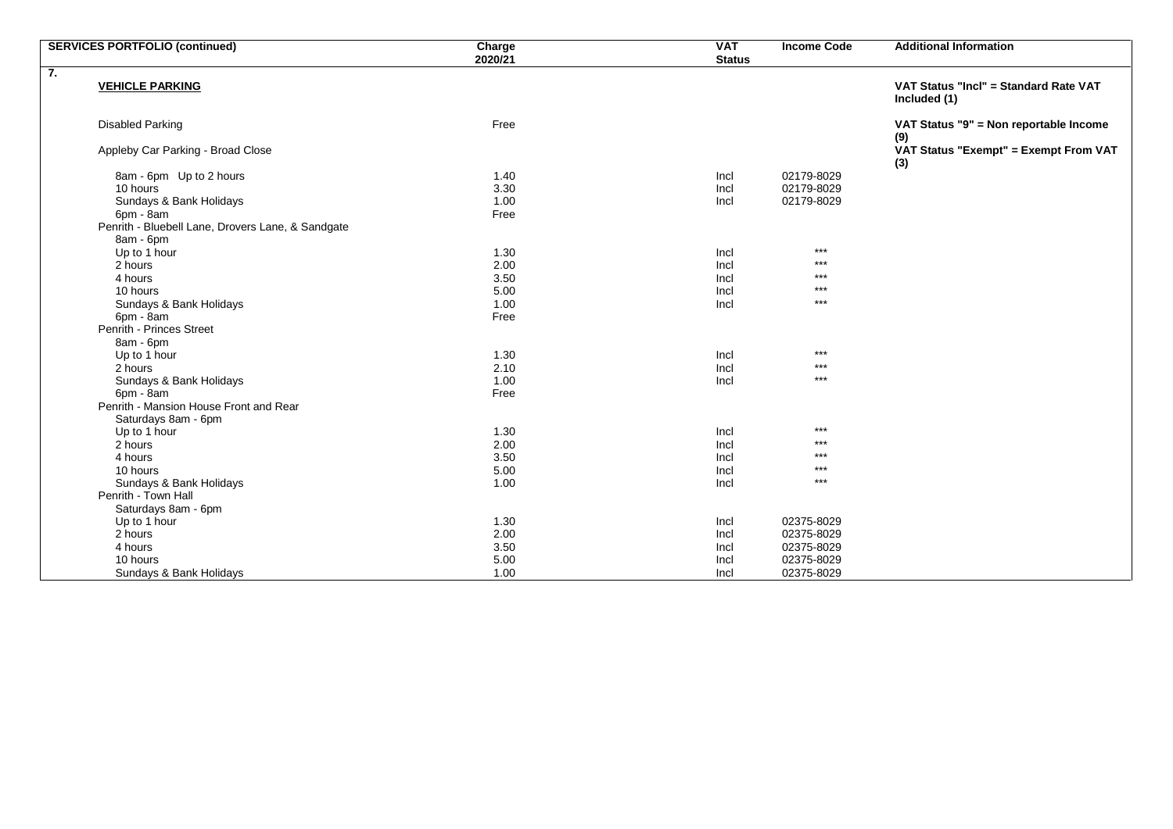| <b>SERVICES PORTFOLIO (continued)</b>             | Charge<br>2020/21 | <b>VAT</b><br><b>Income Code</b><br><b>Status</b> | <b>Additional Information</b>                         |
|---------------------------------------------------|-------------------|---------------------------------------------------|-------------------------------------------------------|
| $\overline{7}$ .                                  |                   |                                                   |                                                       |
| <b>VEHICLE PARKING</b>                            |                   |                                                   | VAT Status "Incl" = Standard Rate VAT<br>Included (1) |
| <b>Disabled Parking</b>                           | Free              |                                                   | VAT Status "9" = Non reportable Income<br>(9)         |
| Appleby Car Parking - Broad Close                 |                   |                                                   | VAT Status "Exempt" = Exempt From VAT<br>(3)          |
| 8am - 6pm Up to 2 hours                           | 1.40              | 02179-8029<br>Incl                                |                                                       |
| 10 hours                                          | 3.30              | 02179-8029<br>Incl                                |                                                       |
| Sundays & Bank Holidays                           | 1.00              | 02179-8029<br>Incl                                |                                                       |
| 6pm - 8am                                         | Free              |                                                   |                                                       |
| Penrith - Bluebell Lane, Drovers Lane, & Sandgate |                   |                                                   |                                                       |
| 8am - 6pm                                         |                   |                                                   |                                                       |
| Up to 1 hour                                      | 1.30              | $***$<br>Incl                                     |                                                       |
| 2 hours                                           | 2.00              | $***$<br>Incl                                     |                                                       |
| 4 hours                                           | 3.50              | $***$<br>Incl                                     |                                                       |
| 10 hours                                          | 5.00              | $***$<br>Incl                                     |                                                       |
| Sundays & Bank Holidays                           | 1.00              | $***$<br>Incl                                     |                                                       |
| 6pm - 8am                                         | Free              |                                                   |                                                       |
| Penrith - Princes Street                          |                   |                                                   |                                                       |
| 8am - 6pm                                         |                   |                                                   |                                                       |
| Up to 1 hour                                      | 1.30              | $***$<br>Incl                                     |                                                       |
| 2 hours                                           | 2.10              | $***$<br>Incl                                     |                                                       |
| Sundays & Bank Holidays                           | 1.00              | $***$<br>Incl                                     |                                                       |
| 6pm - 8am                                         | Free              |                                                   |                                                       |
| Penrith - Mansion House Front and Rear            |                   |                                                   |                                                       |
| Saturdays 8am - 6pm                               |                   |                                                   |                                                       |
| Up to 1 hour                                      | 1.30              | $***$<br>Incl                                     |                                                       |
| 2 hours                                           | 2.00              | $***$<br>Incl                                     |                                                       |
| 4 hours                                           | 3.50              | $***$<br>Incl                                     |                                                       |
| 10 hours                                          | 5.00              | $***$<br>Incl                                     |                                                       |
| Sundays & Bank Holidays                           | 1.00              | $***$<br>Incl                                     |                                                       |
| Penrith - Town Hall                               |                   |                                                   |                                                       |
| Saturdays 8am - 6pm                               |                   |                                                   |                                                       |
| Up to 1 hour                                      | 1.30              | 02375-8029<br>Incl                                |                                                       |
| 2 hours                                           | 2.00              | Incl<br>02375-8029                                |                                                       |
| 4 hours                                           | 3.50              | 02375-8029<br>Incl                                |                                                       |
| 10 hours                                          | 5.00              | 02375-8029<br>Incl                                |                                                       |
| Sundays & Bank Holidays                           | 1.00              | 02375-8029<br>Incl                                |                                                       |